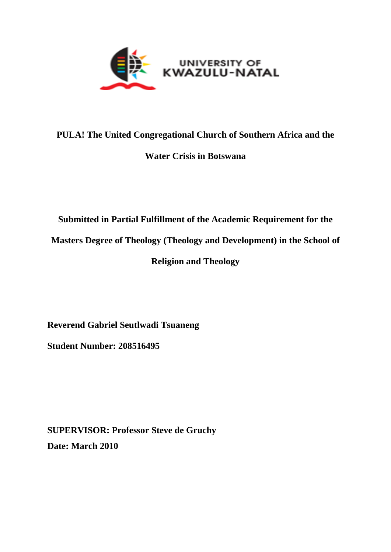

# **PULA! The United Congregational Church of Southern Africa and the**

# **Water Crisis in Botswana**

# **Submitted in Partial Fulfillment of the Academic Requirement for the Masters Degree of Theology (Theology and Development) in the School of Religion and Theology**

**Reverend Gabriel Seutlwadi Tsuaneng**

**Student Number: 208516495**

**SUPERVISOR: Professor Steve de Gruchy Date: March 2010**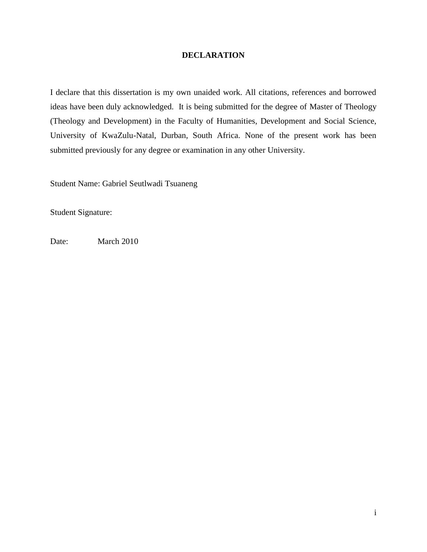## **DECLARATION**

I declare that this dissertation is my own unaided work. All citations, references and borrowed ideas have been duly acknowledged. It is being submitted for the degree of Master of Theology (Theology and Development) in the Faculty of Humanities, Development and Social Science, University of KwaZulu-Natal, Durban, South Africa. None of the present work has been submitted previously for any degree or examination in any other University.

Student Name: Gabriel Seutlwadi Tsuaneng

Student Signature:

Date: March 2010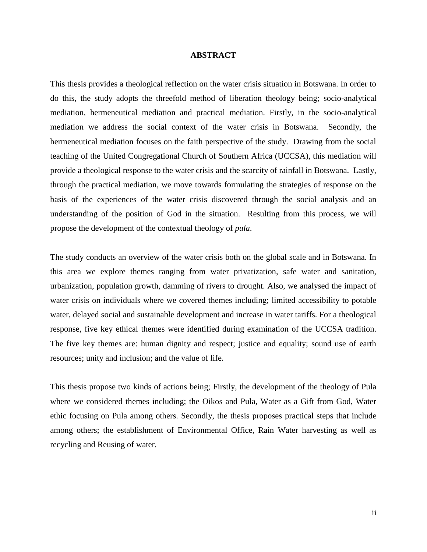#### **ABSTRACT**

This thesis provides a theological reflection on the water crisis situation in Botswana. In order to do this, the study adopts the threefold method of liberation theology being; socio-analytical mediation, hermeneutical mediation and practical mediation. Firstly, in the socio-analytical mediation we address the social context of the water crisis in Botswana. Secondly, the hermeneutical mediation focuses on the faith perspective of the study. Drawing from the social teaching of the United Congregational Church of Southern Africa (UCCSA), this mediation will provide a theological response to the water crisis and the scarcity of rainfall in Botswana. Lastly, through the practical mediation, we move towards formulating the strategies of response on the basis of the experiences of the water crisis discovered through the social analysis and an understanding of the position of God in the situation. Resulting from this process, we will propose the development of the contextual theology of *pula*.

The study conducts an overview of the water crisis both on the global scale and in Botswana. In this area we explore themes ranging from water privatization, safe water and sanitation, urbanization, population growth, damming of rivers to drought. Also, we analysed the impact of water crisis on individuals where we covered themes including; limited accessibility to potable water, delayed social and sustainable development and increase in water tariffs. For a theological response, five key ethical themes were identified during examination of the UCCSA tradition. The five key themes are: human dignity and respect; justice and equality; sound use of earth resources; unity and inclusion; and the value of life.

This thesis propose two kinds of actions being; Firstly, the development of the theology of Pula where we considered themes including; the Oikos and Pula, Water as a Gift from God, Water ethic focusing on Pula among others. Secondly, the thesis proposes practical steps that include among others; the establishment of Environmental Office, Rain Water harvesting as well as recycling and Reusing of water.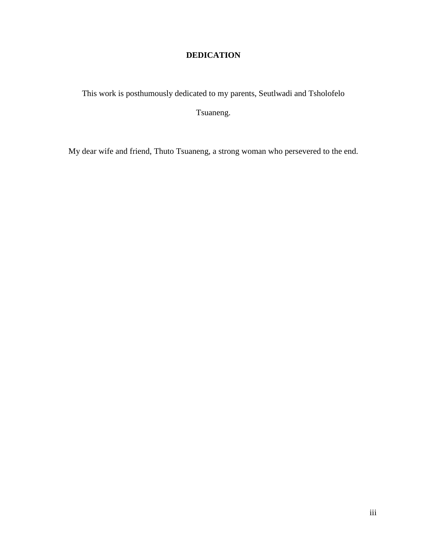# **DEDICATION**

This work is posthumously dedicated to my parents, Seutlwadi and Tsholofelo

Tsuaneng.

My dear wife and friend, Thuto Tsuaneng, a strong woman who persevered to the end.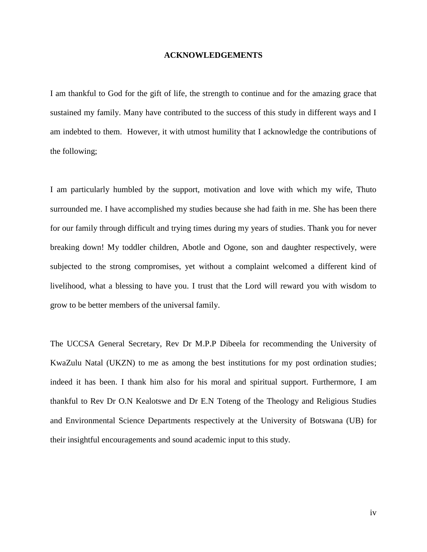#### **ACKNOWLEDGEMENTS**

I am thankful to God for the gift of life, the strength to continue and for the amazing grace that sustained my family. Many have contributed to the success of this study in different ways and I am indebted to them. However, it with utmost humility that I acknowledge the contributions of the following;

I am particularly humbled by the support, motivation and love with which my wife, Thuto surrounded me. I have accomplished my studies because she had faith in me. She has been there for our family through difficult and trying times during my years of studies. Thank you for never breaking down! My toddler children, Abotle and Ogone, son and daughter respectively, were subjected to the strong compromises, yet without a complaint welcomed a different kind of livelihood, what a blessing to have you. I trust that the Lord will reward you with wisdom to grow to be better members of the universal family.

The UCCSA General Secretary, Rev Dr M.P.P Dibeela for recommending the University of KwaZulu Natal (UKZN) to me as among the best institutions for my post ordination studies; indeed it has been. I thank him also for his moral and spiritual support. Furthermore, I am thankful to Rev Dr O.N Kealotswe and Dr E.N Toteng of the Theology and Religious Studies and Environmental Science Departments respectively at the University of Botswana (UB) for their insightful encouragements and sound academic input to this study.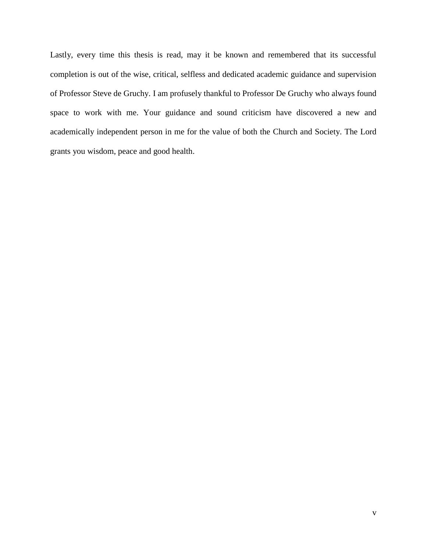Lastly, every time this thesis is read, may it be known and remembered that its successful completion is out of the wise, critical, selfless and dedicated academic guidance and supervision of Professor Steve de Gruchy. I am profusely thankful to Professor De Gruchy who always found space to work with me. Your guidance and sound criticism have discovered a new and academically independent person in me for the value of both the Church and Society. The Lord grants you wisdom, peace and good health.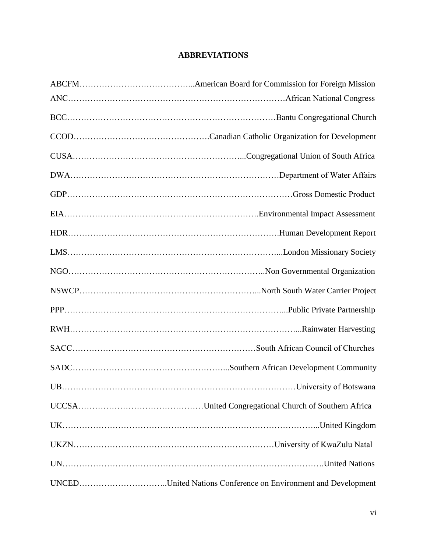# **ABBREVIATIONS**

| UNCEDUnited Nations Conference on Environment and Development |
|---------------------------------------------------------------|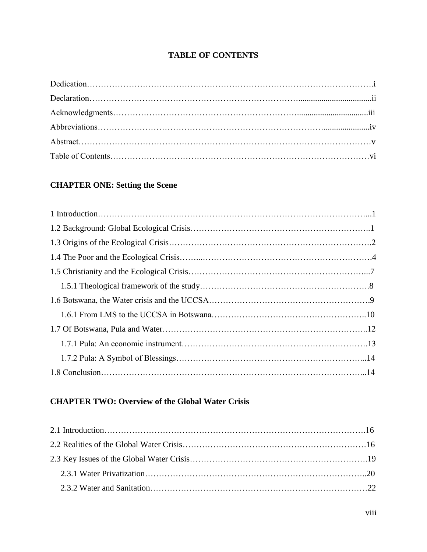# **TABLE OF CONTENTS**

# **CHAPTER ONE: Setting the Scene**

# **CHAPTER TWO: Overview of the Global Water Crisis**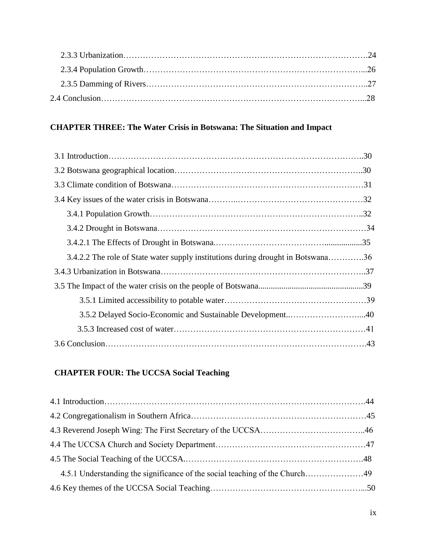# **CHAPTER THREE: The Water Crisis in Botswana: The Situation and Impact**

| 3.4.2.2 The role of State water supply institutions during drought in Botswana36 |  |
|----------------------------------------------------------------------------------|--|
|                                                                                  |  |
|                                                                                  |  |
|                                                                                  |  |
|                                                                                  |  |
|                                                                                  |  |
|                                                                                  |  |

# **CHAPTER FOUR: The UCCSA Social Teaching**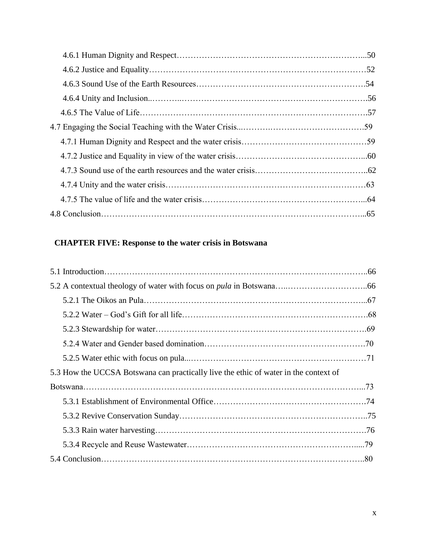# **CHAPTER FIVE: Response to the water crisis in Botswana**

| 5.3 How the UCCSA Botswana can practically live the ethic of water in the context of |  |
|--------------------------------------------------------------------------------------|--|
|                                                                                      |  |
|                                                                                      |  |
|                                                                                      |  |
|                                                                                      |  |
|                                                                                      |  |
|                                                                                      |  |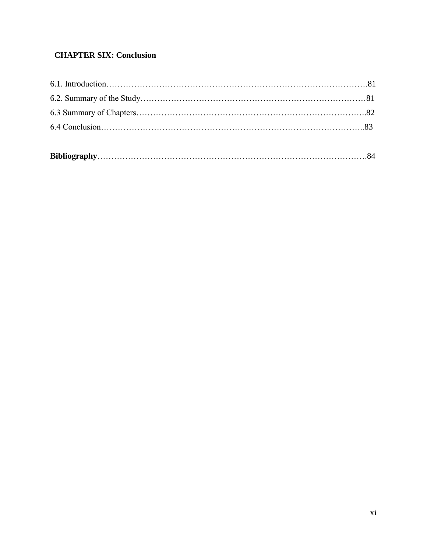# **CHAPTER SIX: Conclusion**

|--|--|--|--|--|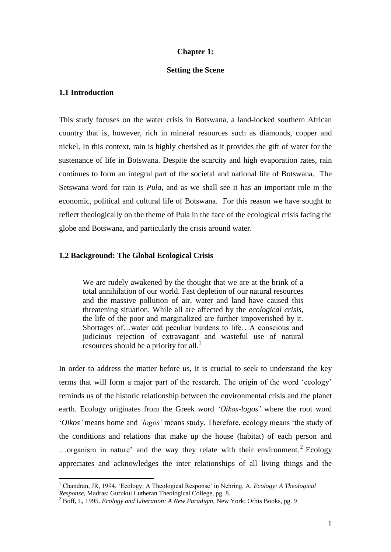#### **Chapter 1:**

#### **Setting the Scene**

## **1.1 Introduction**

 $\overline{a}$ 

This study focuses on the water crisis in Botswana, a land-locked southern African country that is, however, rich in mineral resources such as diamonds, copper and nickel. In this context, rain is highly cherished as it provides the gift of water for the sustenance of life in Botswana. Despite the scarcity and high evaporation rates, rain continues to form an integral part of the societal and national life of Botswana. The Setswana word for rain is *Pula*, and as we shall see it has an important role in the economic, political and cultural life of Botswana. For this reason we have sought to reflect theologically on the theme of Pula in the face of the ecological crisis facing the globe and Botswana, and particularly the crisis around water.

#### **1.2 Background: The Global Ecological Crisis**

We are rudely awakened by the thought that we are at the brink of a total annihilation of our world. Fast depletion of our natural resources and the massive pollution of air, water and land have caused this threatening situation. While all are affected by the *ecological crisis,*  the life of the poor and marginalized are further impoverished by it. Shortages of…water add peculiar burdens to life…A conscious and judicious rejection of extravagant and wasteful use of natural resources should be a priority for all.<sup>1</sup>

In order to address the matter before us, it is crucial to seek to understand the key terms that will form a major part of the research. The origin of the word "ecology" reminds us of the historic relationship between the environmental crisis and the planet earth. Ecology originates from the Greek word *'Oikos-logos'* where the root word "*Oikos'* means home and *'logos'* means study. Therefore, ecology means "the study of the conditions and relations that make up the house (habitat) of each person and ...organism in nature' and the way they relate with their environment.<sup>2</sup> Ecology appreciates and acknowledges the inter relationships of all living things and the

<sup>1</sup> Chandran, JR, 1994. "Ecology: A Theological Response" in Nehring, A, *Ecology: A Theological Response,* Madras: Gurukul Lutheran Theological College, pg. 8.

<sup>2</sup> Boff, L, 1995. *Ecology and Liberation: A New Paradigm,* New York: Orbis Books, pg. 9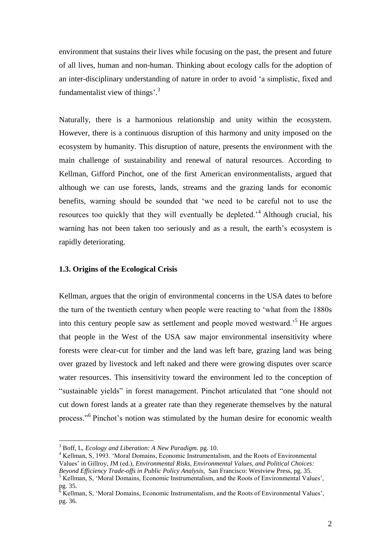environment that sustains their lives while focusing on the past, the present and future of all lives, human and non-human. Thinking about ecology calls for the adoption of an inter-disciplinary understanding of nature in order to avoid "a simplistic, fixed and fundamentalist view of things'.<sup>3</sup>

Naturally, there is a harmonious relationship and unity within the ecosystem. However, there is a continuous disruption of this harmony and unity imposed on the ecosystem by humanity. This disruption of nature, presents the environment with the main challenge of sustainability and renewal of natural resources. According to Kellman, Gifford Pinchot, one of the first American environmentalists, argued that although we can use forests, lands, streams and the grazing lands for economic benefits, warning should be sounded that "we need to be careful not to use the resources too quickly that they will eventually be depleted.<sup>4</sup> Although crucial, his warning has not been taken too seriously and as a result, the earth"s ecosystem is rapidly deteriorating.

## **1.3. Origins of the Ecological Crisis**

Kellman, argues that the origin of environmental concerns in the USA dates to before the turn of the twentieth century when people were reacting to "what from the 1880s into this century people saw as settlement and people moved westward."<sup>5</sup> He argues that people in the West of the USA saw major environmental insensitivity where forests were clear-cut for timber and the land was left bare, grazing land was being over grazed by livestock and left naked and there were growing disputes over scarce water resources. This insensitivity toward the environment led to the conception of "sustainable yields" in forest management. Pinchot articulated that "one should not cut down forest lands at a greater rate than they regenerate themselves by the natural process."<sup>6</sup> Pinchot's notion was stimulated by the human desire for economic wealth

<sup>3</sup> Boff, L, *Ecology and Liberation: A New Paradigm.* pg. 10.

<sup>4</sup> Kellman, S, 1993. "Moral Domains, Economic Instrumentalism, and the Roots of Environmental Values" in Gillroy, JM (ed.), *Environmental Risks, Environmental Values, and Political Choices: Beyond Efficiency Trade-offs in Public Policy Analysis,* San Francisco: Westview Press, pg. 35.

<sup>&</sup>lt;sup>5</sup> Kellman, S, 'Moral Domains, Economic Instrumentalism, and the Roots of Environmental Values',  $pg. 35.$ 

<sup>6</sup> Kellman, S, "Moral Domains, Economic Instrumentalism, and the Roots of Environmental Values", pg. 36.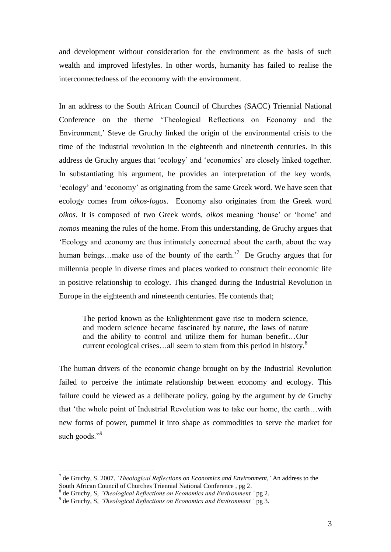and development without consideration for the environment as the basis of such wealth and improved lifestyles. In other words, humanity has failed to realise the interconnectedness of the economy with the environment.

In an address to the South African Council of Churches (SACC) Triennial National Conference on the theme "Theological Reflections on Economy and the Environment," Steve de Gruchy linked the origin of the environmental crisis to the time of the industrial revolution in the eighteenth and nineteenth centuries. In this address de Gruchy argues that "ecology" and "economics" are closely linked together. In substantiating his argument, he provides an interpretation of the key words, "ecology" and "economy" as originating from the same Greek word. We have seen that ecology comes from *oikos-logos*. Economy also originates from the Greek word *oikos*. It is composed of two Greek words, *oikos* meaning "house" or "home" and *nomos* meaning the rules of the home. From this understanding, de Gruchy argues that "Ecology and economy are thus intimately concerned about the earth, about the way human beings...make use of the bounty of the earth.<sup>7</sup> De Gruchy argues that for millennia people in diverse times and places worked to construct their economic life in positive relationship to ecology. This changed during the Industrial Revolution in Europe in the eighteenth and nineteenth centuries. He contends that;

The period known as the Enlightenment gave rise to modern science, and modern science became fascinated by nature, the laws of nature and the ability to control and utilize them for human benefit…Our current ecological crises...all seem to stem from this period in history.<sup>8</sup>

The human drivers of the economic change brought on by the Industrial Revolution failed to perceive the intimate relationship between economy and ecology. This failure could be viewed as a deliberate policy, going by the argument by de Gruchy that "the whole point of Industrial Revolution was to take our home, the earth…with new forms of power, pummel it into shape as commodities to serve the market for such goods."<sup>9</sup>

<sup>7</sup> de Gruchy, S. 2007. *'Theological Reflections on Economics and Environment,'* An address to the South African Council of Churches Triennial National Conference , pg 2.

<sup>8</sup> de Gruchy, S, *'Theological Reflections on Economics and Environment.'* pg 2.

<sup>9</sup> de Gruchy, S, *'Theological Reflections on Economics and Environment.'* pg 3.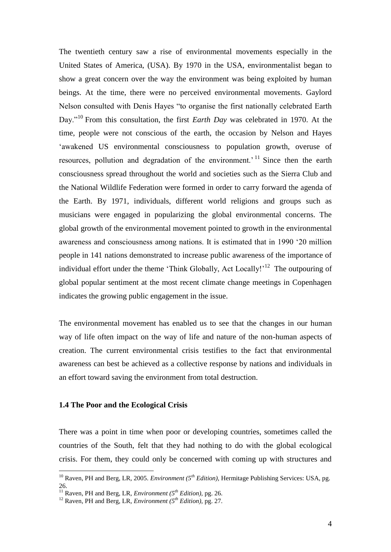The twentieth century saw a rise of environmental movements especially in the United States of America, (USA). By 1970 in the USA, environmentalist began to show a great concern over the way the environment was being exploited by human beings. At the time, there were no perceived environmental movements. Gaylord Nelson consulted with Denis Hayes "to organise the first nationally celebrated Earth Day."<sup>10</sup> From this consultation, the first *Earth Day* was celebrated in 1970. At the time, people were not conscious of the earth, the occasion by Nelson and Hayes 'awakened US environmental consciousness to population growth, overuse of resources, pollution and degradation of the environment.<sup> $11$ </sup> Since then the earth consciousness spread throughout the world and societies such as the Sierra Club and the National Wildlife Federation were formed in order to carry forward the agenda of the Earth. By 1971, individuals, different world religions and groups such as musicians were engaged in popularizing the global environmental concerns. The global growth of the environmental movement pointed to growth in the environmental awareness and consciousness among nations. It is estimated that in 1990 "20 million people in 141 nations demonstrated to increase public awareness of the importance of individual effort under the theme 'Think Globally, Act Locally!'<sup>12</sup> The outpouring of global popular sentiment at the most recent climate change meetings in Copenhagen indicates the growing public engagement in the issue.

The environmental movement has enabled us to see that the changes in our human way of life often impact on the way of life and nature of the non-human aspects of creation. The current environmental crisis testifies to the fact that environmental awareness can best be achieved as a collective response by nations and individuals in an effort toward saving the environment from total destruction.

## **1.4 The Poor and the Ecological Crisis**

 $\overline{a}$ 

There was a point in time when poor or developing countries, sometimes called the countries of the South, felt that they had nothing to do with the global ecological crisis. For them, they could only be concerned with coming up with structures and

<sup>10</sup> Raven, PH and Berg, LR, 2005. *Environment (5th Edition),* Hermitage Publishing Services: USA, pg. 26.

<sup>11</sup> Raven, PH and Berg, LR, *Environment (5th Edition),* pg. 26.

<sup>12</sup> Raven, PH and Berg, LR, *Environment (5th Edition),* pg. 27.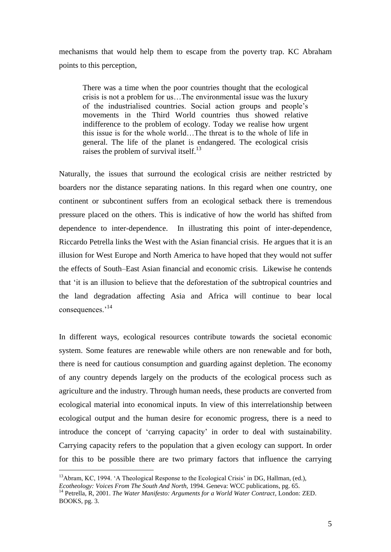mechanisms that would help them to escape from the poverty trap. KC Abraham points to this perception,

There was a time when the poor countries thought that the ecological crisis is not a problem for us…The environmental issue was the luxury of the industrialised countries. Social action groups and people"s movements in the Third World countries thus showed relative indifference to the problem of ecology. Today we realise how urgent this issue is for the whole world…The threat is to the whole of life in general. The life of the planet is endangered. The ecological crisis raises the problem of survival itself.<sup>13</sup>

Naturally, the issues that surround the ecological crisis are neither restricted by boarders nor the distance separating nations. In this regard when one country, one continent or subcontinent suffers from an ecological setback there is tremendous pressure placed on the others. This is indicative of how the world has shifted from dependence to inter-dependence. In illustrating this point of inter-dependence, Riccardo Petrella links the West with the Asian financial crisis. He argues that it is an illusion for West Europe and North America to have hoped that they would not suffer the effects of South–East Asian financial and economic crisis. Likewise he contends that "it is an illusion to believe that the deforestation of the subtropical countries and the land degradation affecting Asia and Africa will continue to bear local consequences.'<sup>14</sup>

In different ways, ecological resources contribute towards the societal economic system. Some features are renewable while others are non renewable and for both, there is need for cautious consumption and guarding against depletion. The economy of any country depends largely on the products of the ecological process such as agriculture and the industry. Through human needs, these products are converted from ecological material into economical inputs. In view of this interrelationship between ecological output and the human desire for economic progress, there is a need to introduce the concept of "carrying capacity" in order to deal with sustainability. Carrying capacity refers to the population that a given ecology can support. In order for this to be possible there are two primary factors that influence the carrying

<sup>&</sup>lt;sup>13</sup>Abram, KC, 1994. 'A Theological Response to the Ecological Crisis' in DG, Hallman, (ed.), *Ecotheology: Voices From The South And North,* 1994. Geneva: WCC publications, pg. 65.

<sup>&</sup>lt;sup>14</sup> Petrella, R, 2001. *The Water Manifesto: Arguments for a World Water Contract*, London: ZED. BOOKS, pg. 3.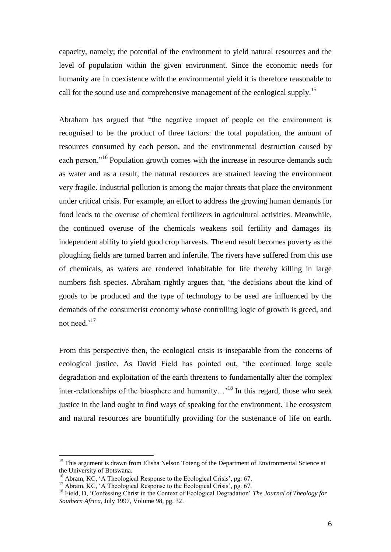capacity, namely; the potential of the environment to yield natural resources and the level of population within the given environment. Since the economic needs for humanity are in coexistence with the environmental yield it is therefore reasonable to call for the sound use and comprehensive management of the ecological supply.<sup>15</sup>

Abraham has argued that "the negative impact of people on the environment is recognised to be the product of three factors: the total population, the amount of resources consumed by each person, and the environmental destruction caused by each person."<sup>16</sup> Population growth comes with the increase in resource demands such as water and as a result, the natural resources are strained leaving the environment very fragile. Industrial pollution is among the major threats that place the environment under critical crisis. For example, an effort to address the growing human demands for food leads to the overuse of chemical fertilizers in agricultural activities. Meanwhile, the continued overuse of the chemicals weakens soil fertility and damages its independent ability to yield good crop harvests. The end result becomes poverty as the ploughing fields are turned barren and infertile. The rivers have suffered from this use of chemicals, as waters are rendered inhabitable for life thereby killing in large numbers fish species. Abraham rightly argues that, "the decisions about the kind of goods to be produced and the type of technology to be used are influenced by the demands of the consumerist economy whose controlling logic of growth is greed, and not need.<sup>'17</sup>

From this perspective then, the ecological crisis is inseparable from the concerns of ecological justice. As David Field has pointed out, "the continued large scale degradation and exploitation of the earth threatens to fundamentally alter the complex inter-relationships of the biosphere and humanity...<sup>18</sup> In this regard, those who seek justice in the land ought to find ways of speaking for the environment. The ecosystem and natural resources are bountifully providing for the sustenance of life on earth.

<sup>&</sup>lt;sup>15</sup> This argument is drawn from Elisha Nelson Toteng of the Department of Environmental Science at the University of Botswana.

<sup>&</sup>lt;sup>16</sup> Abram, KC, 'A Theological Response to the Ecological Crisis', pg. 67.

<sup>&</sup>lt;sup>17</sup> Abram, KC, 'A Theological Response to the Ecological Crisis', pg. 67.

<sup>&</sup>lt;sup>18</sup> Field, D, 'Confessing Christ in the Context of Ecological Degradation' *The Journal of Theology for Southern Africa,* July 1997, Volume 98, pg. 32.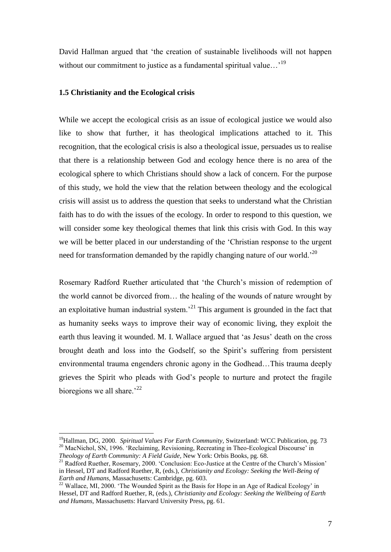David Hallman argued that "the creation of sustainable livelihoods will not happen without our commitment to justice as a fundamental spiritual value...<sup>19</sup>

## **1.5 Christianity and the Ecological crisis**

 $\overline{a}$ 

While we accept the ecological crisis as an issue of ecological justice we would also like to show that further, it has theological implications attached to it. This recognition, that the ecological crisis is also a theological issue, persuades us to realise that there is a relationship between God and ecology hence there is no area of the ecological sphere to which Christians should show a lack of concern. For the purpose of this study, we hold the view that the relation between theology and the ecological crisis will assist us to address the question that seeks to understand what the Christian faith has to do with the issues of the ecology. In order to respond to this question, we will consider some key theological themes that link this crisis with God. In this way we will be better placed in our understanding of the "Christian response to the urgent need for transformation demanded by the rapidly changing nature of our world.<sup>20</sup>

Rosemary Radford Ruether articulated that "the Church"s mission of redemption of the world cannot be divorced from… the healing of the wounds of nature wrought by an exploitative human industrial system.<sup> $21$ </sup> This argument is grounded in the fact that as humanity seeks ways to improve their way of economic living, they exploit the earth thus leaving it wounded. M. I. Wallace argued that 'as Jesus' death on the cross brought death and loss into the Godself, so the Spirit's suffering from persistent environmental trauma engenders chronic agony in the Godhead…This trauma deeply grieves the Spirit who pleads with God"s people to nurture and protect the fragile bioregions we all share.<sup> $22$ </sup>

<sup>&</sup>lt;sup>19</sup>Hallman, DG, 2000. *Spiritual Values For Earth Community*, Switzerland: WCC Publication, pg. 73 <sup>20</sup> MacNichol, SN, 1996. 'Reclaiming, Revisioning, Recreating in Theo-Ecological Discourse' in *Theology of Earth Community: A Field Guide,* New York: Orbis Books, pg. 68.

<sup>&</sup>lt;sup>21</sup> Radford Ruether, Rosemary, 2000. 'Conclusion: Eco-Justice at the Centre of the Church's Mission' in Hessel, DT and Radford Ruether, R, (eds.), *Christianity and Ecology: Seeking the Well-Being of Earth and Humans,* Massachusetts: Cambridge, pg. 603.

<sup>&</sup>lt;sup>22</sup> Wallace, MI, 2000. 'The Wounded Spirit as the Basis for Hope in an Age of Radical Ecology' in Hessel, DT and Radford Ruether, R, (eds.), *Christianity and Ecology: Seeking the Wellbeing of Earth and Humans,* Massachusetts: Harvard University Press, pg. 61.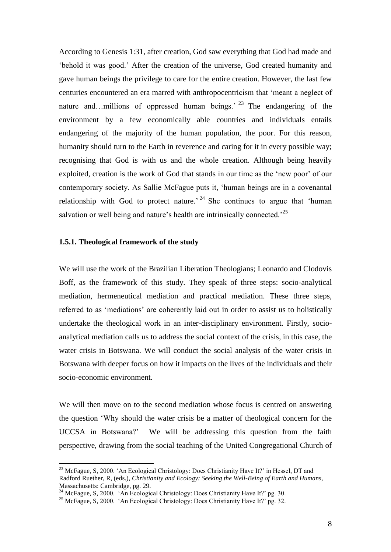According to Genesis 1:31, after creation, God saw everything that God had made and "behold it was good." After the creation of the universe, God created humanity and gave human beings the privilege to care for the entire creation. However, the last few centuries encountered an era marred with anthropocentricism that "meant a neglect of nature and…millions of oppressed human beings.<sup>23</sup> The endangering of the environment by a few economically able countries and individuals entails endangering of the majority of the human population, the poor. For this reason, humanity should turn to the Earth in reverence and caring for it in every possible way; recognising that God is with us and the whole creation. Although being heavily exploited, creation is the work of God that stands in our time as the "new poor" of our contemporary society. As Sallie McFague puts it, "human beings are in a covenantal relationship with God to protect nature.<sup>24</sup> She continues to argue that 'human salvation or well being and nature's health are intrinsically connected.<sup>25</sup>

## **1.5.1. Theological framework of the study**

 $\overline{a}$ 

We will use the work of the Brazilian Liberation Theologians; Leonardo and Clodovis Boff, as the framework of this study. They speak of three steps: socio-analytical mediation, hermeneutical mediation and practical mediation. These three steps, referred to as 'mediations' are coherently laid out in order to assist us to holistically undertake the theological work in an inter-disciplinary environment. Firstly, socioanalytical mediation calls us to address the social context of the crisis, in this case, the water crisis in Botswana. We will conduct the social analysis of the water crisis in Botswana with deeper focus on how it impacts on the lives of the individuals and their socio-economic environment.

We will then move on to the second mediation whose focus is centred on answering the question "Why should the water crisis be a matter of theological concern for the UCCSA in Botswana?" We will be addressing this question from the faith perspective, drawing from the social teaching of the United Congregational Church of

<sup>&</sup>lt;sup>23</sup> McFague, S, 2000. 'An Ecological Christology: Does Christianity Have It?' in Hessel, DT and Radford Ruether, R, (eds.), *Christianity and Ecology: Seeking the Well-Being of Earth and Humans,*  Massachusetts: Cambridge, pg. 29.

 $^{24}$  McFague, S, 2000. 'An Ecological Christology: Does Christianity Have It?' pg. 30.

<sup>&</sup>lt;sup>25</sup> McFague, S, 2000. 'An Ecological Christology: Does Christianity Have It?' pg. 32.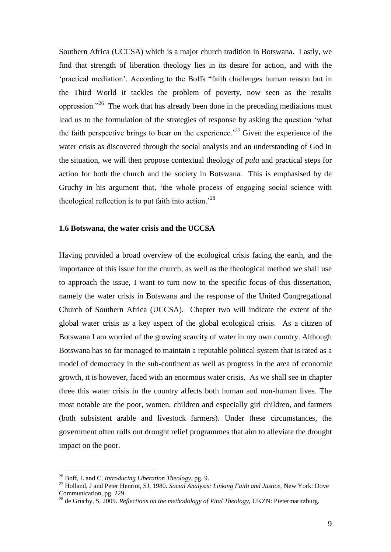Southern Africa (UCCSA) which is a major church tradition in Botswana. Lastly, we find that strength of liberation theology lies in its desire for action, and with the "practical mediation". According to the Boffs "faith challenges human reason but in the Third World it tackles the problem of poverty, now seen as the results oppression."<sup>26</sup> The work that has already been done in the preceding mediations must lead us to the formulation of the strategies of response by asking the question "what the faith perspective brings to bear on the experience.<sup>27</sup> Given the experience of the water crisis as discovered through the social analysis and an understanding of God in the situation, we will then propose contextual theology of *pula* and practical steps for action for both the church and the society in Botswana. This is emphasised by de Gruchy in his argument that, "the whole process of engaging social science with theological reflection is to put faith into action.<sup>28</sup>

### **1.6 Botswana, the water crisis and the UCCSA**

Having provided a broad overview of the ecological crisis facing the earth, and the importance of this issue for the church, as well as the theological method we shall use to approach the issue, I want to turn now to the specific focus of this dissertation, namely the water crisis in Botswana and the response of the United Congregational Church of Southern Africa (UCCSA). Chapter two will indicate the extent of the global water crisis as a key aspect of the global ecological crisis. As a citizen of Botswana I am worried of the growing scarcity of water in my own country. Although Botswana has so far managed to maintain a reputable political system that is rated as a model of democracy in the sub-continent as well as progress in the area of economic growth, it is however, faced with an enormous water crisis. As we shall see in chapter three this water crisis in the country affects both human and non-human lives. The most notable are the poor, women, children and especially girl children, and farmers (both subsistent arable and livestock farmers). Under these circumstances, the government often rolls out drought relief programmes that aim to alleviate the drought impact on the poor.

<sup>26</sup> Boff, L and C, *Introducing Liberation Theology,* pg. 9.

<sup>27</sup> Holland, J and Peter Henriot, SJ, 1980. *Social Analysis: Linking Faith and Justice,* New York: Dove Communication, pg. 229.

<sup>28</sup> de Gruchy, S, 2009. *Reflections on the methodology of Vital Theology,* UKZN: Pietermaritzburg.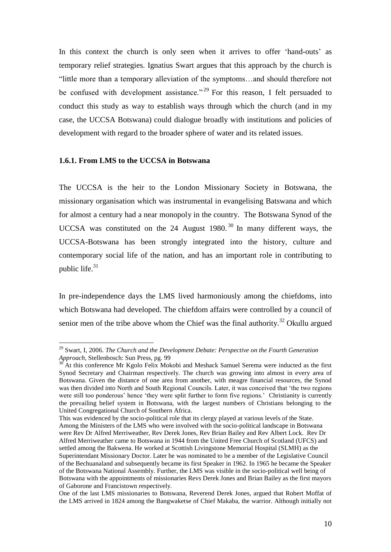In this context the church is only seen when it arrives to offer 'hand-outs' as temporary relief strategies. Ignatius Swart argues that this approach by the church is "little more than a temporary alleviation of the symptoms…and should therefore not be confused with development assistance."<sup>29</sup> For this reason, I felt persuaded to conduct this study as way to establish ways through which the church (and in my case, the UCCSA Botswana) could dialogue broadly with institutions and policies of development with regard to the broader sphere of water and its related issues.

#### **1.6.1. From LMS to the UCCSA in Botswana**

 $\overline{a}$ 

The UCCSA is the heir to the London Missionary Society in Botswana, the missionary organisation which was instrumental in evangelising Batswana and which for almost a century had a near monopoly in the country. The Botswana Synod of the UCCSA was constituted on the 24 August 1980. <sup>30</sup> In many different ways, the UCCSA-Botswana has been strongly integrated into the history, culture and contemporary social life of the nation, and has an important role in contributing to public life.<sup>31</sup>

In pre-independence days the LMS lived harmoniously among the chiefdoms, into which Botswana had developed. The chiefdom affairs were controlled by a council of senior men of the tribe above whom the Chief was the final authority.<sup>32</sup> Okullu argued

<sup>&</sup>lt;sup>29</sup> Swart, I, 2006. *The Church and the Development Debate: Perspective on the Fourth Generation Approach,* Stellenbosch: Sun Press, pg. 99

<sup>&</sup>lt;sup>30</sup> At this conference Mr Kgolo Felix Mokobi and Meshack Samuel Serema were inducted as the first Synod Secretary and Chairman respectively. The church was growing into almost in every area of Botswana. Given the distance of one area from another, with meagre financial resources, the Synod was then divided into North and South Regional Councils. Later, it was conceived that "the two regions were still too ponderous' hence 'they were split further to form five regions.' Christianity is currently the prevailing belief system in Botswana, with the largest numbers of Christians belonging to the United Congregational Church of Southern Africa.

This was evidenced by the socio-political role that its clergy played at various levels of the State. Among the Ministers of the LMS who were involved with the socio-political landscape in Botswana were Rev Dr Alfred Merriweather, Rev Derek Jones, Rev Brian Bailey and Rev Albert Lock. Rev Dr Alfred Merriweather came to Botswana in 1944 from the United Free Church of Scotland (UFCS) and settled among the Bakwena. He worked at Scottish Livingstone Memorial Hospital (SLMH) as the Superintendant Missionary Doctor. Later he was nominated to be a member of the Legislative Council of the Bechuanaland and subsequently became its first Speaker in 1962. In 1965 he became the Speaker of the Botswana National Assembly. Further, the LMS was visible in the socio-political well being of Botswana with the appointments of missionaries Revs Derek Jones and Brian Bailey as the first mayors of Gaborone and Francistown respectively.

One of the last LMS missionaries to Botswana, Reverend Derek Jones, argued that Robert Moffat of the LMS arrived in 1824 among the Bangwaketse of Chief Makaba, the warrior. Although initially not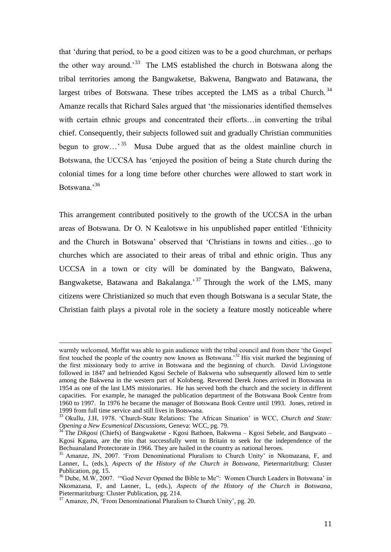that "during that period, to be a good citizen was to be a good churchman, or perhaps the other way around.<sup>33</sup> The LMS established the church in Botswana along the tribal territories among the Bangwaketse, Bakwena, Bangwato and Batawana, the largest tribes of Botswana. These tribes accepted the LMS as a tribal Church.<sup>34</sup> Amanze recalls that Richard Sales argued that "the missionaries identified themselves with certain ethnic groups and concentrated their efforts...in converting the tribal chief. Consequently, their subjects followed suit and gradually Christian communities begun to grow...<sup>35</sup> Musa Dube argued that as the oldest mainline church in Botswana, the UCCSA has "enjoyed the position of being a State church during the colonial times for a long time before other churches were allowed to start work in Botswana.'<sup>36</sup>

This arrangement contributed positively to the growth of the UCCSA in the urban areas of Botswana. Dr O. N Kealotswe in his unpublished paper entitled "Ethnicity and the Church in Botswana" observed that "Christians in towns and cities…go to churches which are associated to their areas of tribal and ethnic origin. Thus any UCCSA in a town or city will be dominated by the Bangwato, Bakwena, Bangwaketse, Batawana and Bakalanga.<sup>37</sup> Through the work of the LMS, many citizens were Christianized so much that even though Botswana is a secular State, the Christian faith plays a pivotal role in the society a feature mostly noticeable where

warmly welcomed, Moffat was able to gain audience with the tribal council and from there "the Gospel first touched the people of the country now known as Botswana.<sup>32</sup> His visit marked the beginning of the first missionary body to arrive in Botswana and the beginning of church. David Livingstone followed in 1847 and befriended Kgosi Sechele of Bakwena who subsequently allowed him to settle among the Bakwena in the western part of Kolobeng. Reverend Derek Jones arrived in Botswana in 1954 as one of the last LMS missionaries. He has served both the church and the society in different capacities. For example, he managed the publication department of the Botswana Book Centre from 1960 to 1997. In 1976 he became the manager of Botswana Book Centre until 1993. Jones, retired in 1999 from full time service and still lives in Botswana.

<sup>&</sup>lt;sup>33</sup> Okullu, J.H, 1978. 'Church-State Relations: The African Situation' in WCC, *Church and State: Opening a New Ecumenical Discussions,* Geneva: WCC, pg. 79.

<sup>&</sup>lt;sup>34</sup> The *Dikgosi* (Chiefs) of Bangwaketse - Kgosi Bathoen, Bakwena – Kgosi Sebele, and Bangwato – Kgosi Kgama, are the trio that successfully went to Britain to seek for the independence of the Bechuanaland Protectorate in 1966. They are hailed in the country as national heroes.

<sup>&</sup>lt;sup>35</sup> Amanze, JN, 2007. 'From Denominational Pluralism to Church Unity' in Nkomazana, F, and Lanner, L, (eds.), *Aspects of the History of the Church in Botswana*, Pietermaritzburg: Cluster Publication, pg. 15.

<sup>&</sup>lt;sup>36</sup> Dube, M.W, 2007. "God Never Opened the Bible to Me": Women Church Leaders in Botswana' in Nkomazana, F, and Lanner, L, (eds.), *Aspects of the History of the Church in Botswana*, Pietermaritzburg: Cluster Publication, pg. 214.

<sup>&</sup>lt;sup>37</sup> Amanze, JN, 'From Denominational Pluralism to Church Unity', pg. 20.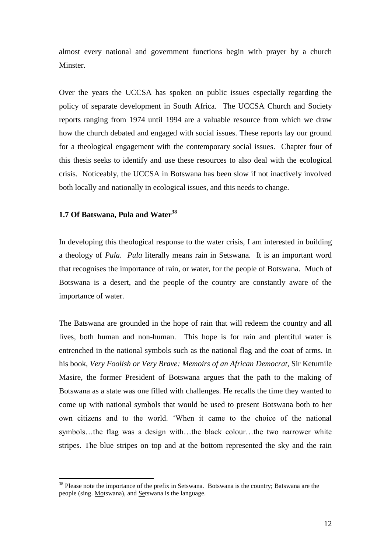almost every national and government functions begin with prayer by a church Minster.

Over the years the UCCSA has spoken on public issues especially regarding the policy of separate development in South Africa. The UCCSA Church and Society reports ranging from 1974 until 1994 are a valuable resource from which we draw how the church debated and engaged with social issues. These reports lay our ground for a theological engagement with the contemporary social issues. Chapter four of this thesis seeks to identify and use these resources to also deal with the ecological crisis. Noticeably, the UCCSA in Botswana has been slow if not inactively involved both locally and nationally in ecological issues, and this needs to change.

## **1.7 Of Batswana, Pula and Water<sup>38</sup>**

 $\overline{a}$ 

In developing this theological response to the water crisis, I am interested in building a theology of *Pula*. *Pula* literally means rain in Setswana. It is an important word that recognises the importance of rain, or water, for the people of Botswana. Much of Botswana is a desert, and the people of the country are constantly aware of the importance of water.

The Batswana are grounded in the hope of rain that will redeem the country and all lives, both human and non-human. This hope is for rain and plentiful water is entrenched in the national symbols such as the national flag and the coat of arms. In his book, *Very Foolish or Very Brave: Memoirs of an African Democrat*, Sir Ketumile Masire, the former President of Botswana argues that the path to the making of Botswana as a state was one filled with challenges. He recalls the time they wanted to come up with national symbols that would be used to present Botswana both to her own citizens and to the world. "When it came to the choice of the national symbols…the flag was a design with…the black colour…the two narrower white stripes. The blue stripes on top and at the bottom represented the sky and the rain

<sup>&</sup>lt;sup>38</sup> Please note the importance of the prefix in Setswana. Botswana is the country; Batswana are the people (sing. Motswana), and Setswana is the language.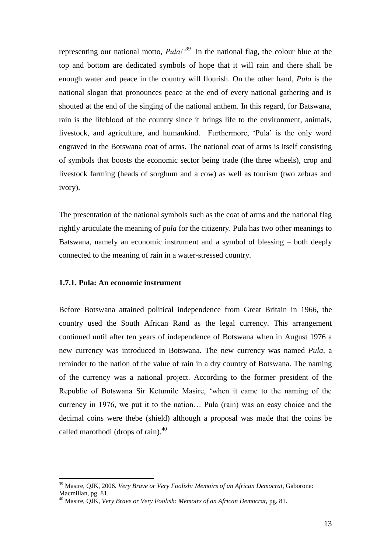representing our national motto, *Pula!'<sup>39</sup>* In the national flag, the colour blue at the top and bottom are dedicated symbols of hope that it will rain and there shall be enough water and peace in the country will flourish. On the other hand, *Pula* is the national slogan that pronounces peace at the end of every national gathering and is shouted at the end of the singing of the national anthem. In this regard, for Batswana, rain is the lifeblood of the country since it brings life to the environment, animals, livestock, and agriculture, and humankind. Furthermore, "Pula" is the only word engraved in the Botswana coat of arms. The national coat of arms is itself consisting of symbols that boosts the economic sector being trade (the three wheels), crop and livestock farming (heads of sorghum and a cow) as well as tourism (two zebras and ivory).

The presentation of the national symbols such as the coat of arms and the national flag rightly articulate the meaning of *pula* for the citizenry. Pula has two other meanings to Batswana, namely an economic instrument and a symbol of blessing – both deeply connected to the meaning of rain in a water-stressed country.

### **1.7.1. Pula: An economic instrument**

 $\overline{a}$ 

Before Botswana attained political independence from Great Britain in 1966, the country used the South African Rand as the legal currency. This arrangement continued until after ten years of independence of Botswana when in August 1976 a new currency was introduced in Botswana. The new currency was named *Pula*, a reminder to the nation of the value of rain in a dry country of Botswana. The naming of the currency was a national project. According to the former president of the Republic of Botswana Sir Ketumile Masire, "when it came to the naming of the currency in 1976, we put it to the nation… Pula (rain) was an easy choice and the decimal coins were thebe (shield) although a proposal was made that the coins be called marothodi (drops of rain).<sup>40</sup>

<sup>39</sup> Masire, QJK, 2006. *Very Brave or Very Foolish: Memoirs of an African Democrat,* Gaborone: Macmillan, pg. 81.

<sup>40</sup> Masire, QJK, *Very Brave or Very Foolish: Memoirs of an African Democrat,* pg. 81.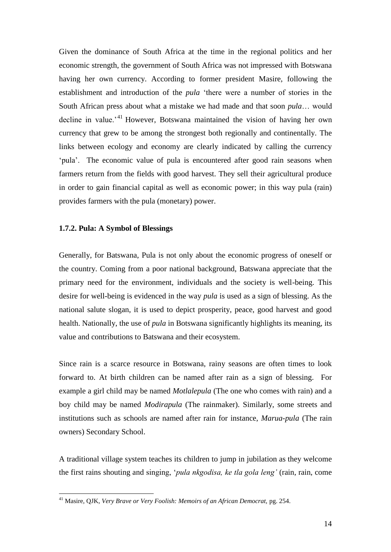Given the dominance of South Africa at the time in the regional politics and her economic strength, the government of South Africa was not impressed with Botswana having her own currency. According to former president Masire, following the establishment and introduction of the *pula* "there were a number of stories in the South African press about what a mistake we had made and that soon *pula*… would decline in value.<sup>41</sup> However, Botswana maintained the vision of having her own currency that grew to be among the strongest both regionally and continentally. The links between ecology and economy are clearly indicated by calling the currency 'pula'. The economic value of pula is encountered after good rain seasons when farmers return from the fields with good harvest. They sell their agricultural produce in order to gain financial capital as well as economic power; in this way pula (rain) provides farmers with the pula (monetary) power.

#### **1.7.2. Pula: A Symbol of Blessings**

 $\overline{a}$ 

Generally, for Batswana, Pula is not only about the economic progress of oneself or the country. Coming from a poor national background, Batswana appreciate that the primary need for the environment, individuals and the society is well-being. This desire for well-being is evidenced in the way *pula* is used as a sign of blessing. As the national salute slogan, it is used to depict prosperity, peace, good harvest and good health. Nationally, the use of *pula* in Botswana significantly highlights its meaning, its value and contributions to Batswana and their ecosystem.

Since rain is a scarce resource in Botswana, rainy seasons are often times to look forward to. At birth children can be named after rain as a sign of blessing. For example a girl child may be named *Motlalepula* (The one who comes with rain) and a boy child may be named *Modirapula* (The rainmaker). Similarly, some streets and institutions such as schools are named after rain for instance, *Marua-pula* (The rain owners) Secondary School.

A traditional village system teaches its children to jump in jubilation as they welcome the first rains shouting and singing, "*pula nkgodisa, ke tla gola leng'* (rain, rain, come

<sup>41</sup> Masire, QJK, *Very Brave or Very Foolish: Memoirs of an African Democrat,* pg. 254.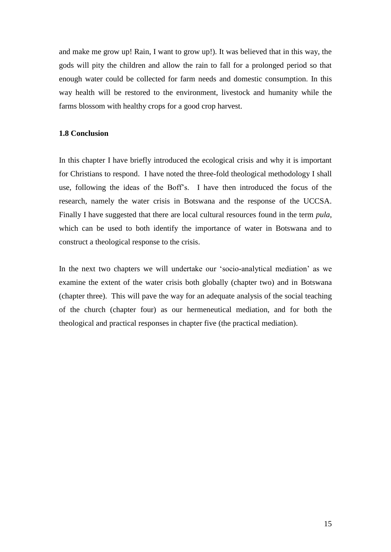and make me grow up! Rain, I want to grow up!). It was believed that in this way, the gods will pity the children and allow the rain to fall for a prolonged period so that enough water could be collected for farm needs and domestic consumption. In this way health will be restored to the environment, livestock and humanity while the farms blossom with healthy crops for a good crop harvest.

## **1.8 Conclusion**

In this chapter I have briefly introduced the ecological crisis and why it is important for Christians to respond. I have noted the three-fold theological methodology I shall use, following the ideas of the Boff"s. I have then introduced the focus of the research, namely the water crisis in Botswana and the response of the UCCSA. Finally I have suggested that there are local cultural resources found in the term *pula*, which can be used to both identify the importance of water in Botswana and to construct a theological response to the crisis.

In the next two chapters we will undertake our "socio-analytical mediation" as we examine the extent of the water crisis both globally (chapter two) and in Botswana (chapter three). This will pave the way for an adequate analysis of the social teaching of the church (chapter four) as our hermeneutical mediation, and for both the theological and practical responses in chapter five (the practical mediation).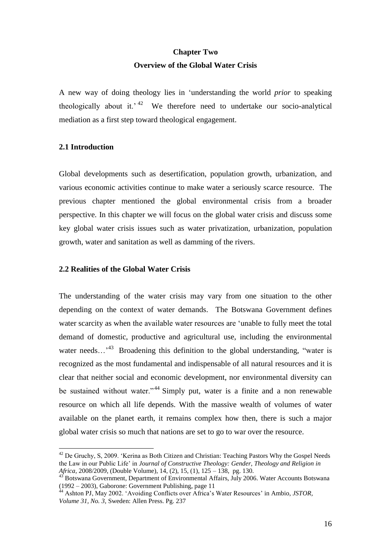# **Chapter Two Overview of the Global Water Crisis**

A new way of doing theology lies in "understanding the world *prior* to speaking theologically about it.<sup> $42$ </sup> We therefore need to undertake our socio-analytical mediation as a first step toward theological engagement.

#### **2.1 Introduction**

 $\overline{a}$ 

Global developments such as desertification, population growth, urbanization, and various economic activities continue to make water a seriously scarce resource. The previous chapter mentioned the global environmental crisis from a broader perspective. In this chapter we will focus on the global water crisis and discuss some key global water crisis issues such as water privatization, urbanization, population growth, water and sanitation as well as damming of the rivers.

## **2.2 Realities of the Global Water Crisis**

The understanding of the water crisis may vary from one situation to the other depending on the context of water demands. The Botswana Government defines water scarcity as when the available water resources are "unable to fully meet the total demand of domestic, productive and agricultural use, including the environmental water needs...<sup>43</sup> Broadening this definition to the global understanding, "water is recognized as the most fundamental and indispensable of all natural resources and it is clear that neither social and economic development, nor environmental diversity can be sustained without water."<sup>44</sup> Simply put, water is a finite and a non renewable resource on which all life depends. With the massive wealth of volumes of water available on the planet earth, it remains complex how then, there is such a major global water crisis so much that nations are set to go to war over the resource.

<sup>&</sup>lt;sup>42</sup> De Gruchy, S, 2009. 'Kerina as Both Citizen and Christian: Teaching Pastors Why the Gospel Needs the Law in our Public Life" in *Journal of Constructive Theology: Gender, Theology and Religion in Africa,* 2008/2009, (Double Volume), 14, (2), 15, (1), 125 – 138, pg. 130.

 $43<sup>43</sup>$  Botswana Government, Department of Environmental Affairs, July 2006. Water Accounts Botswana (1992 – 2003), Gaborone: Government Publishing, page 11<br>
<sup>44</sup> Achitecture: Contract Publishing, page 11

<sup>&</sup>lt;sup>4</sup> Ashton PJ, May 2002. 'Avoiding Conflicts over Africa's Water Resources' in Ambio, *JSTOR*, *Volume 31, No. 3,* Sweden: Allen Press. Pg. 237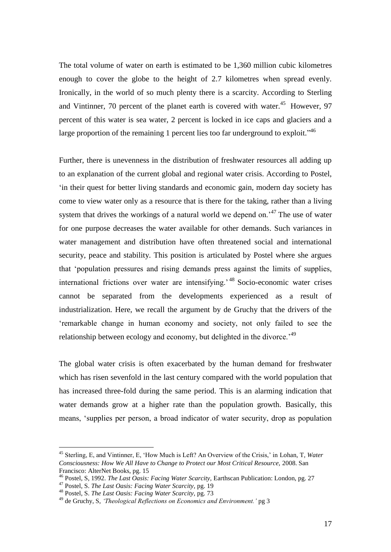The total volume of water on earth is estimated to be 1,360 million cubic kilometres enough to cover the globe to the height of 2.7 kilometres when spread evenly. Ironically, in the world of so much plenty there is a scarcity. According to Sterling and Vintinner, 70 percent of the planet earth is covered with water.<sup>45</sup> However, 97 percent of this water is sea water, 2 percent is locked in ice caps and glaciers and a large proportion of the remaining 1 percent lies too far underground to exploit."<sup>46</sup>

Further, there is unevenness in the distribution of freshwater resources all adding up to an explanation of the current global and regional water crisis. According to Postel, in their quest for better living standards and economic gain, modern day society has come to view water only as a resource that is there for the taking, rather than a living system that drives the workings of a natural world we depend on.<sup>47</sup> The use of water for one purpose decreases the water available for other demands. Such variances in water management and distribution have often threatened social and international security, peace and stability. This position is articulated by Postel where she argues that "population pressures and rising demands press against the limits of supplies, international frictions over water are intensifying.<sup>48</sup> Socio-economic water crises cannot be separated from the developments experienced as a result of industrialization. Here, we recall the argument by de Gruchy that the drivers of the "remarkable change in human economy and society, not only failed to see the relationship between ecology and economy, but delighted in the divorce.<sup>49</sup>

The global water crisis is often exacerbated by the human demand for freshwater which has risen sevenfold in the last century compared with the world population that has increased three-fold during the same period. This is an alarming indication that water demands grow at a higher rate than the population growth. Basically, this means, "supplies per person, a broad indicator of water security, drop as population

<sup>45</sup> Sterling, E, and Vintinner, E, "How Much is Left? An Overview of the Crisis," in Lohan, T*, Water Consciousness: How We All Have to Change to Protect our Most Critical Resource,* 2008. San Francisco: AlterNet Books, pg. 15

<sup>46</sup> Postel, S, 1992. *The Last Oasis: Facing Water Scarcity,* Earthscan Publication: London, pg. 27

<sup>47</sup> Postel, S. *The Last Oasis: Facing Water Scarcity,* pg. 19

<sup>48</sup> Postel, S. *The Last Oasis: Facing Water Scarcity,* pg. 73

<sup>49</sup> de Gruchy, S, *'Theological Reflections on Economics and Environment.'* pg 3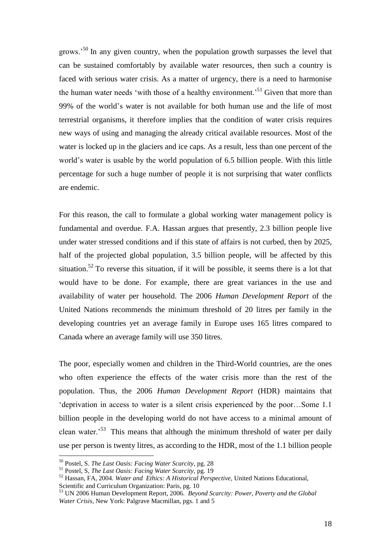grows.<sup>50</sup> In any given country, when the population growth surpasses the level that can be sustained comfortably by available water resources, then such a country is faced with serious water crisis. As a matter of urgency, there is a need to harmonise the human water needs 'with those of a healthy environment.<sup>51</sup> Given that more than 99% of the world"s water is not available for both human use and the life of most terrestrial organisms, it therefore implies that the condition of water crisis requires new ways of using and managing the already critical available resources. Most of the water is locked up in the glaciers and ice caps. As a result, less than one percent of the world's water is usable by the world population of 6.5 billion people. With this little percentage for such a huge number of people it is not surprising that water conflicts are endemic.

For this reason, the call to formulate a global working water management policy is fundamental and overdue. F.A. Hassan argues that presently, 2.3 billion people live under water stressed conditions and if this state of affairs is not curbed, then by 2025, half of the projected global population, 3.5 billion people, will be affected by this situation.<sup>52</sup> To reverse this situation, if it will be possible, it seems there is a lot that would have to be done. For example, there are great variances in the use and availability of water per household. The 2006 *Human Development Report* of the United Nations recommends the minimum threshold of 20 litres per family in the developing countries yet an average family in Europe uses 165 litres compared to Canada where an average family will use 350 litres.

The poor, especially women and children in the Third-World countries, are the ones who often experience the effects of the water crisis more than the rest of the population. Thus, the 2006 *Human Development Report* (HDR) maintains that "deprivation in access to water is a silent crisis experienced by the poor…Some 1.1 billion people in the developing world do not have access to a minimal amount of clean water.<sup>53</sup> This means that although the minimum threshold of water per daily use per person is twenty litres, as according to the HDR, most of the 1.1 billion people

<sup>50</sup> Postel, S. *The Last Oasis: Facing Water Scarcity,* pg. 28

<sup>51</sup> Postel, S, *The Last Oasis: Facing Water Scarcity,* pg. 19

<sup>52</sup> Hassan, FA, 2004. *Water and Ethics: A Historical Perspective,* United Nations Educational, Scientific and Curriculum Organization: Paris, pg. 10

<sup>53</sup> UN 2006 Human Development Report, 2006. *Beyond Scarcity: Power, Poverty and the Global Water Crisis,* New York: Palgrave Macmillan, pgs. 1 and 5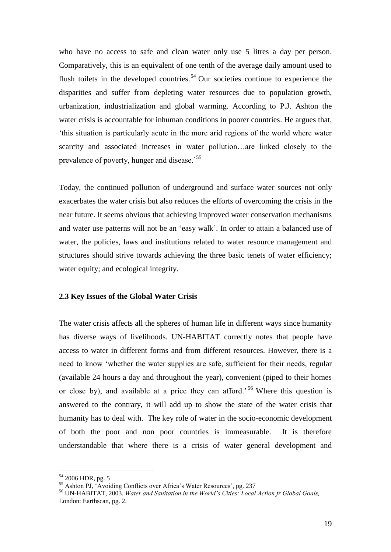who have no access to safe and clean water only use 5 litres a day per person. Comparatively, this is an equivalent of one tenth of the average daily amount used to flush toilets in the developed countries.<sup>54</sup> Our societies continue to experience the disparities and suffer from depleting water resources due to population growth, urbanization, industrialization and global warming. According to P.J. Ashton the water crisis is accountable for inhuman conditions in poorer countries. He argues that, "this situation is particularly acute in the more arid regions of the world where water scarcity and associated increases in water pollution…are linked closely to the prevalence of poverty, hunger and disease.<sup>55</sup>

Today, the continued pollution of underground and surface water sources not only exacerbates the water crisis but also reduces the efforts of overcoming the crisis in the near future. It seems obvious that achieving improved water conservation mechanisms and water use patterns will not be an "easy walk". In order to attain a balanced use of water, the policies, laws and institutions related to water resource management and structures should strive towards achieving the three basic tenets of water efficiency; water equity; and ecological integrity.

#### **2.3 Key Issues of the Global Water Crisis**

The water crisis affects all the spheres of human life in different ways since humanity has diverse ways of livelihoods. UN-HABITAT correctly notes that people have access to water in different forms and from different resources. However, there is a need to know "whether the water supplies are safe, sufficient for their needs, regular (available 24 hours a day and throughout the year), convenient (piped to their homes or close by), and available at a price they can afford.<sup>56</sup> Where this question is answered to the contrary, it will add up to show the state of the water crisis that humanity has to deal with. The key role of water in the socio-economic development of both the poor and non poor countries is immeasurable. It is therefore understandable that where there is a crisis of water general development and

<sup>&</sup>lt;sup>54</sup> 2006 HDR, pg. 5

<sup>&</sup>lt;sup>55</sup> Ashton PJ, 'Avoiding Conflicts over Africa's Water Resources', pg. 237

<sup>56</sup> UN-HABITAT, 2003. *Water and Sanitation in the World's Cities: Local Action fr Global Goals,* London: Earthscan, pg. 2.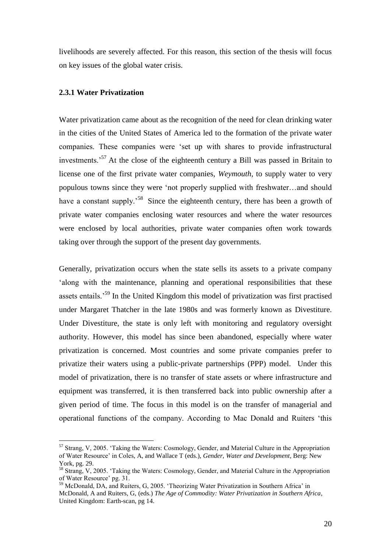livelihoods are severely affected. For this reason, this section of the thesis will focus on key issues of the global water crisis.

## **2.3.1 Water Privatization**

 $\overline{a}$ 

Water privatization came about as the recognition of the need for clean drinking water in the cities of the United States of America led to the formation of the private water companies. These companies were "set up with shares to provide infrastructural investments.<sup>57</sup> At the close of the eighteenth century a Bill was passed in Britain to license one of the first private water companies, *Weymouth*, to supply water to very populous towns since they were "not properly supplied with freshwater…and should have a constant supply.<sup>58</sup> Since the eighteenth century, there has been a growth of private water companies enclosing water resources and where the water resources were enclosed by local authorities, private water companies often work towards taking over through the support of the present day governments.

Generally, privatization occurs when the state sells its assets to a private company along with the maintenance, planning and operational responsibilities that these assets entails.<sup>59</sup> In the United Kingdom this model of privatization was first practised under Margaret Thatcher in the late 1980s and was formerly known as Divestiture. Under Divestiture, the state is only left with monitoring and regulatory oversight authority. However, this model has since been abandoned, especially where water privatization is concerned. Most countries and some private companies prefer to privatize their waters using a public-private partnerships (PPP) model. Under this model of privatization, there is no transfer of state assets or where infrastructure and equipment was transferred, it is then transferred back into public ownership after a given period of time. The focus in this model is on the transfer of managerial and operational functions of the company. According to Mac Donald and Ruiters "this

<sup>&</sup>lt;sup>57</sup> Strang, V, 2005. 'Taking the Waters: Cosmology, Gender, and Material Culture in the Appropriation of Water Resource" in Coles, A, and Wallace T (eds.), *Gender, Water and Development*, Berg: New York, pg. 29.

<sup>&</sup>lt;sup>58</sup> Strang, V, 2005. 'Taking the Waters: Cosmology, Gender, and Material Culture in the Appropriation of Water Resource" pg. 31.

<sup>&</sup>lt;sup>59</sup> McDonald, DA, and Ruiters, G, 2005. 'Theorizing Water Privatization in Southern Africa' in McDonald, A and Ruiters, G, (eds.) *The Age of Commodity: Water Privatization in Southern Africa*, United Kingdom: Earth-scan, pg 14.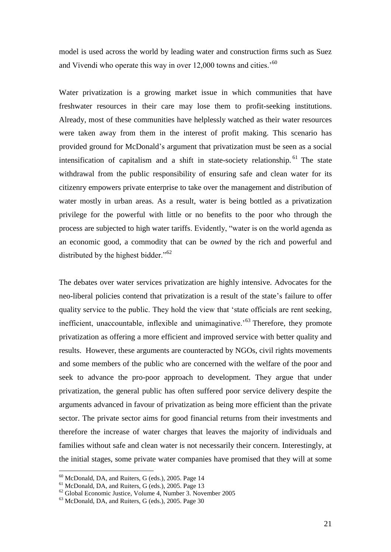model is used across the world by leading water and construction firms such as Suez and Vivendi who operate this way in over 12,000 towns and cities.<sup>'60</sup>

Water privatization is a growing market issue in which communities that have freshwater resources in their care may lose them to profit-seeking institutions. Already, most of these communities have helplessly watched as their water resources were taken away from them in the interest of profit making. This scenario has provided ground for McDonald"s argument that privatization must be seen as a social intensification of capitalism and a shift in state-society relationship. <sup>61</sup> The state withdrawal from the public responsibility of ensuring safe and clean water for its citizenry empowers private enterprise to take over the management and distribution of water mostly in urban areas. As a result, water is being bottled as a privatization privilege for the powerful with little or no benefits to the poor who through the process are subjected to high water tariffs. Evidently, "water is on the world agenda as an economic good, a commodity that can be *owned* by the rich and powerful and distributed by the highest bidder."<sup>62</sup>

The debates over water services privatization are highly intensive. Advocates for the neo-liberal policies contend that privatization is a result of the state"s failure to offer quality service to the public. They hold the view that "state officials are rent seeking, inefficient, unaccountable, inflexible and unimaginative.<sup> $53$ </sup> Therefore, they promote privatization as offering a more efficient and improved service with better quality and results. However, these arguments are counteracted by NGOs, civil rights movements and some members of the public who are concerned with the welfare of the poor and seek to advance the pro-poor approach to development. They argue that under privatization, the general public has often suffered poor service delivery despite the arguments advanced in favour of privatization as being more efficient than the private sector. The private sector aims for good financial returns from their investments and therefore the increase of water charges that leaves the majority of individuals and families without safe and clean water is not necessarily their concern. Interestingly, at the initial stages, some private water companies have promised that they will at some

<sup>60</sup> McDonald, DA, and Ruiters, G (eds.), 2005. Page 14

<sup>61</sup> McDonald, DA, and Ruiters, G (eds.), 2005. Page 13

<sup>62</sup> Global Economic Justice, Volume 4, Number 3. November 2005

 $63$  McDonald, DA, and Ruiters, G (eds.), 2005. Page 30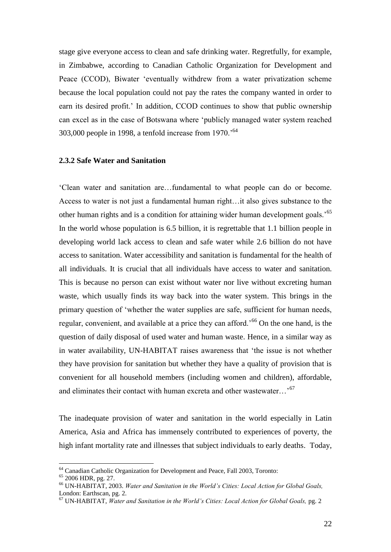stage give everyone access to clean and safe drinking water. Regretfully, for example, in Zimbabwe, according to Canadian Catholic Organization for Development and Peace (CCOD), Biwater "eventually withdrew from a water privatization scheme because the local population could not pay the rates the company wanted in order to earn its desired profit.' In addition, CCOD continues to show that public ownership can excel as in the case of Botswana where "publicly managed water system reached 303,000 people in 1998, a tenfold increase from  $1970.^{64}$ 

#### **2.3.2 Safe Water and Sanitation**

"Clean water and sanitation are…fundamental to what people can do or become. Access to water is not just a fundamental human right…it also gives substance to the other human rights and is a condition for attaining wider human development goals.<sup>55</sup> In the world whose population is 6.5 billion, it is regrettable that 1.1 billion people in developing world lack access to clean and safe water while 2.6 billion do not have access to sanitation. Water accessibility and sanitation is fundamental for the health of all individuals. It is crucial that all individuals have access to water and sanitation. This is because no person can exist without water nor live without excreting human waste, which usually finds its way back into the water system. This brings in the primary question of "whether the water supplies are safe, sufficient for human needs, regular, convenient, and available at a price they can afford.<sup>56</sup> On the one hand, is the question of daily disposal of used water and human waste. Hence, in a similar way as in water availability, UN-HABITAT raises awareness that "the issue is not whether they have provision for sanitation but whether they have a quality of provision that is convenient for all household members (including women and children), affordable, and eliminates their contact with human excreta and other wastewater...<sup>67</sup>

The inadequate provision of water and sanitation in the world especially in Latin America, Asia and Africa has immensely contributed to experiences of poverty, the high infant mortality rate and illnesses that subject individuals to early deaths. Today,

<sup>&</sup>lt;sup>64</sup> Canadian Catholic Organization for Development and Peace, Fall 2003, Toronto:

<sup>65</sup> 2006 HDR, pg. 27.

<sup>66</sup> UN-HABITAT, 2003. *Water and Sanitation in the World's Cities: Local Action for Global Goals,* London: Earthscan, pg. 2.

<sup>67</sup> UN-HABITAT, *Water and Sanitation in the World's Cities: Local Action for Global Goals,* pg. 2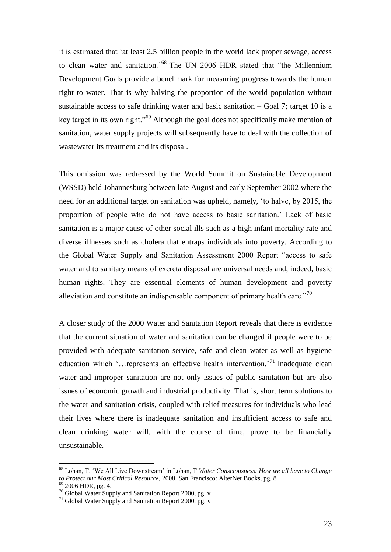it is estimated that "at least 2.5 billion people in the world lack proper sewage, access to clean water and sanitation.<sup>68</sup> The UN 2006 HDR stated that "the Millennium Development Goals provide a benchmark for measuring progress towards the human right to water. That is why halving the proportion of the world population without sustainable access to safe drinking water and basic sanitation  $-$  Goal 7; target 10 is a key target in its own right."<sup>69</sup> Although the goal does not specifically make mention of sanitation, water supply projects will subsequently have to deal with the collection of wastewater its treatment and its disposal.

This omission was redressed by the World Summit on Sustainable Development (WSSD) held Johannesburg between late August and early September 2002 where the need for an additional target on sanitation was upheld, namely, "to halve, by 2015, the proportion of people who do not have access to basic sanitation." Lack of basic sanitation is a major cause of other social ills such as a high infant mortality rate and diverse illnesses such as cholera that entraps individuals into poverty. According to the Global Water Supply and Sanitation Assessment 2000 Report "access to safe water and to sanitary means of excreta disposal are universal needs and, indeed, basic human rights. They are essential elements of human development and poverty alleviation and constitute an indispensable component of primary health care."<sup>70</sup>

A closer study of the 2000 Water and Sanitation Report reveals that there is evidence that the current situation of water and sanitation can be changed if people were to be provided with adequate sanitation service, safe and clean water as well as hygiene education which '... represents an effective health intervention.<sup>71</sup> Inadequate clean water and improper sanitation are not only issues of public sanitation but are also issues of economic growth and industrial productivity. That is, short term solutions to the water and sanitation crisis, coupled with relief measures for individuals who lead their lives where there is inadequate sanitation and insufficient access to safe and clean drinking water will, with the course of time, prove to be financially unsustainable.

<sup>68</sup> Lohan, T, "We All Live Downstream" in Lohan, T *Water Consciousness: How we all have to Change to Protect our Most Critical Resource,* 2008. San Francisco: AlterNet Books, pg. 8

<sup>69</sup> 2006 HDR, pg. 4.

 $70$  Global Water Supply and Sanitation Report 2000, pg. v

 $71$  Global Water Supply and Sanitation Report 2000, pg. v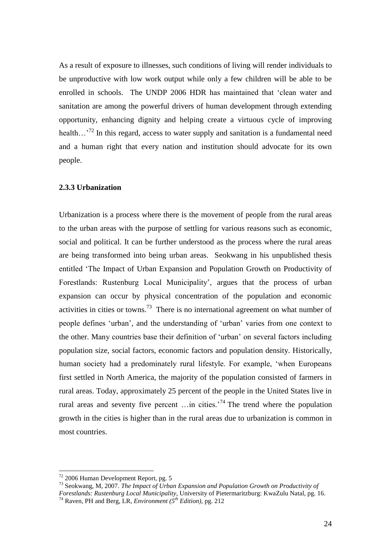As a result of exposure to illnesses, such conditions of living will render individuals to be unproductive with low work output while only a few children will be able to be enrolled in schools. The UNDP 2006 HDR has maintained that "clean water and sanitation are among the powerful drivers of human development through extending opportunity, enhancing dignity and helping create a virtuous cycle of improving health...<sup>72</sup> In this regard, access to water supply and sanitation is a fundamental need and a human right that every nation and institution should advocate for its own people.

#### **2.3.3 Urbanization**

Urbanization is a process where there is the movement of people from the rural areas to the urban areas with the purpose of settling for various reasons such as economic, social and political. It can be further understood as the process where the rural areas are being transformed into being urban areas. Seokwang in his unpublished thesis entitled "The Impact of Urban Expansion and Population Growth on Productivity of Forestlands: Rustenburg Local Municipality', argues that the process of urban expansion can occur by physical concentration of the population and economic activities in cities or towns.<sup>73</sup> There is no international agreement on what number of people defines "urban", and the understanding of "urban" varies from one context to the other. Many countries base their definition of "urban" on several factors including population size, social factors, economic factors and population density. Historically, human society had a predominately rural lifestyle. For example, "when Europeans first settled in North America, the majority of the population consisted of farmers in rural areas. Today, approximately 25 percent of the people in the United States live in rural areas and seventy five percent  $\dots$  in cities.<sup>74</sup> The trend where the population growth in the cities is higher than in the rural areas due to urbanization is common in most countries.

 $72$  2006 Human Development Report, pg. 5

<sup>73</sup> Seokwang, M, 2007. *The Impact of Urban Expansion and Population Growth on Productivity of* 

*Forestlands: Rustenburg Local Municipality*, University of Pietermaritzburg: KwaZulu Natal, pg. 16.

<sup>74</sup> Raven, PH and Berg, LR, *Environment (5th Edition),* pg. 212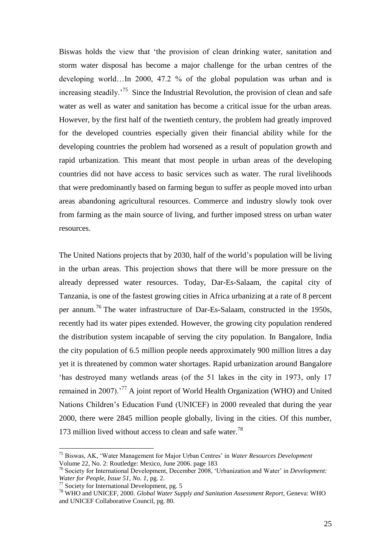Biswas holds the view that "the provision of clean drinking water, sanitation and storm water disposal has become a major challenge for the urban centres of the developing world…In 2000, 47.2 % of the global population was urban and is increasing steadily.<sup>75</sup> Since the Industrial Revolution, the provision of clean and safe water as well as water and sanitation has become a critical issue for the urban areas. However, by the first half of the twentieth century, the problem had greatly improved for the developed countries especially given their financial ability while for the developing countries the problem had worsened as a result of population growth and rapid urbanization. This meant that most people in urban areas of the developing countries did not have access to basic services such as water. The rural livelihoods that were predominantly based on farming begun to suffer as people moved into urban areas abandoning agricultural resources. Commerce and industry slowly took over from farming as the main source of living, and further imposed stress on urban water resources.

The United Nations projects that by 2030, half of the world"s population will be living in the urban areas. This projection shows that there will be more pressure on the already depressed water resources. Today, Dar-Es-Salaam, the capital city of Tanzania, is one of the fastest growing cities in Africa urbanizing at a rate of 8 percent per annum.<sup>76</sup> The water infrastructure of Dar-Es-Salaam, constructed in the 1950s, recently had its water pipes extended. However, the growing city population rendered the distribution system incapable of serving the city population. In Bangalore, India the city population of 6.5 million people needs approximately 900 million litres a day yet it is threatened by common water shortages. Rapid urbanization around Bangalore "has destroyed many wetlands areas (of the 51 lakes in the city in 1973, only 17 remained in 2007).<sup>77</sup> A joint report of World Health Organization (WHO) and United Nations Children"s Education Fund (UNICEF) in 2000 revealed that during the year 2000, there were 2845 million people globally, living in the cities. Of this number, 173 million lived without access to clean and safe water.<sup>78</sup>

<sup>75</sup> Biswas, AK, "Water Management for Major Urban Centres" in *Water Resources Development* Volume 22, No. 2: Routledge: Mexico, June 2006. page 183

<sup>76</sup> Society for International Development, December 2008, "Urbanization and Water" in *Development: Water for People, Issue 51, No. 1,* pg. 2.

<sup>77</sup> Society for International Development, pg. 5

<sup>78</sup> WHO and UNICEF, 2000. *Global Water Supply and Sanitation Assessment Report,* Geneva: WHO and UNICEF Collaborative Council, pg. 80.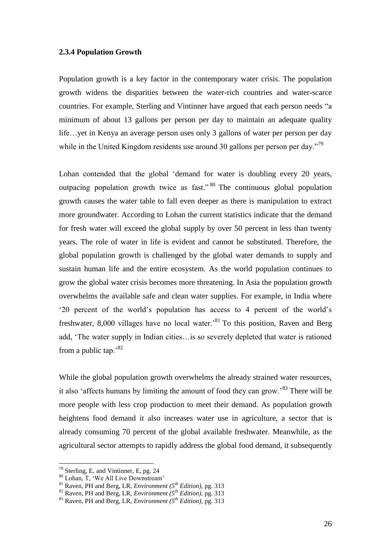## **2.3.4 Population Growth**

Population growth is a key factor in the contemporary water crisis. The population growth widens the disparities between the water-rich countries and water-scarce countries. For example, Sterling and Vintinner have argued that each person needs "a minimum of about 13 gallons per person per day to maintain an adequate quality life…yet in Kenya an average person uses only 3 gallons of water per person per day while in the United Kingdom residents use around 30 gallons per person per day."<sup>79</sup>

Lohan contended that the global "demand for water is doubling every 20 years, outpacing population growth twice as fast." <sup>80</sup> The continuous global population growth causes the water table to fall even deeper as there is manipulation to extract more groundwater. According to Lohan the current statistics indicate that the demand for fresh water will exceed the global supply by over 50 percent in less than twenty years. The role of water in life is evident and cannot be substituted. Therefore, the global population growth is challenged by the global water demands to supply and sustain human life and the entire ecosystem. As the world population continues to grow the global water crisis becomes more threatening. In Asia the population growth overwhelms the available safe and clean water supplies. For example, in India where "20 percent of the world"s population has access to 4 percent of the world"s freshwater, 8,000 villages have no local water.<sup>81</sup> To this position, Raven and Berg add, "The water supply in Indian cities…is so severely depleted that water is rationed from a public tap. $^{82}$ 

While the global population growth overwhelms the already strained water resources, it also 'affects humans by limiting the amount of food they can grow.'<sup>83</sup> There will be more people with less crop production to meet their demand. As population growth heightens food demand it also increases water use in agriculture, a sector that is already consuming 70 percent of the global available freshwater. Meanwhile, as the agricultural sector attempts to rapidly address the global food demand, it subsequently

 $79$  Sterling, E, and Vintinner, E, pg. 24

<sup>80</sup> Lohan, T, "We All Live Downstream"

<sup>81</sup> Raven, PH and Berg, LR, *Environment (5th Edition),* pg. 313

<sup>82</sup> Raven, PH and Berg, LR, *Environment (5th Edition),* pg. 313

<sup>83</sup> Raven, PH and Berg, LR, *Environment (5th Edition),* pg. 313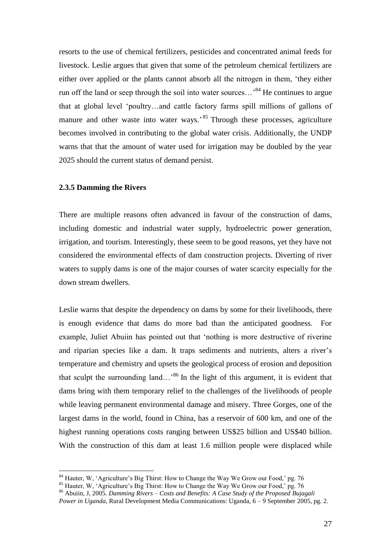resorts to the use of chemical fertilizers, pesticides and concentrated animal feeds for livestock. Leslie argues that given that some of the petroleum chemical fertilizers are either over applied or the plants cannot absorb all the nitrogen in them, "they either run off the land or seep through the soil into water sources...<sup>84</sup> He continues to argue that at global level "poultry…and cattle factory farms spill millions of gallons of manure and other waste into water ways.<sup>85</sup> Through these processes, agriculture becomes involved in contributing to the global water crisis. Additionally, the UNDP warns that that the amount of water used for irrigation may be doubled by the year 2025 should the current status of demand persist.

## **2.3.5 Damming the Rivers**

 $\overline{a}$ 

There are multiple reasons often advanced in favour of the construction of dams, including domestic and industrial water supply, hydroelectric power generation, irrigation, and tourism. Interestingly, these seem to be good reasons, yet they have not considered the environmental effects of dam construction projects. Diverting of river waters to supply dams is one of the major courses of water scarcity especially for the down stream dwellers.

Leslie warns that despite the dependency on dams by some for their livelihoods, there is enough evidence that dams do more bad than the anticipated goodness. For example, Juliet Abuiin has pointed out that "nothing is more destructive of riverine and riparian species like a dam. It traps sediments and nutrients, alters a river"s temperature and chemistry and upsets the geological process of erosion and deposition that sculpt the surrounding land...<sup>86</sup> In the light of this argument, it is evident that dams bring with them temporary relief to the challenges of the livelihoods of people while leaving permanent environmental damage and misery. Three Gorges, one of the largest dams in the world, found in China, has a reservoir of 600 km, and one of the highest running operations costs ranging between US\$25 billion and US\$40 billion. With the construction of this dam at least 1.6 million people were displaced while

<sup>&</sup>lt;sup>84</sup> Hauter, W, 'Agriculture's Big Thirst: How to Change the Way We Grow our Food,' pg. 76

<sup>&</sup>lt;sup>85</sup> Hauter, W, 'Agriculture's Big Thirst: How to Change the Way We Grow our Food,' pg. 76<sup>85</sup>

<sup>86</sup> Abuiin, J, 2005. *Damming Rivers – Costs and Benefits: A Case Study of the Proposed Bujagali* 

*Power in Uganda,* Rural Development Media Communications: Uganda, 6 – 9 September 2005, pg. 2.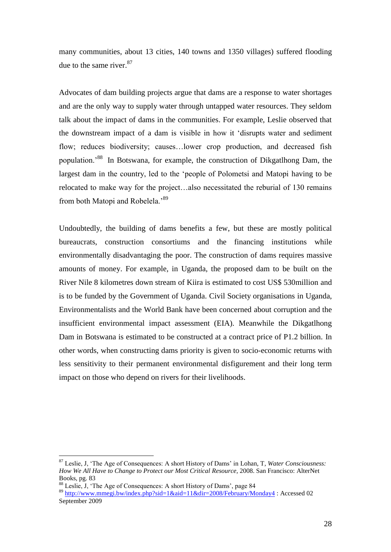many communities, about 13 cities, 140 towns and 1350 villages) suffered flooding due to the same river. 87

Advocates of dam building projects argue that dams are a response to water shortages and are the only way to supply water through untapped water resources. They seldom talk about the impact of dams in the communities. For example, Leslie observed that the downstream impact of a dam is visible in how it "disrupts water and sediment flow; reduces biodiversity; causes…lower crop production, and decreased fish population."<sup>88</sup> In Botswana, for example, the construction of Dikgatlhong Dam, the largest dam in the country, led to the "people of Polometsi and Matopi having to be relocated to make way for the project…also necessitated the reburial of 130 remains from both Matopi and Robelela.'<sup>89</sup>

Undoubtedly, the building of dams benefits a few, but these are mostly political bureaucrats, construction consortiums and the financing institutions while environmentally disadvantaging the poor. The construction of dams requires massive amounts of money. For example, in Uganda, the proposed dam to be built on the River Nile 8 kilometres down stream of Kiira is estimated to cost US\$ 530million and is to be funded by the Government of Uganda. Civil Society organisations in Uganda, Environmentalists and the World Bank have been concerned about corruption and the insufficient environmental impact assessment (EIA). Meanwhile the Dikgatlhong Dam in Botswana is estimated to be constructed at a contract price of P1.2 billion. In other words, when constructing dams priority is given to socio-economic returns with less sensitivity to their permanent environmental disfigurement and their long term impact on those who depend on rivers for their livelihoods.

<sup>87</sup> Leslie, J, "The Age of Consequences: A short History of Dams" in Lohan, T*, Water Consciousness: How We All Have to Change to Protect our Most Critical Resource,* 2008. San Francisco: AlterNet Books, pg. 83

<sup>88</sup> Leslie, J, 'The Age of Consequences: A short History of Dams', page 84

<sup>89</sup> <http://www.mmegi.bw/index.php?sid=1&aid=11&dir=2008/February/Monday4> : Accessed 02 September 2009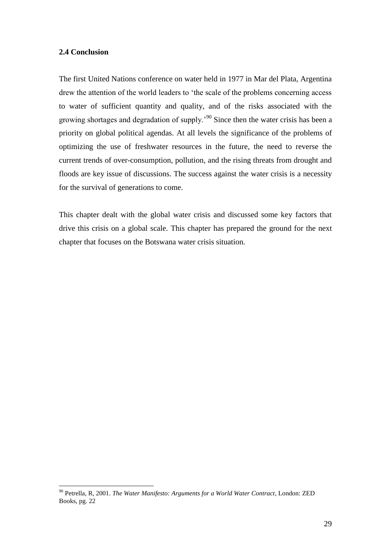## **2.4 Conclusion**

 $\overline{a}$ 

The first United Nations conference on water held in 1977 in Mar del Plata, Argentina drew the attention of the world leaders to 'the scale of the problems concerning access to water of sufficient quantity and quality, and of the risks associated with the growing shortages and degradation of supply.<sup>90</sup> Since then the water crisis has been a priority on global political agendas. At all levels the significance of the problems of optimizing the use of freshwater resources in the future, the need to reverse the current trends of over-consumption, pollution, and the rising threats from drought and floods are key issue of discussions. The success against the water crisis is a necessity for the survival of generations to come.

This chapter dealt with the global water crisis and discussed some key factors that drive this crisis on a global scale. This chapter has prepared the ground for the next chapter that focuses on the Botswana water crisis situation.

<sup>90</sup> Petrella, R, 2001. *The Water Manifesto: Arguments for a World Water Contract*, London: ZED Books, pg. 22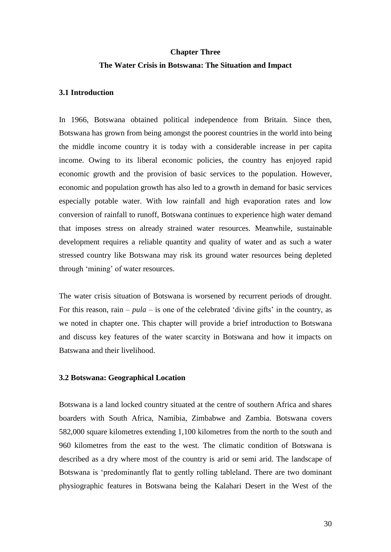#### **Chapter Three**

## **The Water Crisis in Botswana: The Situation and Impact**

## **3.1 Introduction**

In 1966, Botswana obtained political independence from Britain. Since then, Botswana has grown from being amongst the poorest countries in the world into being the middle income country it is today with a considerable increase in per capita income. Owing to its liberal economic policies, the country has enjoyed rapid economic growth and the provision of basic services to the population. However, economic and population growth has also led to a growth in demand for basic services especially potable water. With low rainfall and high evaporation rates and low conversion of rainfall to runoff, Botswana continues to experience high water demand that imposes stress on already strained water resources. Meanwhile, sustainable development requires a reliable quantity and quality of water and as such a water stressed country like Botswana may risk its ground water resources being depleted through "mining" of water resources.

The water crisis situation of Botswana is worsened by recurrent periods of drought. For this reason, rain –  $pula$  – is one of the celebrated 'divine gifts' in the country, as we noted in chapter one. This chapter will provide a brief introduction to Botswana and discuss key features of the water scarcity in Botswana and how it impacts on Batswana and their livelihood.

## **3.2 Botswana: Geographical Location**

Botswana is a land locked country situated at the centre of southern Africa and shares boarders with South Africa, Namibia, Zimbabwe and Zambia. Botswana covers 582,000 square kilometres extending 1,100 kilometres from the north to the south and 960 kilometres from the east to the west. The climatic condition of Botswana is described as a dry where most of the country is arid or semi arid. The landscape of Botswana is "predominantly flat to gently rolling tableland. There are two dominant physiographic features in Botswana being the Kalahari Desert in the West of the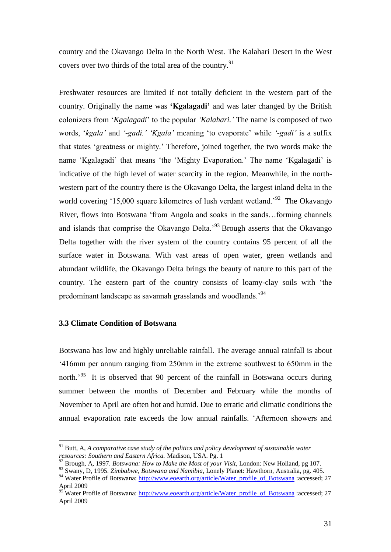country and the Okavango Delta in the North West. The Kalahari Desert in the West covers over two thirds of the total area of the country.<sup>91</sup>

Freshwater resources are limited if not totally deficient in the western part of the country. Originally the name was **'Kgalagadi'** and was later changed by the British colonizers from "*Kgalagadi*" to the popular *'Kalahari.'* The name is composed of two words, "*kgala'* and *'-gadi.' 'Kgala'* meaning "to evaporate" while *'-gadi'* is a suffix that states "greatness or mighty." Therefore, joined together, the two words make the name 'Kgalagadi' that means 'the 'Mighty Evaporation.' The name 'Kgalagadi' is indicative of the high level of water scarcity in the region. Meanwhile, in the northwestern part of the country there is the Okavango Delta, the largest inland delta in the world covering '15,000 square kilometres of lush verdant wetland.<sup>'92</sup> The Okavango River, flows into Botswana "from Angola and soaks in the sands…forming channels and islands that comprise the Okavango Delta.<sup>93</sup> Brough asserts that the Okavango Delta together with the river system of the country contains 95 percent of all the surface water in Botswana. With vast areas of open water, green wetlands and abundant wildlife, the Okavango Delta brings the beauty of nature to this part of the country. The eastern part of the country consists of loamy-clay soils with "the predominant landscape as savannah grasslands and woodlands.<sup>94</sup>

# **3.3 Climate Condition of Botswana**

 $\overline{a}$ 

Botswana has low and highly unreliable rainfall. The average annual rainfall is about "416mm per annum ranging from 250mm in the extreme southwest to 650mm in the north.<sup>'95</sup> It is observed that 90 percent of the rainfall in Botswana occurs during summer between the months of December and February while the months of November to April are often hot and humid. Due to erratic arid climatic conditions the annual evaporation rate exceeds the low annual rainfalls. "Afternoon showers and

<sup>91</sup> Butt, A, *A comparative case study of the politics and policy development of sustainable water resources: Southern and Eastern Africa.* Madison, USA. Pg. 1

<sup>92</sup> Brough, A, 1997. *Botswana: How to Make the Most of your Visit,* London: New Holland, pg 107.

<sup>93</sup> Swany, D, 1995. *Zimbabwe, Botswana and Namibia,* Lonely Planet: Hawthorn, Australia, pg. 405. <sup>94</sup> Water Profile of Botswana: [http://www.eoearth.org/article/Water\\_profile\\_of\\_Botswana](http://www.eoearth.org/article/Water_profile_of_Botswana) :accessed; 27 April 2009

<sup>&</sup>lt;sup>95</sup> Water Profile of Botswana: [http://www.eoearth.org/article/Water\\_profile\\_of\\_Botswana](http://www.eoearth.org/article/Water_profile_of_Botswana) :accessed; 27 April 2009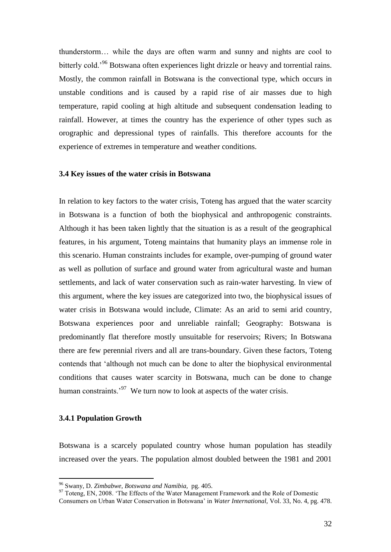thunderstorm… while the days are often warm and sunny and nights are cool to bitterly cold.<sup>'96</sup> Botswana often experiences light drizzle or heavy and torrential rains. Mostly, the common rainfall in Botswana is the convectional type, which occurs in unstable conditions and is caused by a rapid rise of air masses due to high temperature, rapid cooling at high altitude and subsequent condensation leading to rainfall. However, at times the country has the experience of other types such as orographic and depressional types of rainfalls. This therefore accounts for the experience of extremes in temperature and weather conditions.

### **3.4 Key issues of the water crisis in Botswana**

In relation to key factors to the water crisis, Toteng has argued that the water scarcity in Botswana is a function of both the biophysical and anthropogenic constraints. Although it has been taken lightly that the situation is as a result of the geographical features, in his argument, Toteng maintains that humanity plays an immense role in this scenario. Human constraints includes for example, over-pumping of ground water as well as pollution of surface and ground water from agricultural waste and human settlements, and lack of water conservation such as rain-water harvesting. In view of this argument, where the key issues are categorized into two, the biophysical issues of water crisis in Botswana would include, Climate: As an arid to semi arid country, Botswana experiences poor and unreliable rainfall; Geography: Botswana is predominantly flat therefore mostly unsuitable for reservoirs; Rivers; In Botswana there are few perennial rivers and all are trans-boundary. Given these factors, Toteng contends that "although not much can be done to alter the biophysical environmental conditions that causes water scarcity in Botswana, much can be done to change human constraints. $197$  We turn now to look at aspects of the water crisis.

#### **3.4.1 Population Growth**

 $\overline{a}$ 

Botswana is a scarcely populated country whose human population has steadily increased over the years. The population almost doubled between the 1981 and 2001

<sup>96</sup> Swany, D. *Zimbabwe, Botswana and Namibia,* pg. 405.

<sup>&</sup>lt;sup>97</sup> Toteng, EN, 2008. 'The Effects of the Water Management Framework and the Role of Domestic

Consumers on Urban Water Conservation in Botswana" in *Water International,* Vol. 33, No. 4, pg. 478.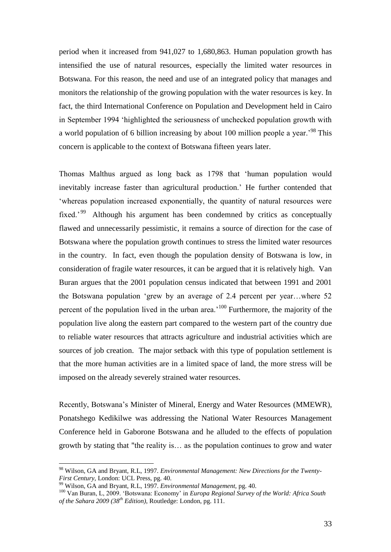period when it increased from 941,027 to 1,680,863. Human population growth has intensified the use of natural resources, especially the limited water resources in Botswana. For this reason, the need and use of an integrated policy that manages and monitors the relationship of the growing population with the water resources is key. In fact, the third International Conference on Population and Development held in Cairo in September 1994 "highlighted the seriousness of unchecked population growth with a world population of 6 billion increasing by about 100 million people a year.<sup>98</sup> This concern is applicable to the context of Botswana fifteen years later.

Thomas Malthus argued as long back as 1798 that "human population would inevitably increase faster than agricultural production." He further contended that "whereas population increased exponentially, the quantity of natural resources were fixed.<sup>'99</sup> Although his argument has been condemned by critics as conceptually flawed and unnecessarily pessimistic, it remains a source of direction for the case of Botswana where the population growth continues to stress the limited water resources in the country. In fact, even though the population density of Botswana is low, in consideration of fragile water resources, it can be argued that it is relatively high. Van Buran argues that the 2001 population census indicated that between 1991 and 2001 the Botswana population "grew by an average of 2.4 percent per year…where 52 percent of the population lived in the urban area.<sup> $100$ </sup> Furthermore, the majority of the population live along the eastern part compared to the western part of the country due to reliable water resources that attracts agriculture and industrial activities which are sources of job creation. The major setback with this type of population settlement is that the more human activities are in a limited space of land, the more stress will be imposed on the already severely strained water resources.

Recently, Botswana"s Minister of Mineral, Energy and Water Resources (MMEWR), Ponatshego Kedikilwe was addressing the National Water Resources Management Conference held in Gaborone Botswana and he alluded to the effects of population growth by stating that "the reality is… as the population continues to grow and water

<sup>98</sup> Wilson, GA and Bryant, R.L, 1997. *Environmental Management: New Directions for the Twenty-First Century,* London: UCL Press, pg. 40.

<sup>99</sup> Wilson, GA and Bryant, R.L, 1997. *Environmental Management,* pg. 40.

<sup>100</sup> Van Buran, L, 2009. "Botswana: Economy" in *Europa Regional Survey of the World: Africa South of the Sahara 2009 (38th Edition)*, Routledge: London, pg. 111.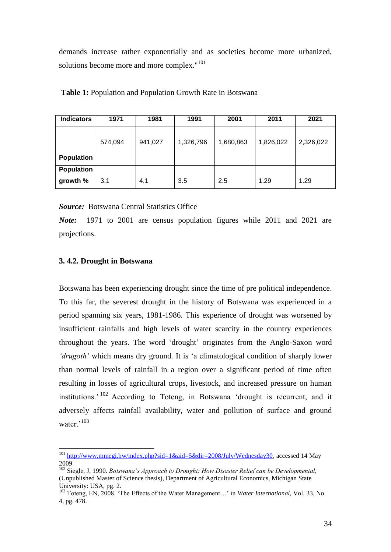demands increase rather exponentially and as societies become more urbanized, solutions become more and more complex."<sup>101</sup>

| <b>Indicators</b> | 1971    | 1981    | 1991      | 2001      | 2011      | 2021      |
|-------------------|---------|---------|-----------|-----------|-----------|-----------|
|                   | 574,094 | 941,027 | 1,326,796 | 1,680,863 | 1,826,022 | 2,326,022 |
| <b>Population</b> |         |         |           |           |           |           |
| Population        |         |         |           |           |           |           |
| growth %          | 3.1     | 4.1     | 3.5       | 2.5       | 1.29      | 1.29      |

| Table 1: Population and Population Growth Rate in Botswana |  |
|------------------------------------------------------------|--|
|------------------------------------------------------------|--|

*Source:* Botswana Central Statistics Office

*Note:* 1971 to 2001 are census population figures while 2011 and 2021 are projections.

# **3. 4.2. Drought in Botswana**

 $\overline{a}$ 

Botswana has been experiencing drought since the time of pre political independence. To this far, the severest drought in the history of Botswana was experienced in a period spanning six years, 1981-1986. This experience of drought was worsened by insufficient rainfalls and high levels of water scarcity in the country experiences throughout the years. The word "drought" originates from the Anglo-Saxon word *'drugoth'* which means dry ground. It is "a climatological condition of sharply lower than normal levels of rainfall in a region over a significant period of time often resulting in losses of agricultural crops, livestock, and increased pressure on human institutions.<sup>' 102</sup> According to Toteng, in Botswana 'drought is recurrent, and it adversely affects rainfall availability, water and pollution of surface and ground water. $103$ 

<sup>&</sup>lt;sup>101</sup> [http://www.mmegi.bw/index.php?sid=1&aid=5&dir=2008/July/Wednesday30,](http://www.mmegi.bw/index.php?sid=1&aid=5&dir=2008/July/Wednesday30) accessed 14 May 2009

<sup>&</sup>lt;sup>102</sup> Siegle, J, 1990. *Botswana's Approach to Drought: How Disaster Relief can be Developmental,* (Unpublished Master of Science thesis), Department of Agricultural Economics, Michigan State University: USA, pg. 2.

<sup>&</sup>lt;sup>103</sup> Toteng, EN, 2008. 'The Effects of the Water Management...' in *Water International*, Vol. 33, No. 4, pg. 478.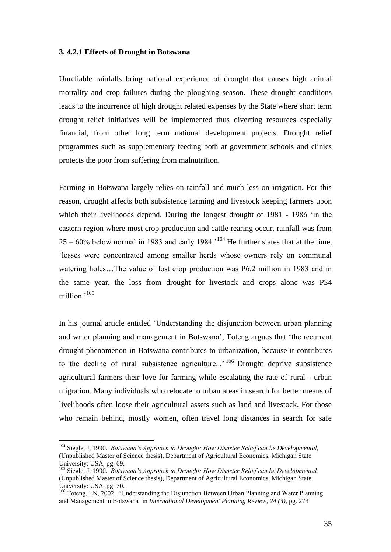## **3. 4.2.1 Effects of Drought in Botswana**

Unreliable rainfalls bring national experience of drought that causes high animal mortality and crop failures during the ploughing season. These drought conditions leads to the incurrence of high drought related expenses by the State where short term drought relief initiatives will be implemented thus diverting resources especially financial, from other long term national development projects. Drought relief programmes such as supplementary feeding both at government schools and clinics protects the poor from suffering from malnutrition.

Farming in Botswana largely relies on rainfall and much less on irrigation. For this reason, drought affects both subsistence farming and livestock keeping farmers upon which their livelihoods depend. During the longest drought of 1981 - 1986 "in the eastern region where most crop production and cattle rearing occur, rainfall was from  $25 - 60\%$  below normal in 1983 and early 1984.<sup>'104</sup> He further states that at the time, "losses were concentrated among smaller herds whose owners rely on communal watering holes…The value of lost crop production was P6.2 million in 1983 and in the same year, the loss from drought for livestock and crops alone was P34 million.'<sup>105</sup>

In his journal article entitled "Understanding the disjunction between urban planning and water planning and management in Botswana", Toteng argues that "the recurrent drought phenomenon in Botswana contributes to urbanization, because it contributes to the decline of rural subsistence agriculture...'<sup>106</sup> Drought deprive subsistence agricultural farmers their love for farming while escalating the rate of rural - urban migration. Many individuals who relocate to urban areas in search for better means of livelihoods often loose their agricultural assets such as land and livestock. For those who remain behind, mostly women, often travel long distances in search for safe

<sup>104</sup> Siegle, J, 1990. *Botswana's Approach to Drought: How Disaster Relief can be Developmental,*  (Unpublished Master of Science thesis), Department of Agricultural Economics, Michigan State University: USA, pg. 69.

<sup>105</sup> Siegle, J, 1990. *Botswana's Approach to Drought: How Disaster Relief can be Developmental,*  (Unpublished Master of Science thesis), Department of Agricultural Economics, Michigan State University: USA, pg. 70.

<sup>&</sup>lt;sup>106</sup> Toteng, EN, 2002. 'Understanding the Disjunction Between Urban Planning and Water Planning and Management in Botswana" in *International Development Planning Review, 24 (3),* pg. 273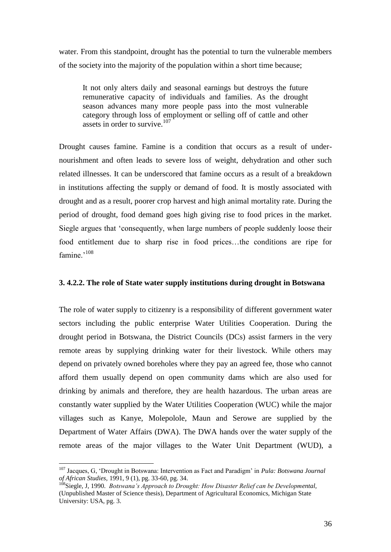water. From this standpoint, drought has the potential to turn the vulnerable members of the society into the majority of the population within a short time because;

It not only alters daily and seasonal earnings but destroys the future remunerative capacity of individuals and families. As the drought season advances many more people pass into the most vulnerable category through loss of employment or selling off of cattle and other assets in order to survive.<sup>107</sup>

Drought causes famine. Famine is a condition that occurs as a result of undernourishment and often leads to severe loss of weight, dehydration and other such related illnesses. It can be underscored that famine occurs as a result of a breakdown in institutions affecting the supply or demand of food. It is mostly associated with drought and as a result, poorer crop harvest and high animal mortality rate. During the period of drought, food demand goes high giving rise to food prices in the market. Siegle argues that "consequently, when large numbers of people suddenly loose their food entitlement due to sharp rise in food prices…the conditions are ripe for famine.'<sup>108</sup>

## **3. 4.2.2. The role of State water supply institutions during drought in Botswana**

The role of water supply to citizenry is a responsibility of different government water sectors including the public enterprise Water Utilities Cooperation. During the drought period in Botswana, the District Councils (DCs) assist farmers in the very remote areas by supplying drinking water for their livestock. While others may depend on privately owned boreholes where they pay an agreed fee, those who cannot afford them usually depend on open community dams which are also used for drinking by animals and therefore, they are health hazardous. The urban areas are constantly water supplied by the Water Utilities Cooperation (WUC) while the major villages such as Kanye, Molepolole, Maun and Serowe are supplied by the Department of Water Affairs (DWA). The DWA hands over the water supply of the remote areas of the major villages to the Water Unit Department (WUD), a

<sup>107</sup> Jacques, G, "Drought in Botswana: Intervention as Fact and Paradigm" in *Pula: Botswana Journal of African Studies,* 1991, 9 (1), pg. 33-60, pg. 34.

<sup>&</sup>lt;sup>108</sup>Siegle, J, 1990. *Botswana's Approach to Drought: How Disaster Relief can be Developmental,* (Unpublished Master of Science thesis), Department of Agricultural Economics, Michigan State University: USA, pg. 3.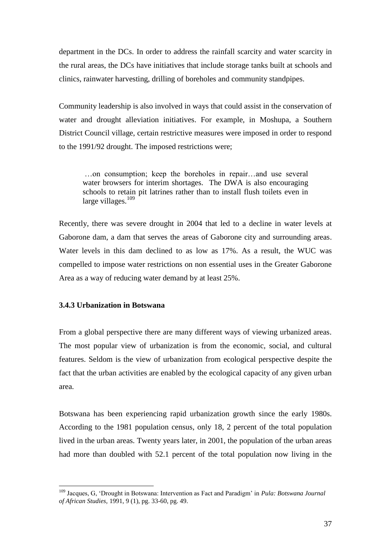department in the DCs. In order to address the rainfall scarcity and water scarcity in the rural areas, the DCs have initiatives that include storage tanks built at schools and clinics, rainwater harvesting, drilling of boreholes and community standpipes.

Community leadership is also involved in ways that could assist in the conservation of water and drought alleviation initiatives. For example, in Moshupa, a Southern District Council village, certain restrictive measures were imposed in order to respond to the 1991/92 drought. The imposed restrictions were;

…on consumption; keep the boreholes in repair…and use several water browsers for interim shortages. The DWA is also encouraging schools to retain pit latrines rather than to install flush toilets even in large villages.<sup>109</sup>

Recently, there was severe drought in 2004 that led to a decline in water levels at Gaborone dam, a dam that serves the areas of Gaborone city and surrounding areas. Water levels in this dam declined to as low as 17%. As a result, the WUC was compelled to impose water restrictions on non essential uses in the Greater Gaborone Area as a way of reducing water demand by at least 25%.

# **3.4.3 Urbanization in Botswana**

 $\overline{a}$ 

From a global perspective there are many different ways of viewing urbanized areas. The most popular view of urbanization is from the economic, social, and cultural features. Seldom is the view of urbanization from ecological perspective despite the fact that the urban activities are enabled by the ecological capacity of any given urban area.

Botswana has been experiencing rapid urbanization growth since the early 1980s. According to the 1981 population census, only 18, 2 percent of the total population lived in the urban areas. Twenty years later, in 2001, the population of the urban areas had more than doubled with 52.1 percent of the total population now living in the

<sup>109</sup> Jacques, G, "Drought in Botswana: Intervention as Fact and Paradigm" in *Pula: Botswana Journal of African Studies,* 1991, 9 (1), pg. 33-60, pg. 49.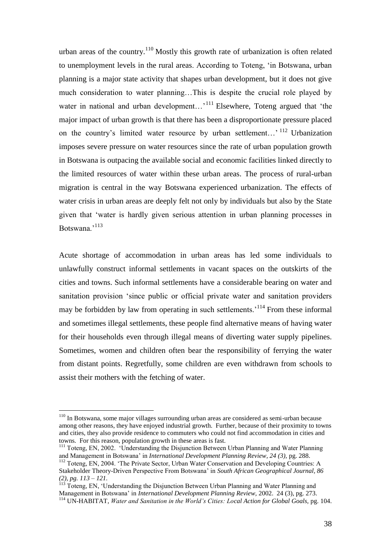urban areas of the country.<sup>110</sup> Mostly this growth rate of urbanization is often related to unemployment levels in the rural areas. According to Toteng, "in Botswana, urban planning is a major state activity that shapes urban development, but it does not give much consideration to water planning…This is despite the crucial role played by water in national and urban development...<sup>111</sup> Elsewhere, Toteng argued that 'the major impact of urban growth is that there has been a disproportionate pressure placed on the country's limited water resource by urban settlement...'<sup>112</sup> Urbanization imposes severe pressure on water resources since the rate of urban population growth in Botswana is outpacing the available social and economic facilities linked directly to the limited resources of water within these urban areas. The process of rural-urban migration is central in the way Botswana experienced urbanization. The effects of water crisis in urban areas are deeply felt not only by individuals but also by the State given that "water is hardly given serious attention in urban planning processes in Botswana<sup>,113</sup>

Acute shortage of accommodation in urban areas has led some individuals to unlawfully construct informal settlements in vacant spaces on the outskirts of the cities and towns. Such informal settlements have a considerable bearing on water and sanitation provision "since public or official private water and sanitation providers may be forbidden by law from operating in such settlements.<sup>114</sup> From these informal and sometimes illegal settlements, these people find alternative means of having water for their households even through illegal means of diverting water supply pipelines. Sometimes, women and children often bear the responsibility of ferrying the water from distant points. Regretfully, some children are even withdrawn from schools to assist their mothers with the fetching of water.

<sup>110</sup> In Botswana, some major villages surrounding urban areas are considered as semi-urban because among other reasons, they have enjoyed industrial growth. Further, because of their proximity to towns and cities, they also provide residence to commuters who could not find accommodation in cities and towns. For this reason, population growth in these areas is fast.

<sup>&</sup>lt;sup>111</sup> Toteng, EN, 2002. 'Understanding the Disjunction Between Urban Planning and Water Planning and Management in Botswana" in *International Development Planning Review, 24 (3),* pg. 288. <sup>112</sup> Toteng, EN, 2004. 'The Private Sector, Urban Water Conservation and Developing Countries: A

Stakeholder Theory-Driven Perspective From Botswana" in *South African Geographical Journal, 86 (2), pg. 113 – 121.*

<sup>113</sup> Toteng, EN, "Understanding the Disjunction Between Urban Planning and Water Planning and Management in Botswana" in *International Development Planning Review,* 2002. 24 (3), pg. 273. <sup>114</sup> UN-HABITAT, *Water and Sanitation in the World's Cities: Local Action for Global Goals,* pg. 104.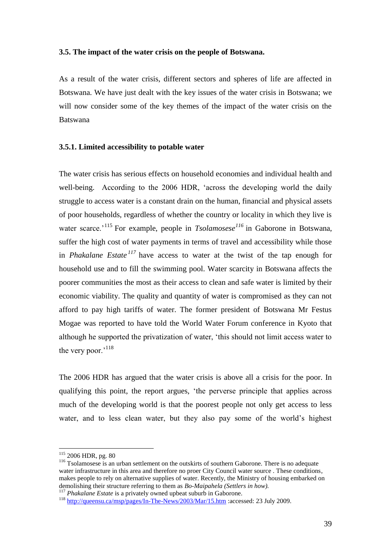### **3.5. The impact of the water crisis on the people of Botswana.**

As a result of the water crisis, different sectors and spheres of life are affected in Botswana. We have just dealt with the key issues of the water crisis in Botswana; we will now consider some of the key themes of the impact of the water crisis on the Batswana

### **3.5.1. Limited accessibility to potable water**

The water crisis has serious effects on household economies and individual health and well-being. According to the 2006 HDR, "across the developing world the daily struggle to access water is a constant drain on the human, financial and physical assets of poor households, regardless of whether the country or locality in which they live is water scarce.<sup>'115</sup> For example, people in *Tsolamosese<sup>116</sup>* in Gaborone in Botswana, suffer the high cost of water payments in terms of travel and accessibility while those in *Phakalane Estate <sup>117</sup>* have access to water at the twist of the tap enough for household use and to fill the swimming pool. Water scarcity in Botswana affects the poorer communities the most as their access to clean and safe water is limited by their economic viability. The quality and quantity of water is compromised as they can not afford to pay high tariffs of water. The former president of Botswana Mr Festus Mogae was reported to have told the World Water Forum conference in Kyoto that although he supported the privatization of water, "this should not limit access water to the very poor."<sup>118</sup>

The 2006 HDR has argued that the water crisis is above all a crisis for the poor. In qualifying this point, the report argues, "the perverse principle that applies across much of the developing world is that the poorest people not only get access to less water, and to less clean water, but they also pay some of the world"s highest

<sup>&</sup>lt;sup>115</sup> 2006 HDR, pg. 80

<sup>&</sup>lt;sup>116</sup> Tsolamosese is an urban settlement on the outskirts of southern Gaborone. There is no adequate water infrastructure in this area and therefore no proer City Council water source . These conditions, makes people to rely on alternative supplies of water. Recently, the Ministry of housing embarked on demolishing their structure referring to them as *Bo-Maipahela (Settlers in how).*

<sup>&</sup>lt;sup>117</sup> *Phakalane Estate* is a privately owned upbeat suburb in Gaborone.

<sup>&</sup>lt;sup>118</sup> <http://queensu.ca/msp/pages/In-The-News/2003/Mar/15.htm> :accessed: 23 July 2009.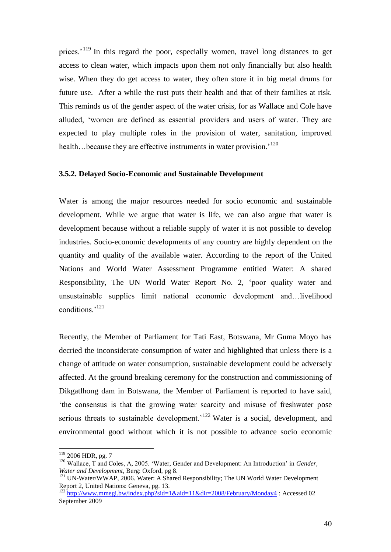prices.<sup>119</sup> In this regard the poor, especially women, travel long distances to get access to clean water, which impacts upon them not only financially but also health wise. When they do get access to water, they often store it in big metal drums for future use. After a while the rust puts their health and that of their families at risk. This reminds us of the gender aspect of the water crisis, for as Wallace and Cole have alluded, "women are defined as essential providers and users of water. They are expected to play multiple roles in the provision of water, sanitation, improved health...because they are effective instruments in water provision.<sup>120</sup>

## **3.5.2. Delayed Socio-Economic and Sustainable Development**

Water is among the major resources needed for socio economic and sustainable development. While we argue that water is life, we can also argue that water is development because without a reliable supply of water it is not possible to develop industries. Socio-economic developments of any country are highly dependent on the quantity and quality of the available water. According to the report of the United Nations and World Water Assessment Programme entitled Water: A shared Responsibility, The UN World Water Report No. 2, "poor quality water and unsustainable supplies limit national economic development and…livelihood conditions.'<sup>121</sup>

Recently, the Member of Parliament for Tati East, Botswana, Mr Guma Moyo has decried the inconsiderate consumption of water and highlighted that unless there is a change of attitude on water consumption, sustainable development could be adversely affected. At the ground breaking ceremony for the construction and commissioning of Dikgatlhong dam in Botswana, the Member of Parliament is reported to have said, "the consensus is that the growing water scarcity and misuse of freshwater pose serious threats to sustainable development.<sup> $122$ </sup> Water is a social, development, and environmental good without which it is not possible to advance socio economic

<sup>&</sup>lt;sup>119</sup> 2006 HDR, pg. 7

<sup>&</sup>lt;sup>120</sup> Wallace, T and Coles, A, 2005. 'Water, Gender and Development: An Introduction' in *Gender*, *Water and Development*, Berg: Oxford, pg 8.

<sup>&</sup>lt;sup>121</sup> UN-Water/WWAP, 2006. Water: A Shared Responsibility; The UN World Water Development Report 2, United Nations: Geneva, pg. 13.

<sup>&</sup>lt;sup>122</sup> <http://www.mmegi.bw/index.php?sid=1&aid=11&dir=2008/February/Monday4> : Accessed 02 September 2009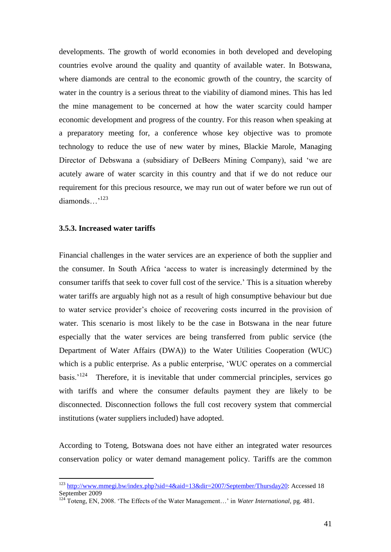developments. The growth of world economies in both developed and developing countries evolve around the quality and quantity of available water. In Botswana, where diamonds are central to the economic growth of the country, the scarcity of water in the country is a serious threat to the viability of diamond mines. This has led the mine management to be concerned at how the water scarcity could hamper economic development and progress of the country. For this reason when speaking at a preparatory meeting for, a conference whose key objective was to promote technology to reduce the use of new water by mines, Blackie Marole, Managing Director of Debswana a (subsidiary of DeBeers Mining Company), said "we are acutely aware of water scarcity in this country and that if we do not reduce our requirement for this precious resource, we may run out of water before we run out of diamonds...<sup>,123</sup>

## **3.5.3. Increased water tariffs**

 $\overline{a}$ 

Financial challenges in the water services are an experience of both the supplier and the consumer. In South Africa "access to water is increasingly determined by the consumer tariffs that seek to cover full cost of the service." This is a situation whereby water tariffs are arguably high not as a result of high consumptive behaviour but due to water service provider"s choice of recovering costs incurred in the provision of water. This scenario is most likely to be the case in Botswana in the near future especially that the water services are being transferred from public service (the Department of Water Affairs (DWA)) to the Water Utilities Cooperation (WUC) which is a public enterprise. As a public enterprise, 'WUC operates on a commercial basis.<sup>'124</sup> Therefore, it is inevitable that under commercial principles, services go with tariffs and where the consumer defaults payment they are likely to be disconnected. Disconnection follows the full cost recovery system that commercial institutions (water suppliers included) have adopted.

According to Toteng, Botswana does not have either an integrated water resources conservation policy or water demand management policy. Tariffs are the common

<sup>123</sup> [http://www.mmegi.bw/index.php?sid=4&aid=13&dir=2007/September/Thursday20:](http://www.mmegi.bw/index.php?sid=4&aid=13&dir=2007/September/Thursday20) Accessed 18 September 2009

<sup>124</sup> Toteng, EN, 2008. "The Effects of the Water Management…" in *Water International,* pg. 481.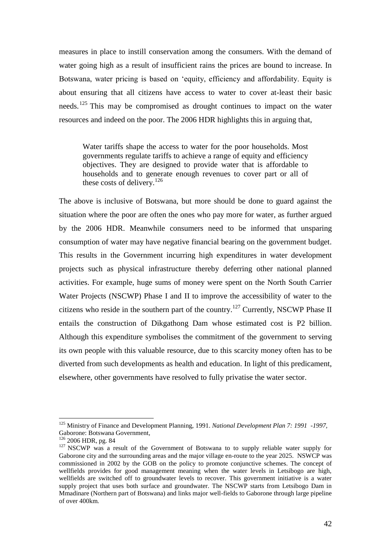measures in place to instill conservation among the consumers. With the demand of water going high as a result of insufficient rains the prices are bound to increase. In Botswana, water pricing is based on "equity, efficiency and affordability. Equity is about ensuring that all citizens have access to water to cover at-least their basic needs.<sup>125</sup> This may be compromised as drought continues to impact on the water resources and indeed on the poor. The 2006 HDR highlights this in arguing that,

Water tariffs shape the access to water for the poor households. Most governments regulate tariffs to achieve a range of equity and efficiency objectives. They are designed to provide water that is affordable to households and to generate enough revenues to cover part or all of these costs of delivery.<sup>126</sup>

The above is inclusive of Botswana, but more should be done to guard against the situation where the poor are often the ones who pay more for water, as further argued by the 2006 HDR. Meanwhile consumers need to be informed that unsparing consumption of water may have negative financial bearing on the government budget. This results in the Government incurring high expenditures in water development projects such as physical infrastructure thereby deferring other national planned activities. For example, huge sums of money were spent on the North South Carrier Water Projects (NSCWP) Phase I and II to improve the accessibility of water to the citizens who reside in the southern part of the country.<sup>127</sup> Currently, NSCWP Phase II entails the construction of Dikgathong Dam whose estimated cost is P2 billion. Although this expenditure symbolises the commitment of the government to serving its own people with this valuable resource, due to this scarcity money often has to be diverted from such developments as health and education. In light of this predicament, elsewhere, other governments have resolved to fully privatise the water sector.

<sup>125</sup> Ministry of Finance and Development Planning, 1991. *National Development Plan 7: 1991 -1997,*  Gaborone: Botswana Government,

<sup>126</sup> 2006 HDR, pg. 84

<sup>&</sup>lt;sup>127</sup> NSCWP was a result of the Government of Botswana to to supply reliable water supply for Gaborone city and the surrounding areas and the major village en-route to the year 2025. NSWCP was commissioned in 2002 by the GOB on the policy to promote conjunctive schemes. The concept of wellfields provides for good management meaning when the water levels in Letsibogo are high, wellfields are switched off to groundwater levels to recover. This government initiative is a water supply project that uses both surface and groundwater. The NSCWP starts from Letsibogo Dam in Mmadinare (Northern part of Botswana) and links major well-fields to Gaborone through large pipeline of over 400km.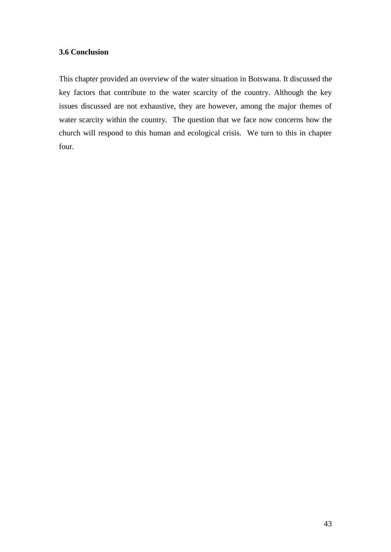# **3.6 Conclusion**

This chapter provided an overview of the water situation in Botswana. It discussed the key factors that contribute to the water scarcity of the country. Although the key issues discussed are not exhaustive, they are however, among the major themes of water scarcity within the country. The question that we face now concerns how the church will respond to this human and ecological crisis. We turn to this in chapter four.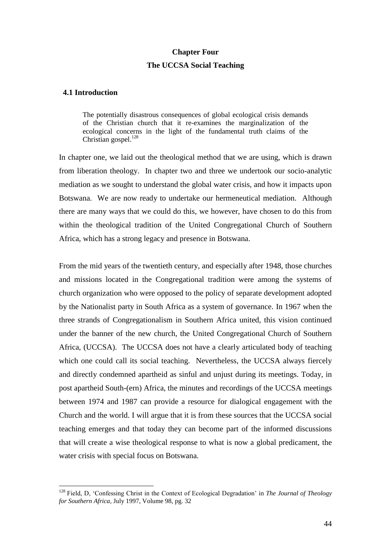#### **Chapter Four**

## **The UCCSA Social Teaching**

## **4.1 Introduction**

 $\overline{a}$ 

The potentially disastrous consequences of global ecological crisis demands of the Christian church that it re-examines the marginalization of the ecological concerns in the light of the fundamental truth claims of the Christian gospel. $128$ 

In chapter one, we laid out the theological method that we are using, which is drawn from liberation theology. In chapter two and three we undertook our socio-analytic mediation as we sought to understand the global water crisis, and how it impacts upon Botswana. We are now ready to undertake our hermeneutical mediation. Although there are many ways that we could do this, we however, have chosen to do this from within the theological tradition of the United Congregational Church of Southern Africa, which has a strong legacy and presence in Botswana.

From the mid years of the twentieth century, and especially after 1948, those churches and missions located in the Congregational tradition were among the systems of church organization who were opposed to the policy of separate development adopted by the Nationalist party in South Africa as a system of governance. In 1967 when the three strands of Congregationalism in Southern Africa united, this vision continued under the banner of the new church, the United Congregational Church of Southern Africa, (UCCSA). The UCCSA does not have a clearly articulated body of teaching which one could call its social teaching. Nevertheless, the UCCSA always fiercely and directly condemned apartheid as sinful and unjust during its meetings. Today, in post apartheid South-(ern) Africa, the minutes and recordings of the UCCSA meetings between 1974 and 1987 can provide a resource for dialogical engagement with the Church and the world. I will argue that it is from these sources that the UCCSA social teaching emerges and that today they can become part of the informed discussions that will create a wise theological response to what is now a global predicament, the water crisis with special focus on Botswana.

<sup>128</sup> Field, D, "Confessing Christ in the Context of Ecological Degradation" in *The Journal of Theology for Southern Africa,* July 1997, Volume 98, pg. 32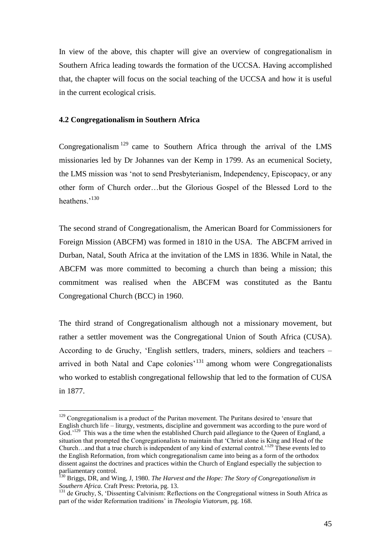In view of the above, this chapter will give an overview of congregationalism in Southern Africa leading towards the formation of the UCCSA. Having accomplished that, the chapter will focus on the social teaching of the UCCSA and how it is useful in the current ecological crisis.

## **4.2 Congregationalism in Southern Africa**

 $\overline{a}$ 

Congregationalism  $129$  came to Southern Africa through the arrival of the LMS missionaries led by Dr Johannes van der Kemp in 1799. As an ecumenical Society, the LMS mission was "not to send Presbyterianism, Independency, Episcopacy, or any other form of Church order…but the Glorious Gospel of the Blessed Lord to the heathens.'<sup>130</sup>

The second strand of Congregationalism, the American Board for Commissioners for Foreign Mission (ABCFM) was formed in 1810 in the USA. The ABCFM arrived in Durban, Natal, South Africa at the invitation of the LMS in 1836. While in Natal, the ABCFM was more committed to becoming a church than being a mission; this commitment was realised when the ABCFM was constituted as the Bantu Congregational Church (BCC) in 1960.

The third strand of Congregationalism although not a missionary movement, but rather a settler movement was the Congregational Union of South Africa (CUSA). According to de Gruchy, "English settlers, traders, miners, soldiers and teachers – arrived in both Natal and Cape colonies<sup>'131</sup> among whom were Congregationalists who worked to establish congregational fellowship that led to the formation of CUSA in 1877.

<sup>&</sup>lt;sup>129</sup> Congregationalism is a product of the Puritan movement. The Puritans desired to 'ensure that English church life – liturgy, vestments, discipline and government was according to the pure word of God.<sup>,129</sup> This was a the time when the established Church paid allegiance to the Queen of England, a situation that prompted the Congregationalists to maintain that "Christ alone is King and Head of the Church…and that a true church is independent of any kind of external control."<sup>129</sup> These events led to the English Reformation, from which congregationalism came into being as a form of the orthodox dissent against the doctrines and practices within the Church of England especially the subjection to parliamentary control.

<sup>130</sup> Briggs, DR, and Wing, J, 1980. *The Harvest and the Hope: The Story of Congregationalism in Southern Africa.* Craft Press: Pretoria, pg. 13.

<sup>&</sup>lt;sup>131</sup> de Gruchy, S, 'Dissenting Calvinism: Reflections on the Congregational witness in South Africa as part of the wider Reformation traditions" in *Theologia Viatorum*, pg. 168.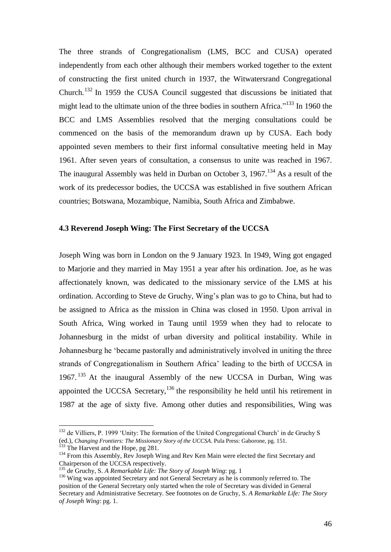The three strands of Congregationalism (LMS, BCC and CUSA) operated independently from each other although their members worked together to the extent of constructing the first united church in 1937, the Witwatersrand Congregational Church.<sup>132</sup> In 1959 the CUSA Council suggested that discussions be initiated that might lead to the ultimate union of the three bodies in southern Africa."<sup>133</sup> In 1960 the BCC and LMS Assemblies resolved that the merging consultations could be commenced on the basis of the memorandum drawn up by CUSA. Each body appointed seven members to their first informal consultative meeting held in May 1961. After seven years of consultation, a consensus to unite was reached in 1967. The inaugural Assembly was held in Durban on October 3, 1967.<sup>134</sup> As a result of the work of its predecessor bodies, the UCCSA was established in five southern African countries; Botswana, Mozambique, Namibia, South Africa and Zimbabwe.

# **4.3 Reverend Joseph Wing: The First Secretary of the UCCSA**

Joseph Wing was born in London on the 9 January 1923. In 1949, Wing got engaged to Marjorie and they married in May 1951 a year after his ordination. Joe, as he was affectionately known, was dedicated to the missionary service of the LMS at his ordination. According to Steve de Gruchy, Wing"s plan was to go to China, but had to be assigned to Africa as the mission in China was closed in 1950. Upon arrival in South Africa, Wing worked in Taung until 1959 when they had to relocate to Johannesburg in the midst of urban diversity and political instability. While in Johannesburg he "became pastorally and administratively involved in uniting the three strands of Congregationalism in Southern Africa" leading to the birth of UCCSA in 1967. <sup>135</sup> At the inaugural Assembly of the new UCCSA in Durban, Wing was appointed the UCCSA Secretary, $136$  the responsibility he held until his retirement in 1987 at the age of sixty five. Among other duties and responsibilities, Wing was

<sup>&</sup>lt;sup>132</sup> de Villiers, P. 1999 'Unity: The formation of the United Congregational Church' in de Gruchy S (ed.), *Changing Frontiers: The Missionary Story of the UCCSA*. Pula Press: Gaborone, pg. 151.

<sup>&</sup>lt;sup>133</sup> The Harvest and the Hope, pg 281.

<sup>&</sup>lt;sup>134</sup> From this Assembly, Rev Joseph Wing and Rev Ken Main were elected the first Secretary and Chairperson of the UCCSA respectively.

<sup>135</sup> de Gruchy, S. *A Remarkable Life: The Story of Joseph Wing*: pg. 1

<sup>&</sup>lt;sup>136</sup> Wing was appointed Secretary and not General Secretary as he is commonly referred to. The position of the General Secretary only started when the role of Secretary was divided in General Secretary and Administrative Secretary. See footnotes on de Gruchy, S. *A Remarkable Life: The Story of Joseph Wing*: pg. 1.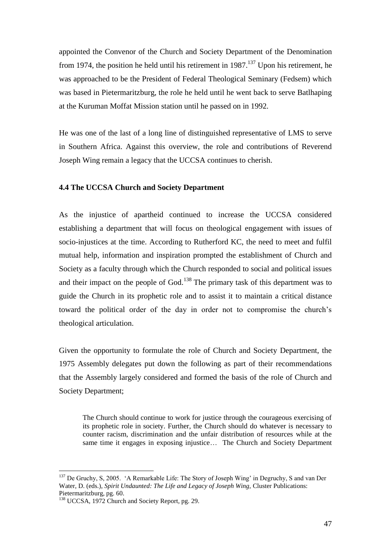appointed the Convenor of the Church and Society Department of the Denomination from 1974, the position he held until his retirement in  $1987$ <sup>137</sup> Upon his retirement, he was approached to be the President of Federal Theological Seminary (Fedsem) which was based in Pietermaritzburg, the role he held until he went back to serve Batlhaping at the Kuruman Moffat Mission station until he passed on in 1992.

He was one of the last of a long line of distinguished representative of LMS to serve in Southern Africa. Against this overview, the role and contributions of Reverend Joseph Wing remain a legacy that the UCCSA continues to cherish.

## **4.4 The UCCSA Church and Society Department**

As the injustice of apartheid continued to increase the UCCSA considered establishing a department that will focus on theological engagement with issues of socio-injustices at the time. According to Rutherford KC, the need to meet and fulfil mutual help, information and inspiration prompted the establishment of Church and Society as a faculty through which the Church responded to social and political issues and their impact on the people of God.<sup>138</sup> The primary task of this department was to guide the Church in its prophetic role and to assist it to maintain a critical distance toward the political order of the day in order not to compromise the church"s theological articulation.

Given the opportunity to formulate the role of Church and Society Department, the 1975 Assembly delegates put down the following as part of their recommendations that the Assembly largely considered and formed the basis of the role of Church and Society Department;

The Church should continue to work for justice through the courageous exercising of its prophetic role in society. Further, the Church should do whatever is necessary to counter racism, discrimination and the unfair distribution of resources while at the same time it engages in exposing injustice… The Church and Society Department

<sup>&</sup>lt;sup>137</sup> De Gruchy, S, 2005. 'A Remarkable Life: The Story of Joseph Wing' in Degruchy, S and van Der Water, D. (eds.), *Spirit Undaunted: The Life and Legacy of Joseph Wing,* Cluster Publications: Pietermaritzburg, pg. 60.

<sup>&</sup>lt;sup>138</sup> UCCSA, 1972 Church and Society Report, pg. 29.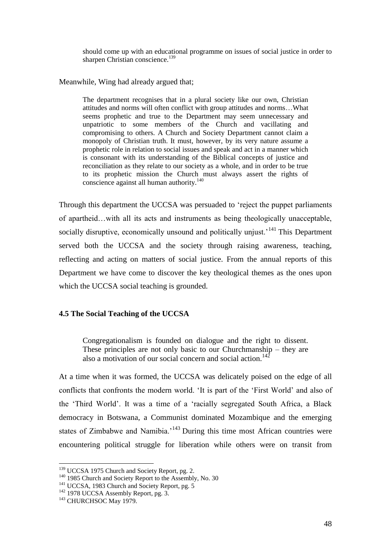should come up with an educational programme on issues of social justice in order to sharpen Christian conscience.<sup>139</sup>

Meanwhile, Wing had already argued that;

The department recognises that in a plural society like our own, Christian attitudes and norms will often conflict with group attitudes and norms…What seems prophetic and true to the Department may seem unnecessary and unpatriotic to some members of the Church and vacillating and compromising to others. A Church and Society Department cannot claim a monopoly of Christian truth. It must, however, by its very nature assume a prophetic role in relation to social issues and speak and act in a manner which is consonant with its understanding of the Biblical concepts of justice and reconciliation as they relate to our society as a whole, and in order to be true to its prophetic mission the Church must always assert the rights of conscience against all human authority.<sup>140</sup>

Through this department the UCCSA was persuaded to "reject the puppet parliaments of apartheid…with all its acts and instruments as being theologically unacceptable, socially disruptive, economically unsound and politically unjust.<sup>141</sup> This Department served both the UCCSA and the society through raising awareness, teaching, reflecting and acting on matters of social justice. From the annual reports of this Department we have come to discover the key theological themes as the ones upon which the UCCSA social teaching is grounded.

# **4.5 The Social Teaching of the UCCSA**

Congregationalism is founded on dialogue and the right to dissent. These principles are not only basic to our Churchmanship – they are also a motivation of our social concern and social action.<sup>142</sup>

At a time when it was formed, the UCCSA was delicately poised on the edge of all conflicts that confronts the modern world. "It is part of the "First World" and also of the "Third World". It was a time of a "racially segregated South Africa, a Black democracy in Botswana, a Communist dominated Mozambique and the emerging states of Zimbabwe and Namibia.<sup>143</sup> During this time most African countries were encountering political struggle for liberation while others were on transit from

<sup>&</sup>lt;sup>139</sup> UCCSA 1975 Church and Society Report, pg. 2.

<sup>&</sup>lt;sup>140</sup> 1985 Church and Society Report to the Assembly, No. 30

<sup>&</sup>lt;sup>141</sup> UCCSA, 1983 Church and Society Report, pg. 5

<sup>&</sup>lt;sup>142</sup> 1978 UCCSA Assembly Report, pg. 3.

<sup>&</sup>lt;sup>143</sup> CHURCHSOC May 1979.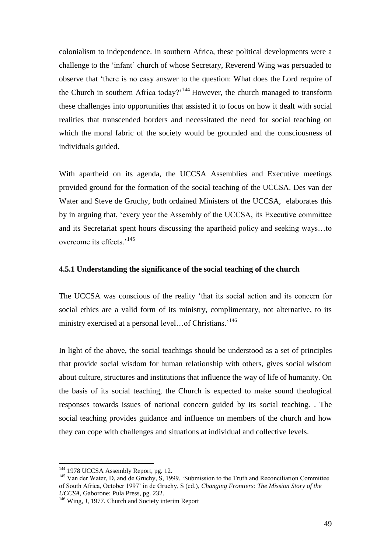colonialism to independence. In southern Africa, these political developments were a challenge to the "infant" church of whose Secretary, Reverend Wing was persuaded to observe that "there is no easy answer to the question: What does the Lord require of the Church in southern Africa today?<sup> $144$ </sup> However, the church managed to transform these challenges into opportunities that assisted it to focus on how it dealt with social realities that transcended borders and necessitated the need for social teaching on which the moral fabric of the society would be grounded and the consciousness of individuals guided.

With apartheid on its agenda, the UCCSA Assemblies and Executive meetings provided ground for the formation of the social teaching of the UCCSA. Des van der Water and Steve de Gruchy, both ordained Ministers of the UCCSA, elaborates this by in arguing that, "every year the Assembly of the UCCSA, its Executive committee and its Secretariat spent hours discussing the apartheid policy and seeking ways…to overcome its effects<sup>, 145</sup>

# **4.5.1 Understanding the significance of the social teaching of the church**

The UCCSA was conscious of the reality "that its social action and its concern for social ethics are a valid form of its ministry, complimentary, not alternative, to its ministry exercised at a personal level...of Christians.<sup>146</sup>

In light of the above, the social teachings should be understood as a set of principles that provide social wisdom for human relationship with others, gives social wisdom about culture, structures and institutions that influence the way of life of humanity. On the basis of its social teaching, the Church is expected to make sound theological responses towards issues of national concern guided by its social teaching. . The social teaching provides guidance and influence on members of the church and how they can cope with challenges and situations at individual and collective levels.

<sup>&</sup>lt;sup>144</sup> 1978 UCCSA Assembly Report, pg. 12.

<sup>&</sup>lt;sup>145</sup> Van der Water, D, and de Gruchy, S, 1999. 'Submission to the Truth and Reconciliation Committee of South Africa, October 1997" in de Gruchy, S (ed.), *Changing Frontiers: The Mission Story of the UCCSA,* Gaborone: Pula Press, pg. 232.

<sup>&</sup>lt;sup>146</sup> Wing, J, 1977. Church and Society interim Report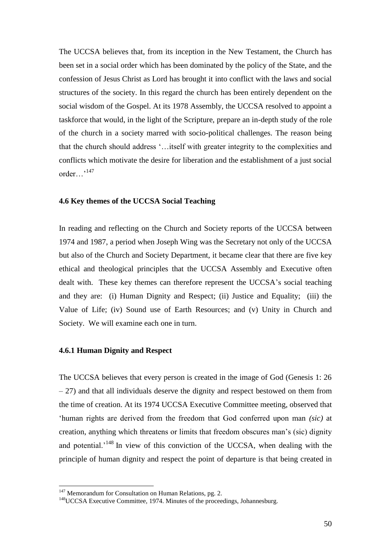The UCCSA believes that, from its inception in the New Testament, the Church has been set in a social order which has been dominated by the policy of the State, and the confession of Jesus Christ as Lord has brought it into conflict with the laws and social structures of the society. In this regard the church has been entirely dependent on the social wisdom of the Gospel. At its 1978 Assembly, the UCCSA resolved to appoint a taskforce that would, in the light of the Scripture, prepare an in-depth study of the role of the church in a society marred with socio-political challenges. The reason being that the church should address "…itself with greater integrity to the complexities and conflicts which motivate the desire for liberation and the establishment of a just social order…"<sup>147</sup>

## **4.6 Key themes of the UCCSA Social Teaching**

In reading and reflecting on the Church and Society reports of the UCCSA between 1974 and 1987, a period when Joseph Wing was the Secretary not only of the UCCSA but also of the Church and Society Department, it became clear that there are five key ethical and theological principles that the UCCSA Assembly and Executive often dealt with. These key themes can therefore represent the UCCSA"s social teaching and they are: (i) Human Dignity and Respect; (ii) Justice and Equality; (iii) the Value of Life; (iv) Sound use of Earth Resources; and (v) Unity in Church and Society. We will examine each one in turn.

## **4.6.1 Human Dignity and Respect**

The UCCSA believes that every person is created in the image of God (Genesis 1: 26 – 27) and that all individuals deserve the dignity and respect bestowed on them from the time of creation. At its 1974 UCCSA Executive Committee meeting, observed that "human rights are derived from the freedom that God conferred upon man *(sic)* at creation, anything which threatens or limits that freedom obscures man"s (sic) dignity and potential.<sup>'148</sup> In view of this conviction of the UCCSA, when dealing with the principle of human dignity and respect the point of departure is that being created in

 $147$  Memorandum for Consultation on Human Relations, pg. 2.

<sup>&</sup>lt;sup>148</sup>UCCSA Executive Committee, 1974. Minutes of the proceedings, Johannesburg.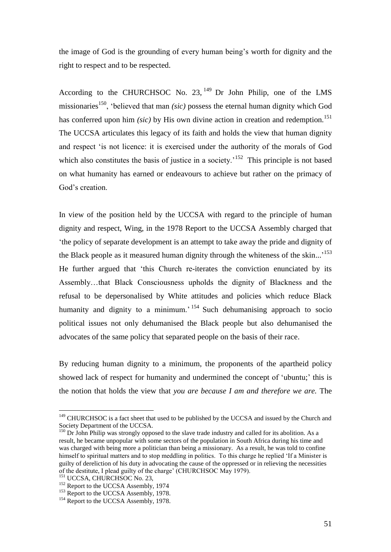the image of God is the grounding of every human being"s worth for dignity and the right to respect and to be respected.

According to the CHURCHSOC No. 23,  $^{149}$  Dr John Philip, one of the LMS missionaries<sup>150</sup>, "believed that man *(sic)* possess the eternal human dignity which God has conferred upon him *(sic)* by His own divine action in creation and redemption.<sup>151</sup> The UCCSA articulates this legacy of its faith and holds the view that human dignity and respect "is not licence: it is exercised under the authority of the morals of God which also constitutes the basis of justice in a society.<sup>152</sup> This principle is not based on what humanity has earned or endeavours to achieve but rather on the primacy of God's creation.

In view of the position held by the UCCSA with regard to the principle of human dignity and respect, Wing, in the 1978 Report to the UCCSA Assembly charged that "the policy of separate development is an attempt to take away the pride and dignity of the Black people as it measured human dignity through the whiteness of the skin...<sup>'153</sup> He further argued that "this Church re-iterates the conviction enunciated by its Assembly…that Black Consciousness upholds the dignity of Blackness and the refusal to be depersonalised by White attitudes and policies which reduce Black humanity and dignity to a minimum.<sup>'154</sup> Such dehumanising approach to socio political issues not only dehumanised the Black people but also dehumanised the advocates of the same policy that separated people on the basis of their race.

By reducing human dignity to a minimum, the proponents of the apartheid policy showed lack of respect for humanity and undermined the concept of "ubuntu;" this is the notion that holds the view that *you are because I am and therefore we are.* The

<sup>&</sup>lt;sup>149</sup> CHURCHSOC is a fact sheet that used to be published by the UCCSA and issued by the Church and Society Department of the UCCSA.

<sup>&</sup>lt;sup>150</sup> Dr John Philip was strongly opposed to the slave trade industry and called for its abolition. As a result, he became unpopular with some sectors of the population in South Africa during his time and was charged with being more a politician than being a missionary. As a result, he was told to confine himself to spiritual matters and to stop meddling in politics. To this charge he replied 'If a Minister is guilty of dereliction of his duty in advocating the cause of the oppressed or in relieving the necessities of the destitute, I plead guilty of the charge" (CHURCHSOC May 1979).

<sup>&</sup>lt;sup>151</sup> UCCSA, CHURCHSOC No. 23,

<sup>&</sup>lt;sup>152</sup> Report to the UCCSA Assembly, 1974

<sup>&</sup>lt;sup>153</sup> Report to the UCCSA Assembly, 1978.

<sup>&</sup>lt;sup>154</sup> Report to the UCCSA Assembly, 1978.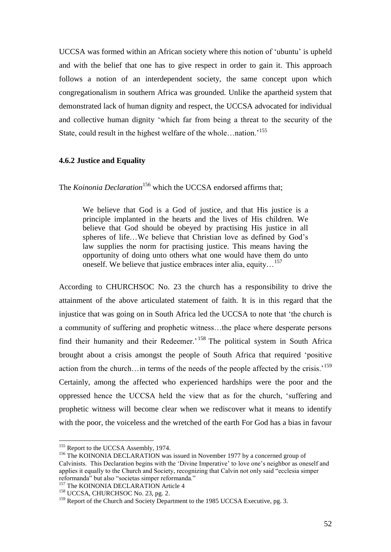UCCSA was formed within an African society where this notion of "ubuntu" is upheld and with the belief that one has to give respect in order to gain it. This approach follows a notion of an interdependent society, the same concept upon which congregationalism in southern Africa was grounded. Unlike the apartheid system that demonstrated lack of human dignity and respect, the UCCSA advocated for individual and collective human dignity "which far from being a threat to the security of the State, could result in the highest welfare of the whole…nation.<sup>155</sup>

## **4.6.2 Justice and Equality**

The *Koinonia Declaration*<sup>156</sup> which the UCCSA endorsed affirms that;

We believe that God is a God of justice, and that His justice is a principle implanted in the hearts and the lives of His children. We believe that God should be obeyed by practising His justice in all spheres of life...We believe that Christian love as defined by God's law supplies the norm for practising justice. This means having the opportunity of doing unto others what one would have them do unto oneself. We believe that justice embraces inter alia, equity…<sup>157</sup>

According to CHURCHSOC No. 23 the church has a responsibility to drive the attainment of the above articulated statement of faith. It is in this regard that the injustice that was going on in South Africa led the UCCSA to note that "the church is a community of suffering and prophetic witness…the place where desperate persons find their humanity and their Redeemer.<sup>158</sup> The political system in South Africa brought about a crisis amongst the people of South Africa that required "positive action from the church…in terms of the needs of the people affected by the crisis.<sup>159</sup> Certainly, among the affected who experienced hardships were the poor and the oppressed hence the UCCSA held the view that as for the church, "suffering and prophetic witness will become clear when we rediscover what it means to identify with the poor, the voiceless and the wretched of the earth For God has a bias in favour

<sup>&</sup>lt;sup>155</sup> Report to the UCCSA Assembly, 1974.

<sup>&</sup>lt;sup>156</sup> The KOINONIA DECLARATION was issued in November 1977 by a concerned group of Calvinists. This Declaration begins with the "Divine Imperative" to love one"s neighbor as oneself and applies it equally to the Church and Society, recognizing that Calvin not only said "ecclesia simper reformanda" but also "societas simper reformanda."

<sup>&</sup>lt;sup>157</sup> The KOINONIA DECLARATION Article 4

<sup>&</sup>lt;sup>158</sup> UCCSA, CHURCHSOC No. 23, pg. 2.

<sup>&</sup>lt;sup>159</sup> Report of the Church and Society Department to the 1985 UCCSA Executive, pg. 3.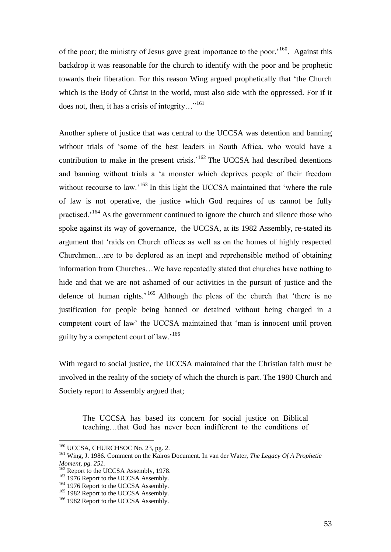of the poor; the ministry of Jesus gave great importance to the poor.<sup>'160</sup>. Against this backdrop it was reasonable for the church to identify with the poor and be prophetic towards their liberation. For this reason Wing argued prophetically that "the Church which is the Body of Christ in the world, must also side with the oppressed. For if it does not, then, it has a crisis of integrity…"<sup>161</sup>

Another sphere of justice that was central to the UCCSA was detention and banning without trials of "some of the best leaders in South Africa, who would have a contribution to make in the present crisis.<sup> $162$ </sup> The UCCSA had described detentions and banning without trials a "a monster which deprives people of their freedom without recourse to law.<sup>163</sup> In this light the UCCSA maintained that 'where the rule of law is not operative, the justice which God requires of us cannot be fully practised."<sup>164</sup> As the government continued to ignore the church and silence those who spoke against its way of governance, the UCCSA, at its 1982 Assembly, re-stated its argument that "raids on Church offices as well as on the homes of highly respected Churchmen…are to be deplored as an inept and reprehensible method of obtaining information from Churches…We have repeatedly stated that churches have nothing to hide and that we are not ashamed of our activities in the pursuit of justice and the defence of human rights.<sup>'165</sup> Although the pleas of the church that 'there is no justification for people being banned or detained without being charged in a competent court of law" the UCCSA maintained that "man is innocent until proven guilty by a competent court of law.'<sup>166</sup>

With regard to social justice, the UCCSA maintained that the Christian faith must be involved in the reality of the society of which the church is part. The 1980 Church and Society report to Assembly argued that;

The UCCSA has based its concern for social justice on Biblical teaching…that God has never been indifferent to the conditions of

<sup>&</sup>lt;sup>160</sup> UCCSA, CHURCHSOC No. 23, pg. 2.

<sup>161</sup> Wing, J. 1986. Comment on the Kairos Document. In van der Water, *The Legacy Of A Prophetic Moment, pg. 251.*

<sup>&</sup>lt;sup>162</sup> Report to the UCCSA Assembly, 1978.

<sup>&</sup>lt;sup>163</sup> 1976 Report to the UCCSA Assembly.

<sup>&</sup>lt;sup>164</sup> 1976 Report to the UCCSA Assembly.

<sup>&</sup>lt;sup>165</sup> 1982 Report to the UCCSA Assembly.

<sup>&</sup>lt;sup>166</sup> 1982 Report to the UCCSA Assembly.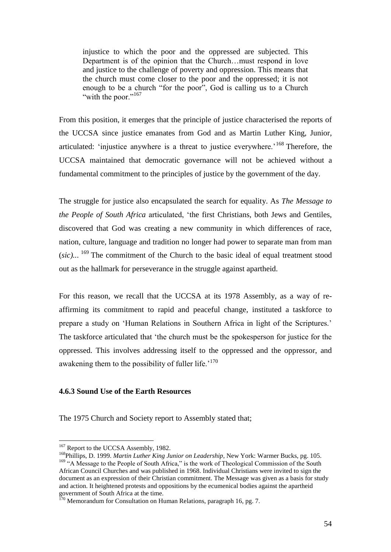injustice to which the poor and the oppressed are subjected. This Department is of the opinion that the Church…must respond in love and justice to the challenge of poverty and oppression. This means that the church must come closer to the poor and the oppressed; it is not enough to be a church "for the poor", God is calling us to a Church "with the poor."<sup>167</sup>

From this position, it emerges that the principle of justice characterised the reports of the UCCSA since justice emanates from God and as Martin Luther King, Junior, articulated: 'injustice anywhere is a threat to justice everywhere.'<sup>168</sup> Therefore, the UCCSA maintained that democratic governance will not be achieved without a fundamental commitment to the principles of justice by the government of the day.

The struggle for justice also encapsulated the search for equality. As *The Message to the People of South Africa* articulated, "the first Christians, both Jews and Gentiles, discovered that God was creating a new community in which differences of race, nation, culture, language and tradition no longer had power to separate man from man (*sic)..*. <sup>169</sup> The commitment of the Church to the basic ideal of equal treatment stood out as the hallmark for perseverance in the struggle against apartheid.

For this reason, we recall that the UCCSA at its 1978 Assembly, as a way of reaffirming its commitment to rapid and peaceful change, instituted a taskforce to prepare a study on "Human Relations in Southern Africa in light of the Scriptures." The taskforce articulated that "the church must be the spokesperson for justice for the oppressed. This involves addressing itself to the oppressed and the oppressor, and awakening them to the possibility of fuller life.<sup> $170$ </sup>

# **4.6.3 Sound Use of the Earth Resources**

The 1975 Church and Society report to Assembly stated that;

<sup>&</sup>lt;sup>167</sup> Report to the UCCSA Assembly, 1982.

<sup>&</sup>lt;sup>168</sup>Phillips, D. 1999. *Martin Luther King Junior on Leadership*, New York: Warmer Bucks, pg. 105. <sup>169</sup> "A Message to the People of South Africa," is the work of Theological Commission of the South African Council Churches and was published in 1968. Individual Christians were invited to sign the document as an expression of their Christian commitment. The Message was given as a basis for study and action. It heightened protests and oppositions by the ecumenical bodies against the apartheid government of South Africa at the time.

 $170$  Memorandum for Consultation on Human Relations, paragraph 16, pg. 7.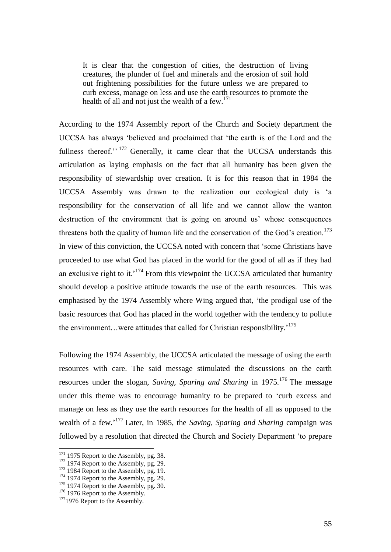It is clear that the congestion of cities, the destruction of living creatures, the plunder of fuel and minerals and the erosion of soil hold out frightening possibilities for the future unless we are prepared to curb excess, manage on less and use the earth resources to promote the health of all and not just the wealth of a few.<sup>171</sup>

According to the 1974 Assembly report of the Church and Society department the UCCSA has always "believed and proclaimed that "the earth is of the Lord and the fullness thereof."<sup>172</sup> Generally, it came clear that the UCCSA understands this articulation as laying emphasis on the fact that all humanity has been given the responsibility of stewardship over creation. It is for this reason that in 1984 the UCCSA Assembly was drawn to the realization our ecological duty is "a responsibility for the conservation of all life and we cannot allow the wanton destruction of the environment that is going on around us' whose consequences threatens both the quality of human life and the conservation of the God's creation.<sup>173</sup> In view of this conviction, the UCCSA noted with concern that "some Christians have proceeded to use what God has placed in the world for the good of all as if they had an exclusive right to it.<sup> $174$ </sup> From this viewpoint the UCCSA articulated that humanity should develop a positive attitude towards the use of the earth resources. This was emphasised by the 1974 Assembly where Wing argued that, "the prodigal use of the basic resources that God has placed in the world together with the tendency to pollute the environment...were attitudes that called for Christian responsibility.<sup>175</sup>

Following the 1974 Assembly, the UCCSA articulated the message of using the earth resources with care. The said message stimulated the discussions on the earth resources under the slogan, *Saving, Sparing and Sharing* in 1975. <sup>176</sup> The message under this theme was to encourage humanity to be prepared to "curb excess and manage on less as they use the earth resources for the health of all as opposed to the wealth of a few.<sup>177</sup> Later, in 1985, the *Saving, Sparing and Sharing* campaign was followed by a resolution that directed the Church and Society Department "to prepare

 $171$  1975 Report to the Assembly, pg. 38.

 $172$  1974 Report to the Assembly, pg. 29.

 $173$  1984 Report to the Assembly, pg. 19.

 $174$  1974 Report to the Assembly, pg. 29.

 $175$  1974 Report to the Assembly, pg. 30.

<sup>&</sup>lt;sup>176</sup> 1976 Report to the Assembly.

 $177$ 1976 Report to the Assembly.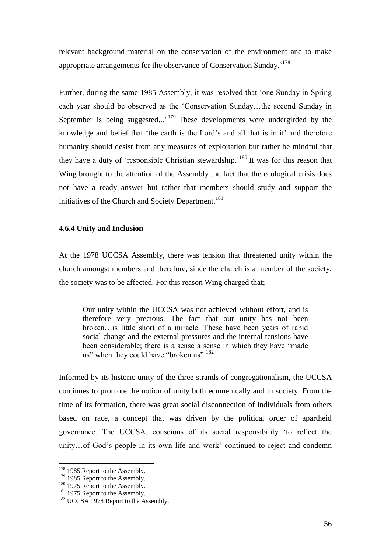relevant background material on the conservation of the environment and to make appropriate arrangements for the observance of Conservation Sunday.<sup>2178</sup>

Further, during the same 1985 Assembly, it was resolved that "one Sunday in Spring each year should be observed as the "Conservation Sunday…the second Sunday in September is being suggested...'<sup>179</sup> These developments were undergirded by the knowledge and belief that 'the earth is the Lord's and all that is in it' and therefore humanity should desist from any measures of exploitation but rather be mindful that they have a duty of 'responsible Christian stewardship.<sup>180</sup> It was for this reason that Wing brought to the attention of the Assembly the fact that the ecological crisis does not have a ready answer but rather that members should study and support the initiatives of the Church and Society Department.<sup>181</sup>

## **4.6.4 Unity and Inclusion**

At the 1978 UCCSA Assembly, there was tension that threatened unity within the church amongst members and therefore, since the church is a member of the society, the society was to be affected. For this reason Wing charged that;

Our unity within the UCCSA was not achieved without effort, and is therefore very precious. The fact that our unity has not been broken…is little short of a miracle. These have been years of rapid social change and the external pressures and the internal tensions have been considerable; there is a sense a sense in which they have "made us" when they could have "broken us".<sup>182</sup>

Informed by its historic unity of the three strands of congregationalism, the UCCSA continues to promote the notion of unity both ecumenically and in society. From the time of its formation, there was great social disconnection of individuals from others based on race, a concept that was driven by the political order of apartheid governance. The UCCSA, conscious of its social responsibility "to reflect the unity...of God's people in its own life and work' continued to reject and condemn

<sup>&</sup>lt;sup>178</sup> 1985 Report to the Assembly.

<sup>&</sup>lt;sup>179</sup> 1985 Report to the Assembly.

<sup>&</sup>lt;sup>180</sup> 1975 Report to the Assembly.

<sup>&</sup>lt;sup>181</sup> 1975 Report to the Assembly.

<sup>&</sup>lt;sup>182</sup> UCCSA 1978 Report to the Assembly.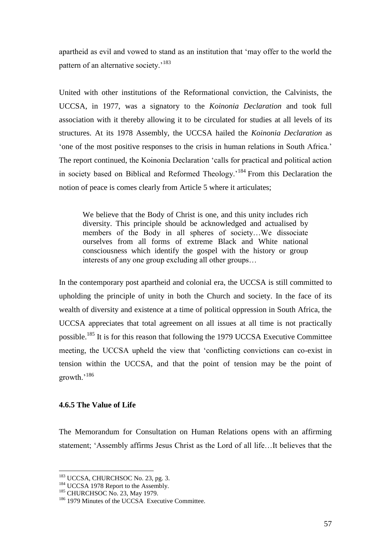apartheid as evil and vowed to stand as an institution that "may offer to the world the pattern of an alternative society.<sup>183</sup>

United with other institutions of the Reformational conviction, the Calvinists, the UCCSA, in 1977, was a signatory to the *Koinonia Declaration* and took full association with it thereby allowing it to be circulated for studies at all levels of its structures. At its 1978 Assembly, the UCCSA hailed the *Koinonia Declaration* as "one of the most positive responses to the crisis in human relations in South Africa." The report continued, the Koinonia Declaration "calls for practical and political action in society based on Biblical and Reformed Theology."<sup>184</sup> From this Declaration the notion of peace is comes clearly from Article 5 where it articulates;

We believe that the Body of Christ is one, and this unity includes rich diversity. This principle should be acknowledged and actualised by members of the Body in all spheres of society…We dissociate ourselves from all forms of extreme Black and White national consciousness which identify the gospel with the history or group interests of any one group excluding all other groups…

In the contemporary post apartheid and colonial era, the UCCSA is still committed to upholding the principle of unity in both the Church and society. In the face of its wealth of diversity and existence at a time of political oppression in South Africa, the UCCSA appreciates that total agreement on all issues at all time is not practically possible.<sup>185</sup> It is for this reason that following the 1979 UCCSA Executive Committee meeting, the UCCSA upheld the view that "conflicting convictions can co-exist in tension within the UCCSA, and that the point of tension may be the point of growth.<sup>186</sup>

# **4.6.5 The Value of Life**

 $\overline{a}$ 

The Memorandum for Consultation on Human Relations opens with an affirming statement; "Assembly affirms Jesus Christ as the Lord of all life…It believes that the

<sup>&</sup>lt;sup>183</sup> UCCSA, CHURCHSOC No. 23, pg. 3.

<sup>&</sup>lt;sup>184</sup> UCCSA 1978 Report to the Assembly.

<sup>&</sup>lt;sup>185</sup> CHURCHSOC No. 23, May 1979.

<sup>&</sup>lt;sup>186</sup> 1979 Minutes of the UCCSA Executive Committee.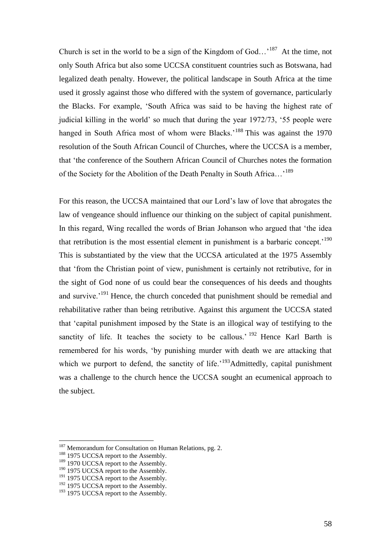Church is set in the world to be a sign of the Kingdom of  $God...$ <sup>187</sup> At the time, not only South Africa but also some UCCSA constituent countries such as Botswana, had legalized death penalty. However, the political landscape in South Africa at the time used it grossly against those who differed with the system of governance, particularly the Blacks. For example, "South Africa was said to be having the highest rate of judicial killing in the world" so much that during the year 1972/73, "55 people were hanged in South Africa most of whom were Blacks.<sup>188</sup> This was against the 1970 resolution of the South African Council of Churches, where the UCCSA is a member, that "the conference of the Southern African Council of Churches notes the formation of the Society for the Abolition of the Death Penalty in South Africa...<sup>'189</sup>

For this reason, the UCCSA maintained that our Lord"s law of love that abrogates the law of vengeance should influence our thinking on the subject of capital punishment. In this regard, Wing recalled the words of Brian Johanson who argued that "the idea that retribution is the most essential element in punishment is a barbaric concept.<sup> $190$ </sup> This is substantiated by the view that the UCCSA articulated at the 1975 Assembly that "from the Christian point of view, punishment is certainly not retributive, for in the sight of God none of us could bear the consequences of his deeds and thoughts and survive.<sup>'191</sup> Hence, the church conceded that punishment should be remedial and rehabilitative rather than being retributive. Against this argument the UCCSA stated that "capital punishment imposed by the State is an illogical way of testifying to the sanctity of life. It teaches the society to be callous.<sup>' 192</sup> Hence Karl Barth is remembered for his words, "by punishing murder with death we are attacking that which we purport to defend, the sanctity of life.<sup> $193$ </sup>Admittedly, capital punishment was a challenge to the church hence the UCCSA sought an ecumenical approach to the subject.

 $187$  Memorandum for Consultation on Human Relations, pg. 2.

<sup>&</sup>lt;sup>188</sup> 1975 UCCSA report to the Assembly.

<sup>&</sup>lt;sup>189</sup> 1970 UCCSA report to the Assembly.

<sup>&</sup>lt;sup>190</sup> 1975 UCCSA report to the Assembly.

 $191$  1975 UCCSA report to the Assembly.

 $192$  1975 UCCSA report to the Assembly.

<sup>&</sup>lt;sup>193</sup> 1975 UCCSA report to the Assembly.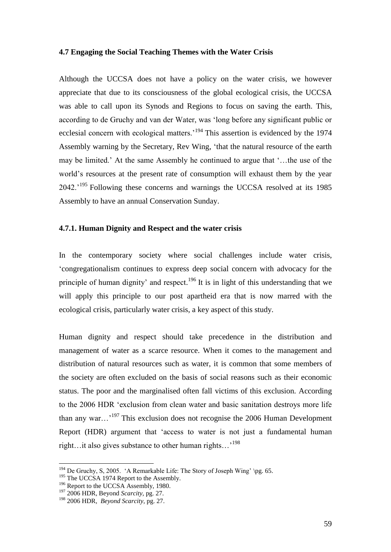## **4.7 Engaging the Social Teaching Themes with the Water Crisis**

Although the UCCSA does not have a policy on the water crisis, we however appreciate that due to its consciousness of the global ecological crisis, the UCCSA was able to call upon its Synods and Regions to focus on saving the earth. This, according to de Gruchy and van der Water, was "long before any significant public or ecclesial concern with ecological matters.<sup>194</sup> This assertion is evidenced by the 1974 Assembly warning by the Secretary, Rev Wing, "that the natural resource of the earth may be limited." At the same Assembly he continued to argue that "…the use of the world"s resources at the present rate of consumption will exhaust them by the year 2042.<sup>'195</sup> Following these concerns and warnings the UCCSA resolved at its 1985 Assembly to have an annual Conservation Sunday.

## **4.7.1. Human Dignity and Respect and the water crisis**

In the contemporary society where social challenges include water crisis, "congregationalism continues to express deep social concern with advocacy for the principle of human dignity' and respect.<sup>196</sup> It is in light of this understanding that we will apply this principle to our post apartheid era that is now marred with the ecological crisis, particularly water crisis, a key aspect of this study.

Human dignity and respect should take precedence in the distribution and management of water as a scarce resource. When it comes to the management and distribution of natural resources such as water, it is common that some members of the society are often excluded on the basis of social reasons such as their economic status. The poor and the marginalised often fall victims of this exclusion. According to the 2006 HDR "exclusion from clean water and basic sanitation destroys more life than any war…"<sup>197</sup> This exclusion does not recognise the 2006 Human Development Report (HDR) argument that "access to water is not just a fundamental human right...it also gives substance to other human rights...'<sup>198</sup>

<sup>&</sup>lt;sup>194</sup> De Gruchy, S, 2005. 'A Remarkable Life: The Story of Joseph Wing' \pg. 65.

<sup>&</sup>lt;sup>195</sup> The UCCSA 1974 Report to the Assembly.

<sup>&</sup>lt;sup>196</sup> Report to the UCCSA Assembly, 1980.

<sup>197</sup> 2006 HDR, Beyond *Scarcity,* pg. 27.

<sup>198</sup> 2006 HDR, *Beyond Scarcity,* pg. 27.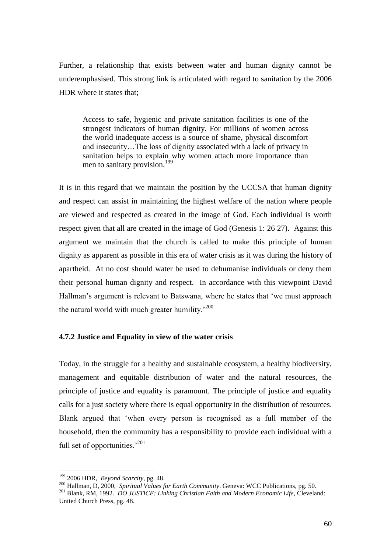Further, a relationship that exists between water and human dignity cannot be underemphasised. This strong link is articulated with regard to sanitation by the 2006 HDR where it states that;

Access to safe, hygienic and private sanitation facilities is one of the strongest indicators of human dignity. For millions of women across the world inadequate access is a source of shame, physical discomfort and insecurity…The loss of dignity associated with a lack of privacy in sanitation helps to explain why women attach more importance than men to sanitary provision.<sup>199</sup>

It is in this regard that we maintain the position by the UCCSA that human dignity and respect can assist in maintaining the highest welfare of the nation where people are viewed and respected as created in the image of God. Each individual is worth respect given that all are created in the image of God (Genesis 1: 26 27). Against this argument we maintain that the church is called to make this principle of human dignity as apparent as possible in this era of water crisis as it was during the history of apartheid. At no cost should water be used to dehumanise individuals or deny them their personal human dignity and respect. In accordance with this viewpoint David Hallman's argument is relevant to Batswana, where he states that 'we must approach the natural world with much greater humility.'200

## **4.7.2 Justice and Equality in view of the water crisis**

Today, in the struggle for a healthy and sustainable ecosystem, a healthy biodiversity, management and equitable distribution of water and the natural resources, the principle of justice and equality is paramount. The principle of justice and equality calls for a just society where there is equal opportunity in the distribution of resources. Blank argued that "when every person is recognised as a full member of the household, then the community has a responsibility to provide each individual with a full set of opportunities. $1201$ 

<sup>199</sup> 2006 HDR, *Beyond Scarcity,* pg. 48.

<sup>200</sup> Hallman, D, 2000, *Spiritual Values for Earth Community*. Geneva: WCC Publications, pg. 50.

<sup>201</sup> Blank, RM, 1992. *DO JUSTICE: Linking Christian Faith and Modern Economic Life*, Cleveland: United Church Press, pg. 48.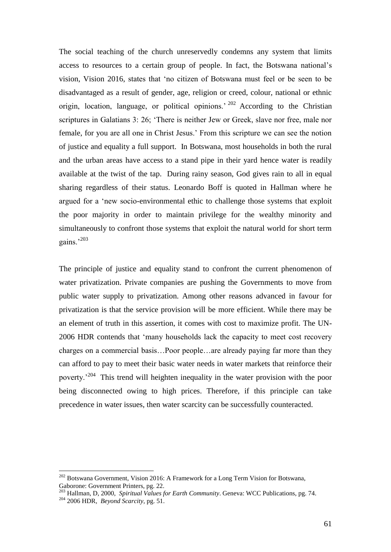The social teaching of the church unreservedly condemns any system that limits access to resources to a certain group of people. In fact, the Botswana national"s vision, Vision 2016, states that "no citizen of Botswana must feel or be seen to be disadvantaged as a result of gender, age, religion or creed, colour, national or ethnic origin, location, language, or political opinions.<sup> $202$ </sup> According to the Christian scriptures in Galatians 3: 26; "There is neither Jew or Greek, slave nor free, male nor female, for you are all one in Christ Jesus." From this scripture we can see the notion of justice and equality a full support. In Botswana, most households in both the rural and the urban areas have access to a stand pipe in their yard hence water is readily available at the twist of the tap. During rainy season, God gives rain to all in equal sharing regardless of their status. Leonardo Boff is quoted in Hallman where he argued for a "new socio-environmental ethic to challenge those systems that exploit the poor majority in order to maintain privilege for the wealthy minority and simultaneously to confront those systems that exploit the natural world for short term gains.'203

The principle of justice and equality stand to confront the current phenomenon of water privatization. Private companies are pushing the Governments to move from public water supply to privatization. Among other reasons advanced in favour for privatization is that the service provision will be more efficient. While there may be an element of truth in this assertion, it comes with cost to maximize profit. The UN-2006 HDR contends that "many households lack the capacity to meet cost recovery charges on a commercial basis…Poor people…are already paying far more than they can afford to pay to meet their basic water needs in water markets that reinforce their poverty.<sup> $204$ </sup> This trend will heighten inequality in the water provision with the poor being disconnected owing to high prices. Therefore, if this principle can take precedence in water issues, then water scarcity can be successfully counteracted.

 $202$  Botswana Government, Vision 2016: A Framework for a Long Term Vision for Botswana, Gaborone: Government Printers, pg. 22.

<sup>203</sup> Hallman, D, 2000, *Spiritual Values for Earth Community*. Geneva: WCC Publications, pg. 74.

<sup>204</sup> 2006 HDR, *Beyond Scarcity,* pg. 51.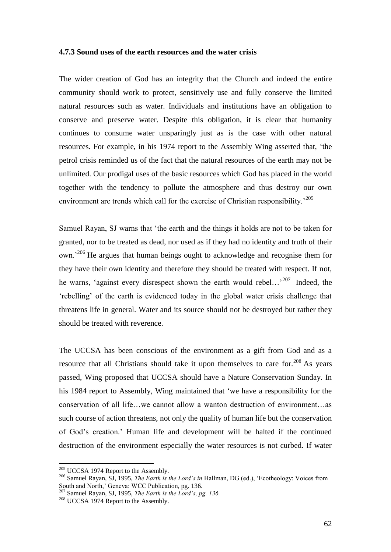#### **4.7.3 Sound uses of the earth resources and the water crisis**

The wider creation of God has an integrity that the Church and indeed the entire community should work to protect, sensitively use and fully conserve the limited natural resources such as water. Individuals and institutions have an obligation to conserve and preserve water. Despite this obligation, it is clear that humanity continues to consume water unsparingly just as is the case with other natural resources. For example, in his 1974 report to the Assembly Wing asserted that, "the petrol crisis reminded us of the fact that the natural resources of the earth may not be unlimited. Our prodigal uses of the basic resources which God has placed in the world together with the tendency to pollute the atmosphere and thus destroy our own environment are trends which call for the exercise of Christian responsibility.<sup>205</sup>

Samuel Rayan, SJ warns that "the earth and the things it holds are not to be taken for granted, nor to be treated as dead, nor used as if they had no identity and truth of their own.<sup>206</sup> He argues that human beings ought to acknowledge and recognise them for they have their own identity and therefore they should be treated with respect. If not, he warns, 'against every disrespect shown the earth would rebel...'<sup>207</sup> Indeed, the "rebelling" of the earth is evidenced today in the global water crisis challenge that threatens life in general. Water and its source should not be destroyed but rather they should be treated with reverence.

The UCCSA has been conscious of the environment as a gift from God and as a resource that all Christians should take it upon themselves to care for.<sup>208</sup> As years passed, Wing proposed that UCCSA should have a Nature Conservation Sunday. In his 1984 report to Assembly, Wing maintained that "we have a responsibility for the conservation of all life…we cannot allow a wanton destruction of environment…as such course of action threatens, not only the quality of human life but the conservation of God"s creation." Human life and development will be halted if the continued destruction of the environment especially the water resources is not curbed. If water

<sup>&</sup>lt;sup>205</sup> UCCSA 1974 Report to the Assembly.

<sup>206</sup> Samuel Rayan, SJ, 1995, *The Earth is the Lord's in* Hallman, DG (ed.), "Ecotheology: Voices from South and North,' Geneva: WCC Publication, pg. 136.

<sup>207</sup> Samuel Rayan, SJ, 1995, *The Earth is the Lord's, pg. 136.*

<sup>&</sup>lt;sup>208</sup> UCCSA 1974 Report to the Assembly.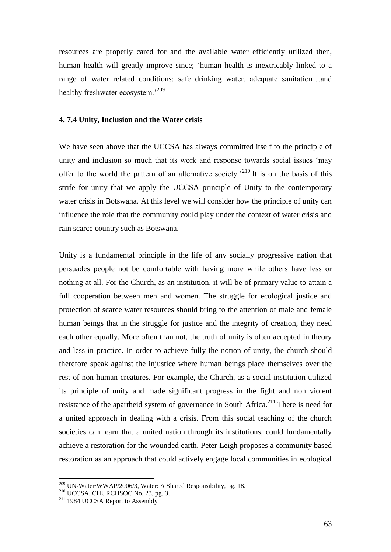resources are properly cared for and the available water efficiently utilized then, human health will greatly improve since; "human health is inextricably linked to a range of water related conditions: safe drinking water, adequate sanitation…and healthy freshwater ecosystem.'209

#### **4. 7.4 Unity, Inclusion and the Water crisis**

We have seen above that the UCCSA has always committed itself to the principle of unity and inclusion so much that its work and response towards social issues "may offer to the world the pattern of an alternative society.<sup>210</sup> It is on the basis of this strife for unity that we apply the UCCSA principle of Unity to the contemporary water crisis in Botswana. At this level we will consider how the principle of unity can influence the role that the community could play under the context of water crisis and rain scarce country such as Botswana.

Unity is a fundamental principle in the life of any socially progressive nation that persuades people not be comfortable with having more while others have less or nothing at all. For the Church, as an institution, it will be of primary value to attain a full cooperation between men and women. The struggle for ecological justice and protection of scarce water resources should bring to the attention of male and female human beings that in the struggle for justice and the integrity of creation, they need each other equally. More often than not, the truth of unity is often accepted in theory and less in practice. In order to achieve fully the notion of unity, the church should therefore speak against the injustice where human beings place themselves over the rest of non-human creatures. For example, the Church, as a social institution utilized its principle of unity and made significant progress in the fight and non violent resistance of the apartheid system of governance in South Africa.<sup>211</sup> There is need for a united approach in dealing with a crisis. From this social teaching of the church societies can learn that a united nation through its institutions, could fundamentally achieve a restoration for the wounded earth. Peter Leigh proposes a community based restoration as an approach that could actively engage local communities in ecological

 $^{209}$  UN-Water/WWAP/2006/3, Water: A Shared Responsibility, pg. 18.

<sup>210</sup> UCCSA, CHURCHSOC No. 23, pg. 3.

<sup>&</sup>lt;sup>211</sup> 1984 UCCSA Report to Assembly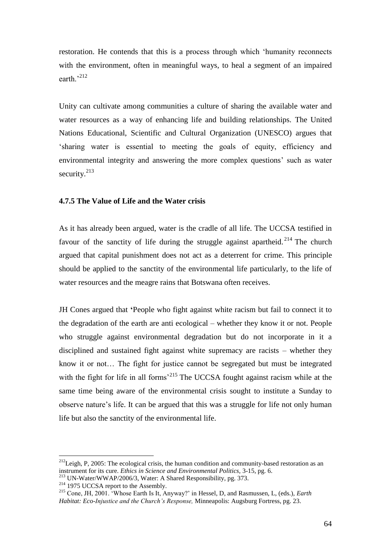restoration. He contends that this is a process through which "humanity reconnects with the environment, often in meaningful ways, to heal a segment of an impaired earth<sup>3212</sup>

Unity can cultivate among communities a culture of sharing the available water and water resources as a way of enhancing life and building relationships. The United Nations Educational, Scientific and Cultural Organization (UNESCO) argues that "sharing water is essential to meeting the goals of equity, efficiency and environmental integrity and answering the more complex questions" such as water security.<sup>213</sup>

## **4.7.5 The Value of Life and the Water crisis**

As it has already been argued, water is the cradle of all life. The UCCSA testified in favour of the sanctity of life during the struggle against apartheid.<sup>214</sup> The church argued that capital punishment does not act as a deterrent for crime. This principle should be applied to the sanctity of the environmental life particularly, to the life of water resources and the meagre rains that Botswana often receives.

JH Cones argued that **'**People who fight against white racism but fail to connect it to the degradation of the earth are anti ecological – whether they know it or not. People who struggle against environmental degradation but do not incorporate in it a disciplined and sustained fight against white supremacy are racists – whether they know it or not… The fight for justice cannot be segregated but must be integrated with the fight for life in all forms<sup> $215$ </sup> The UCCSA fought against racism while at the same time being aware of the environmental crisis sought to institute a Sunday to observe nature"s life. It can be argued that this was a struggle for life not only human life but also the sanctity of the environmental life.

 $^{212}$ Leigh, P, 2005: The ecological crisis, the human condition and community-based restoration as an instrument for its cure. *Ethics in Science and Environmental Politics,* 3-15, pg. 6. <sup>213</sup> UN-Water/WWAP/2006/3, Water: A Shared Responsibility, pg. 373.

<sup>&</sup>lt;sup>214</sup> 1975 UCCSA report to the Assembly.

<sup>215</sup> Cone, JH, 2001. "Whose Earth Is It, Anyway?" in Hessel, D, and Rasmussen, L, (eds.), *Earth Habitat: Eco-Injustice and the Church's Response,* Minneapolis: Augsburg Fortress, pg. 23.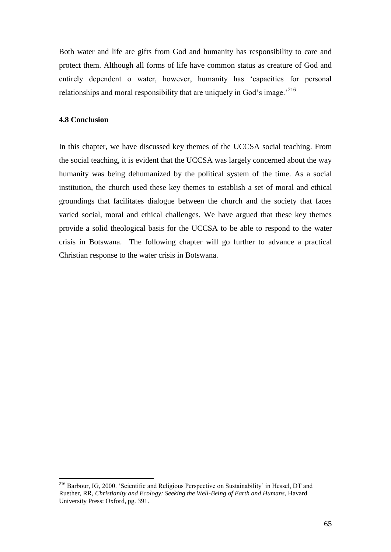Both water and life are gifts from God and humanity has responsibility to care and protect them. Although all forms of life have common status as creature of God and entirely dependent o water, however, humanity has "capacities for personal relationships and moral responsibility that are uniquely in God's image.<sup>216</sup>

## **4.8 Conclusion**

 $\overline{a}$ 

In this chapter, we have discussed key themes of the UCCSA social teaching. From the social teaching, it is evident that the UCCSA was largely concerned about the way humanity was being dehumanized by the political system of the time. As a social institution, the church used these key themes to establish a set of moral and ethical groundings that facilitates dialogue between the church and the society that faces varied social, moral and ethical challenges. We have argued that these key themes provide a solid theological basis for the UCCSA to be able to respond to the water crisis in Botswana. The following chapter will go further to advance a practical Christian response to the water crisis in Botswana.

<sup>&</sup>lt;sup>216</sup> Barbour, IG, 2000. 'Scientific and Religious Perspective on Sustainability' in Hessel, DT and Ruether, RR, *Christianity and Ecology: Seeking the Well-Being of Earth and Humans*, Havard University Press: Oxford, pg. 391.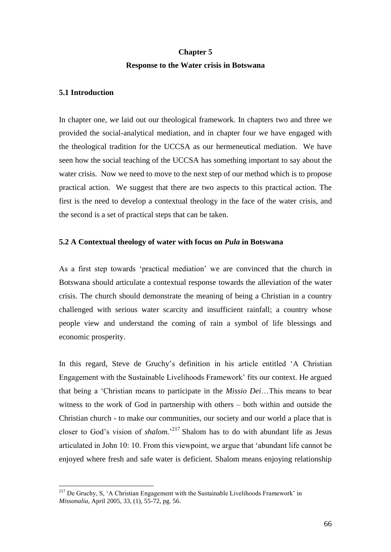# **Chapter 5 Response to the Water crisis in Botswana**

## **5.1 Introduction**

 $\overline{a}$ 

In chapter one, we laid out our theological framework. In chapters two and three we provided the social-analytical mediation, and in chapter four we have engaged with the theological tradition for the UCCSA as our hermeneutical mediation. We have seen how the social teaching of the UCCSA has something important to say about the water crisis. Now we need to move to the next step of our method which is to propose practical action. We suggest that there are two aspects to this practical action. The first is the need to develop a contextual theology in the face of the water crisis, and the second is a set of practical steps that can be taken.

## **5.2 A Contextual theology of water with focus on** *Pula* **in Botswana**

As a first step towards "practical mediation" we are convinced that the church in Botswana should articulate a contextual response towards the alleviation of the water crisis. The church should demonstrate the meaning of being a Christian in a country challenged with serious water scarcity and insufficient rainfall; a country whose people view and understand the coming of rain a symbol of life blessings and economic prosperity.

In this regard, Steve de Gruchy"s definition in his article entitled "A Christian Engagement with the Sustainable Livelihoods Framework" fits our context. He argued that being a "Christian means to participate in the *Missio Dei*…This means to bear witness to the work of God in partnership with others – both within and outside the Christian church - to make our communities, our society and our world a place that is closer to God's vision of *shalom*.<sup>217</sup> Shalom has to do with abundant life as Jesus articulated in John 10: 10. From this viewpoint, we argue that "abundant life cannot be enjoyed where fresh and safe water is deficient. Shalom means enjoying relationship

 $2^{17}$  De Gruchy, S, 'A Christian Engagement with the Sustainable Livelihoods Framework' in *Missonalia,* April 2005, 33, (1), 55-72, pg. 56.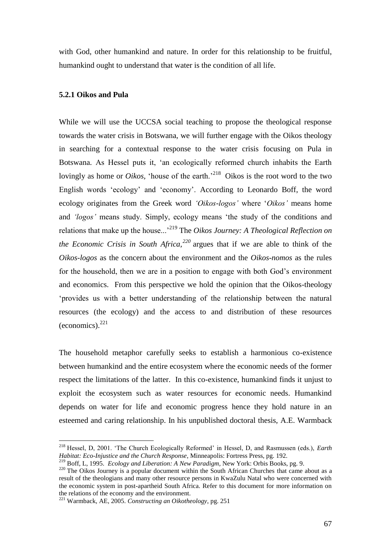with God, other humankind and nature. In order for this relationship to be fruitful, humankind ought to understand that water is the condition of all life.

#### **5.2.1 Oikos and Pula**

While we will use the UCCSA social teaching to propose the theological response towards the water crisis in Botswana, we will further engage with the Oikos theology in searching for a contextual response to the water crisis focusing on Pula in Botswana. As Hessel puts it, "an ecologically reformed church inhabits the Earth lovingly as home or *Oikos*, 'house of the earth.'<sup>218</sup> Oikos is the root word to the two English words "ecology" and "economy". According to Leonardo Boff, the word ecology originates from the Greek word *'Oikos-logos'* where "*Oikos'* means home and *'logos'* means study. Simply, ecology means "the study of the conditions and relations that make up the house..."<sup>219</sup> The *Oikos Journey: A Theological Reflection on the Economic Crisis in South Africa,<sup>220</sup>* argues that if we are able to think of the *Oikos-logos* as the concern about the environment and the *Oikos-nomos* as the rules for the household, then we are in a position to engage with both God's environment and economics. From this perspective we hold the opinion that the Oikos-theology "provides us with a better understanding of the relationship between the natural resources (the ecology) and the access to and distribution of these resources  $(economics).^{221}$ 

The household metaphor carefully seeks to establish a harmonious co-existence between humankind and the entire ecosystem where the economic needs of the former respect the limitations of the latter. In this co-existence, humankind finds it unjust to exploit the ecosystem such as water resources for economic needs. Humankind depends on water for life and economic progress hence they hold nature in an esteemed and caring relationship. In his unpublished doctoral thesis, A.E. Warmback

<sup>&</sup>lt;sup>218</sup> Hessel, D, 2001. 'The Church Ecologically Reformed' in Hessel, D, and Rasmussen (eds.), *Earth Habitat: Eco-Injustice and the Church Response*, Minneapolis: Fortress Press, pg. 192.

<sup>219</sup> Boff, L, 1995. *Ecology and Liberation: A New Paradigm,* New York: Orbis Books, pg. 9.

<sup>&</sup>lt;sup>220</sup> The Oikos Journey is a popular document within the South African Churches that came about as a result of the theologians and many other resource persons in KwaZulu Natal who were concerned with the economic system in post-apartheid South Africa. Refer to this document for more information on the relations of the economy and the environment.

<sup>221</sup> Warmback, AE, 2005. *Constructing an Oikotheology*, pg. 251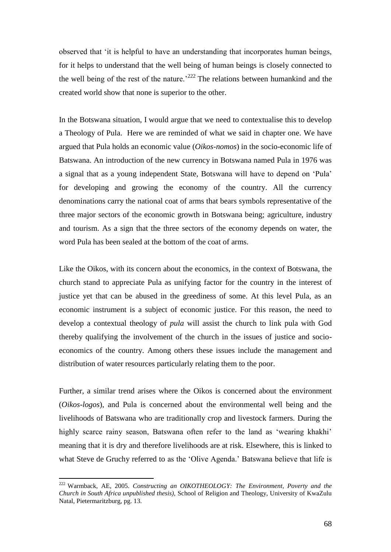observed that "it is helpful to have an understanding that incorporates human beings, for it helps to understand that the well being of human beings is closely connected to the well being of the rest of the nature.<sup> $222$ </sup> The relations between humankind and the created world show that none is superior to the other.

In the Botswana situation, I would argue that we need to contextualise this to develop a Theology of Pula. Here we are reminded of what we said in chapter one. We have argued that Pula holds an economic value (*Oikos-nomos*) in the socio-economic life of Batswana. An introduction of the new currency in Botswana named Pula in 1976 was a signal that as a young independent State, Botswana will have to depend on "Pula" for developing and growing the economy of the country. All the currency denominations carry the national coat of arms that bears symbols representative of the three major sectors of the economic growth in Botswana being; agriculture, industry and tourism. As a sign that the three sectors of the economy depends on water, the word Pula has been sealed at the bottom of the coat of arms.

Like the Oikos, with its concern about the economics, in the context of Botswana, the church stand to appreciate Pula as unifying factor for the country in the interest of justice yet that can be abused in the greediness of some. At this level Pula, as an economic instrument is a subject of economic justice. For this reason, the need to develop a contextual theology of *pula* will assist the church to link pula with God thereby qualifying the involvement of the church in the issues of justice and socioeconomics of the country. Among others these issues include the management and distribution of water resources particularly relating them to the poor.

Further, a similar trend arises where the Oikos is concerned about the environment (*Oikos-logos*), and Pula is concerned about the environmental well being and the livelihoods of Batswana who are traditionally crop and livestock farmers. During the highly scarce rainy season, Batswana often refer to the land as 'wearing khakhi' meaning that it is dry and therefore livelihoods are at risk. Elsewhere, this is linked to what Steve de Gruchy referred to as the "Olive Agenda." Batswana believe that life is

<sup>222</sup> Warmback, AE, 2005. *Constructing an OIKOTHEOLOGY: The Environment, Poverty and the Church in South Africa unpublished thesis),* School of Religion and Theology, University of KwaZulu Natal, Pietermaritzburg, pg. 13.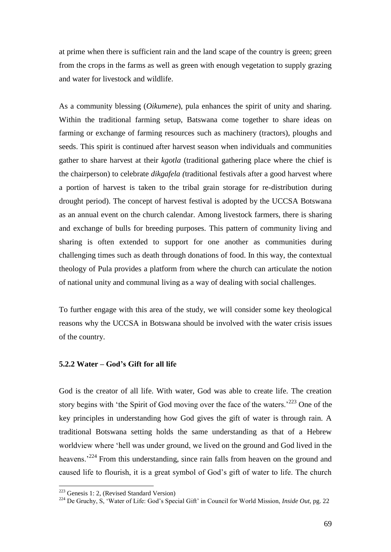at prime when there is sufficient rain and the land scape of the country is green; green from the crops in the farms as well as green with enough vegetation to supply grazing and water for livestock and wildlife.

As a community blessing (*Oikumene*), pula enhances the spirit of unity and sharing. Within the traditional farming setup, Batswana come together to share ideas on farming or exchange of farming resources such as machinery (tractors), ploughs and seeds. This spirit is continued after harvest season when individuals and communities gather to share harvest at their *kgotla* (traditional gathering place where the chief is the chairperson) to celebrate *dikgafela (*traditional festivals after a good harvest where a portion of harvest is taken to the tribal grain storage for re-distribution during drought period). The concept of harvest festival is adopted by the UCCSA Botswana as an annual event on the church calendar. Among livestock farmers, there is sharing and exchange of bulls for breeding purposes. This pattern of community living and sharing is often extended to support for one another as communities during challenging times such as death through donations of food. In this way, the contextual theology of Pula provides a platform from where the church can articulate the notion of national unity and communal living as a way of dealing with social challenges.

To further engage with this area of the study, we will consider some key theological reasons why the UCCSA in Botswana should be involved with the water crisis issues of the country.

#### **5.2.2 Water – God's Gift for all life**

God is the creator of all life. With water, God was able to create life. The creation story begins with 'the Spirit of God moving over the face of the waters.<sup>223</sup> One of the key principles in understanding how God gives the gift of water is through rain. A traditional Botswana setting holds the same understanding as that of a Hebrew worldview where "hell was under ground, we lived on the ground and God lived in the heavens.<sup>224</sup> From this understanding, since rain falls from heaven on the ground and caused life to flourish, it is a great symbol of God"s gift of water to life. The church

<sup>&</sup>lt;sup>223</sup> Genesis 1: 2, (Revised Standard Version)

<sup>&</sup>lt;sup>224</sup> De Gruchy, S, 'Water of Life: God's Special Gift' in Council for World Mission, *Inside Out*, pg. 22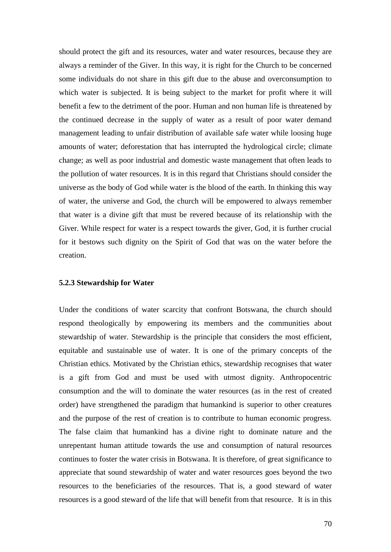should protect the gift and its resources, water and water resources, because they are always a reminder of the Giver. In this way, it is right for the Church to be concerned some individuals do not share in this gift due to the abuse and overconsumption to which water is subjected. It is being subject to the market for profit where it will benefit a few to the detriment of the poor. Human and non human life is threatened by the continued decrease in the supply of water as a result of poor water demand management leading to unfair distribution of available safe water while loosing huge amounts of water; deforestation that has interrupted the hydrological circle; climate change; as well as poor industrial and domestic waste management that often leads to the pollution of water resources. It is in this regard that Christians should consider the universe as the body of God while water is the blood of the earth. In thinking this way of water, the universe and God, the church will be empowered to always remember that water is a divine gift that must be revered because of its relationship with the Giver. While respect for water is a respect towards the giver, God, it is further crucial for it bestows such dignity on the Spirit of God that was on the water before the creation.

#### **5.2.3 Stewardship for Water**

Under the conditions of water scarcity that confront Botswana, the church should respond theologically by empowering its members and the communities about stewardship of water. Stewardship is the principle that considers the most efficient, equitable and sustainable use of water. It is one of the primary concepts of the Christian ethics. Motivated by the Christian ethics, stewardship recognises that water is a gift from God and must be used with utmost dignity. Anthropocentric consumption and the will to dominate the water resources (as in the rest of created order) have strengthened the paradigm that humankind is superior to other creatures and the purpose of the rest of creation is to contribute to human economic progress. The false claim that humankind has a divine right to dominate nature and the unrepentant human attitude towards the use and consumption of natural resources continues to foster the water crisis in Botswana. It is therefore, of great significance to appreciate that sound stewardship of water and water resources goes beyond the two resources to the beneficiaries of the resources. That is, a good steward of water resources is a good steward of the life that will benefit from that resource. It is in this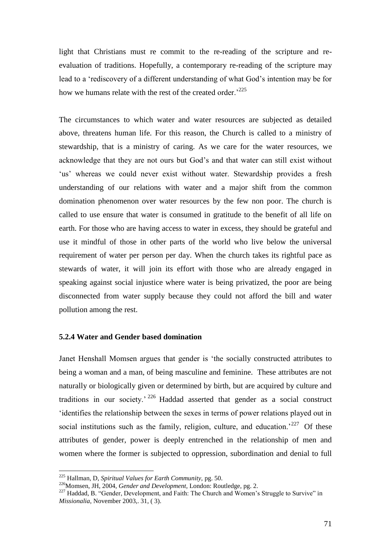light that Christians must re commit to the re-reading of the scripture and reevaluation of traditions. Hopefully, a contemporary re-reading of the scripture may lead to a 'rediscovery of a different understanding of what God's intention may be for how we humans relate with the rest of the created order.<sup>225</sup>

The circumstances to which water and water resources are subjected as detailed above, threatens human life. For this reason, the Church is called to a ministry of stewardship, that is a ministry of caring. As we care for the water resources, we acknowledge that they are not ours but God"s and that water can still exist without 'us' whereas we could never exist without water. Stewardship provides a fresh understanding of our relations with water and a major shift from the common domination phenomenon over water resources by the few non poor. The church is called to use ensure that water is consumed in gratitude to the benefit of all life on earth. For those who are having access to water in excess, they should be grateful and use it mindful of those in other parts of the world who live below the universal requirement of water per person per day. When the church takes its rightful pace as stewards of water, it will join its effort with those who are already engaged in speaking against social injustice where water is being privatized, the poor are being disconnected from water supply because they could not afford the bill and water pollution among the rest.

### **5.2.4 Water and Gender based domination**

Janet Henshall Momsen argues that gender is "the socially constructed attributes to being a woman and a man, of being masculine and feminine. These attributes are not naturally or biologically given or determined by birth, but are acquired by culture and traditions in our society." <sup>226</sup> Haddad asserted that gender as a social construct "identifies the relationship between the sexes in terms of power relations played out in social institutions such as the family, religion, culture, and education.<sup>227</sup> Of these attributes of gender, power is deeply entrenched in the relationship of men and women where the former is subjected to oppression, subordination and denial to full

<sup>225</sup> Hallman, D, *Spiritual Values for Earth Community,* pg. 50.

<sup>226</sup>Momsen, JH, 2004, *Gender and Development,* London: Routledge, pg. 2.

<sup>&</sup>lt;sup>227</sup> Haddad, B. "Gender, Development, and Faith: The Church and Women's Struggle to Survive" in *Missionalia*, November 2003,. 31, ( 3).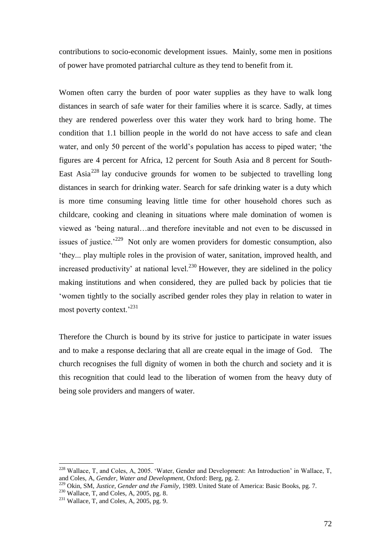contributions to socio-economic development issues. Mainly, some men in positions of power have promoted patriarchal culture as they tend to benefit from it.

Women often carry the burden of poor water supplies as they have to walk long distances in search of safe water for their families where it is scarce. Sadly, at times they are rendered powerless over this water they work hard to bring home. The condition that 1.1 billion people in the world do not have access to safe and clean water, and only 50 percent of the world"s population has access to piped water; "the figures are 4 percent for Africa, 12 percent for South Asia and 8 percent for South-East Asia<sup>228</sup> lay conducive grounds for women to be subjected to travelling long distances in search for drinking water. Search for safe drinking water is a duty which is more time consuming leaving little time for other household chores such as childcare, cooking and cleaning in situations where male domination of women is viewed as "being natural…and therefore inevitable and not even to be discussed in issues of justice.<sup> $229$ </sup> Not only are women providers for domestic consumption, also "they... play multiple roles in the provision of water, sanitation, improved health, and increased productivity' at national level.<sup>230</sup> However, they are sidelined in the policy making institutions and when considered, they are pulled back by policies that tie "women tightly to the socially ascribed gender roles they play in relation to water in most poverty context.<sup>231</sup>

Therefore the Church is bound by its strive for justice to participate in water issues and to make a response declaring that all are create equal in the image of God. The church recognises the full dignity of women in both the church and society and it is this recognition that could lead to the liberation of women from the heavy duty of being sole providers and mangers of water.

 $228$  Wallace, T, and Coles, A, 2005. 'Water, Gender and Development: An Introduction' in Wallace, T, and Coles, A, *Gender, Water and Development,* Oxford: Berg, pg. 2.

<sup>229</sup> Okin, SM, *Justice, Gender and the Family,* 1989. United State of America: Basic Books, pg. 7.

 $230$  Wallace, T, and Coles, A, 2005, pg. 8.

 $231$  Wallace, T, and Coles, A, 2005, pg. 9.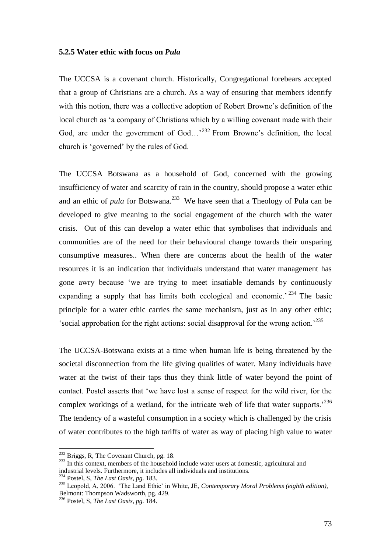#### **5.2.5 Water ethic with focus on** *Pula*

The UCCSA is a covenant church. Historically, Congregational forebears accepted that a group of Christians are a church. As a way of ensuring that members identify with this notion, there was a collective adoption of Robert Browne's definition of the local church as "a company of Christians which by a willing covenant made with their God, are under the government of  $God...^{232}$  From Browne's definition, the local church is "governed" by the rules of God.

The UCCSA Botswana as a household of God, concerned with the growing insufficiency of water and scarcity of rain in the country, should propose a water ethic and an ethic of *pula* for Botswana.<sup>233</sup> We have seen that a Theology of Pula can be developed to give meaning to the social engagement of the church with the water crisis. Out of this can develop a water ethic that symbolises that individuals and communities are of the need for their behavioural change towards their unsparing consumptive measures.. When there are concerns about the health of the water resources it is an indication that individuals understand that water management has gone awry because "we are trying to meet insatiable demands by continuously expanding a supply that has limits both ecological and economic.<sup> $234$ </sup> The basic principle for a water ethic carries the same mechanism, just as in any other ethic; 'social approbation for the right actions: social disapproval for the wrong action.<sup>235</sup>

The UCCSA-Botswana exists at a time when human life is being threatened by the societal disconnection from the life giving qualities of water. Many individuals have water at the twist of their taps thus they think little of water beyond the point of contact. Postel asserts that "we have lost a sense of respect for the wild river, for the complex workings of a wetland, for the intricate web of life that water supports.<sup> $236$ </sup> The tendency of a wasteful consumption in a society which is challenged by the crisis of water contributes to the high tariffs of water as way of placing high value to water

<sup>&</sup>lt;sup>232</sup> Briggs, R, The Covenant Church, pg. 18.

<sup>&</sup>lt;sup>233</sup> In this context, members of the household include water users at domestic, agricultural and industrial levels. Furthermore, it includes all individuals and institutions.

<sup>234</sup> Postel, S, *The Last Oasis, pg.* 183.

<sup>235</sup> Leopold, A, 2006. "The Land Ethic" in White, JE, *Contemporary Moral Problems (eighth edition),*  Belmont: Thompson Wadsworth, pg. 429.

<sup>236</sup> Postel, S, *The Last Oasis, pg.* 184.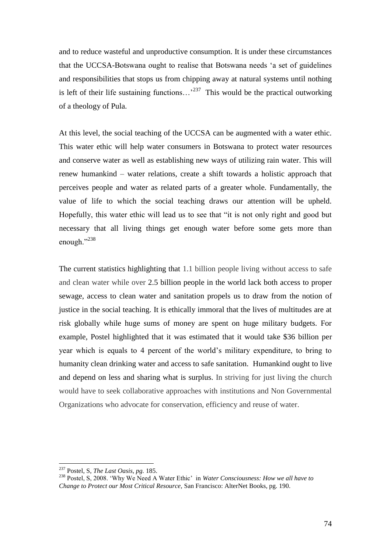and to reduce wasteful and unproductive consumption. It is under these circumstances that the UCCSA-Botswana ought to realise that Botswana needs "a set of guidelines and responsibilities that stops us from chipping away at natural systems until nothing is left of their life sustaining functions...<sup>237</sup> This would be the practical outworking of a theology of Pula.

At this level, the social teaching of the UCCSA can be augmented with a water ethic. This water ethic will help water consumers in Botswana to protect water resources and conserve water as well as establishing new ways of utilizing rain water. This will renew humankind – water relations, create a shift towards a holistic approach that perceives people and water as related parts of a greater whole. Fundamentally, the value of life to which the social teaching draws our attention will be upheld. Hopefully, this water ethic will lead us to see that "it is not only right and good but necessary that all living things get enough water before some gets more than enough."<sup>238</sup>

The current statistics highlighting that 1.1 billion people living without access to safe and clean water while over 2.5 billion people in the world lack both access to proper sewage, access to clean water and sanitation propels us to draw from the notion of justice in the social teaching. It is ethically immoral that the lives of multitudes are at risk globally while huge sums of money are spent on huge military budgets. For example, Postel highlighted that it was estimated that it would take \$36 billion per year which is equals to 4 percent of the world"s military expenditure, to bring to humanity clean drinking water and access to safe sanitation. Humankind ought to live and depend on less and sharing what is surplus. In striving for just living the church would have to seek collaborative approaches with institutions and Non Governmental Organizations who advocate for conservation, efficiency and reuse of water.

<sup>237</sup> Postel, S, *The Last Oasis, pg.* 185.

<sup>238</sup> Postel, S, 2008. "Why We Need A Water Ethic" in *Water Consciousness: How we all have to Change to Protect our Most Critical Resource,* San Francisco: AlterNet Books, pg. 190.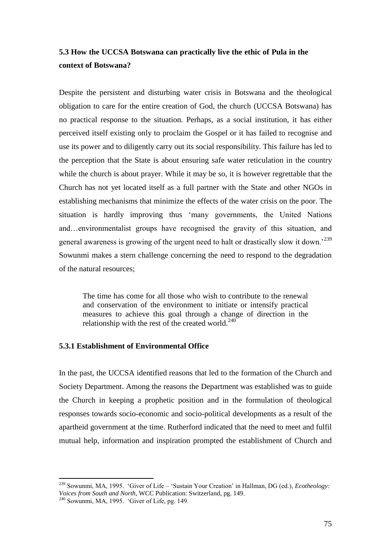# **5.3 How the UCCSA Botswana can practically live the ethic of Pula in the context of Botswana?**

Despite the persistent and disturbing water crisis in Botswana and the theological obligation to care for the entire creation of God, the church (UCCSA Botswana) has no practical response to the situation. Perhaps, as a social institution, it has either perceived itself existing only to proclaim the Gospel or it has failed to recognise and use its power and to diligently carry out its social responsibility. This failure has led to the perception that the State is about ensuring safe water reticulation in the country while the church is about prayer. While it may be so, it is however regrettable that the Church has not yet located itself as a full partner with the State and other NGOs in establishing mechanisms that minimize the effects of the water crisis on the poor. The situation is hardly improving thus "many governments, the United Nations and…environmentalist groups have recognised the gravity of this situation, and general awareness is growing of the urgent need to halt or drastically slow it down.<sup>239</sup> Sowunmi makes a stern challenge concerning the need to respond to the degradation of the natural resources;

The time has come for all those who wish to contribute to the renewal and conservation of the environment to initiate or intensify practical measures to achieve this goal through a change of direction in the relationship with the rest of the created world. $240$ 

#### **5.3.1 Establishment of Environmental Office**

In the past, the UCCSA identified reasons that led to the formation of the Church and Society Department. Among the reasons the Department was established was to guide the Church in keeping a prophetic position and in the formulation of theological responses towards socio-economic and socio-political developments as a result of the apartheid government at the time. Rutherford indicated that the need to meet and fulfil mutual help, information and inspiration prompted the establishment of Church and

<sup>239</sup> Sowunmi, MA, 1995. "Giver of Life – "Sustain Your Creation" in Hallman, DG (ed.), *Ecotheology: Voices from South and North,* WCC Publication: Switzerland, pg. 149.

 $240$  Sowunmi, MA, 1995. 'Giver of Life, pg. 149.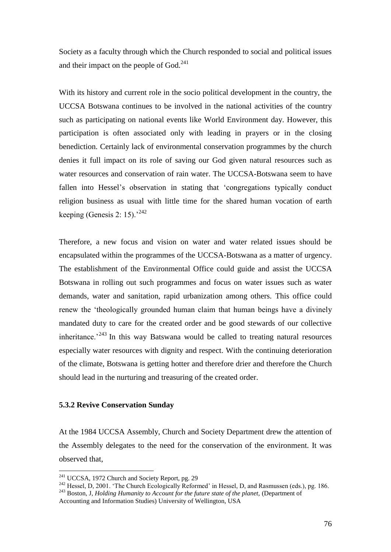Society as a faculty through which the Church responded to social and political issues and their impact on the people of God.<sup>241</sup>

With its history and current role in the socio political development in the country, the UCCSA Botswana continues to be involved in the national activities of the country such as participating on national events like World Environment day. However, this participation is often associated only with leading in prayers or in the closing benediction. Certainly lack of environmental conservation programmes by the church denies it full impact on its role of saving our God given natural resources such as water resources and conservation of rain water. The UCCSA-Botswana seem to have fallen into Hessel's observation in stating that 'congregations typically conduct religion business as usual with little time for the shared human vocation of earth keeping (Genesis 2: 15).<sup>242</sup>

Therefore, a new focus and vision on water and water related issues should be encapsulated within the programmes of the UCCSA-Botswana as a matter of urgency. The establishment of the Environmental Office could guide and assist the UCCSA Botswana in rolling out such programmes and focus on water issues such as water demands, water and sanitation, rapid urbanization among others. This office could renew the "theologically grounded human claim that human beings have a divinely mandated duty to care for the created order and be good stewards of our collective inheritance.<sup> $243$ </sup> In this way Batswana would be called to treating natural resources especially water resources with dignity and respect. With the continuing deterioration of the climate, Botswana is getting hotter and therefore drier and therefore the Church should lead in the nurturing and treasuring of the created order.

## **5.3.2 Revive Conservation Sunday**

 $\overline{a}$ 

At the 1984 UCCSA Assembly, Church and Society Department drew the attention of the Assembly delegates to the need for the conservation of the environment. It was observed that,

 $241$  UCCSA, 1972 Church and Society Report, pg. 29

<sup>&</sup>lt;sup>242</sup> Hessel, D, 2001. 'The Church Ecologically Reformed' in Hessel, D, and Rasmussen (eds.), pg. 186.

<sup>243</sup> Boston, J, *Holding Humanity to Account for the future state of the planet,* (Department of

Accounting and Information Studies) University of Wellington, USA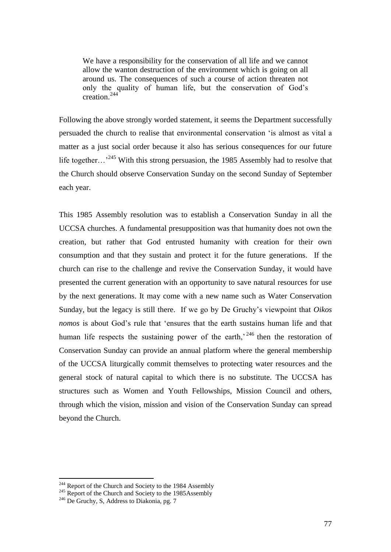We have a responsibility for the conservation of all life and we cannot allow the wanton destruction of the environment which is going on all around us. The consequences of such a course of action threaten not only the quality of human life, but the conservation of God"s creation. $244$ 

Following the above strongly worded statement, it seems the Department successfully persuaded the church to realise that environmental conservation "is almost as vital a matter as a just social order because it also has serious consequences for our future life together...<sup>245</sup> With this strong persuasion, the 1985 Assembly had to resolve that the Church should observe Conservation Sunday on the second Sunday of September each year.

This 1985 Assembly resolution was to establish a Conservation Sunday in all the UCCSA churches. A fundamental presupposition was that humanity does not own the creation, but rather that God entrusted humanity with creation for their own consumption and that they sustain and protect it for the future generations. If the church can rise to the challenge and revive the Conservation Sunday, it would have presented the current generation with an opportunity to save natural resources for use by the next generations. It may come with a new name such as Water Conservation Sunday, but the legacy is still there. If we go by De Gruchy"s viewpoint that *Oikos nomos* is about God"s rule that "ensures that the earth sustains human life and that human life respects the sustaining power of the earth,<sup> $246$ </sup> then the restoration of Conservation Sunday can provide an annual platform where the general membership of the UCCSA liturgically commit themselves to protecting water resources and the general stock of natural capital to which there is no substitute. The UCCSA has structures such as Women and Youth Fellowships, Mission Council and others, through which the vision, mission and vision of the Conservation Sunday can spread beyond the Church.

<sup>&</sup>lt;sup>244</sup> Report of the Church and Society to the 1984 Assembly

<sup>&</sup>lt;sup>245</sup> Report of the Church and Society to the 1985Assembly

<sup>&</sup>lt;sup>246</sup> De Gruchy, S, Address to Diakonia, pg. 7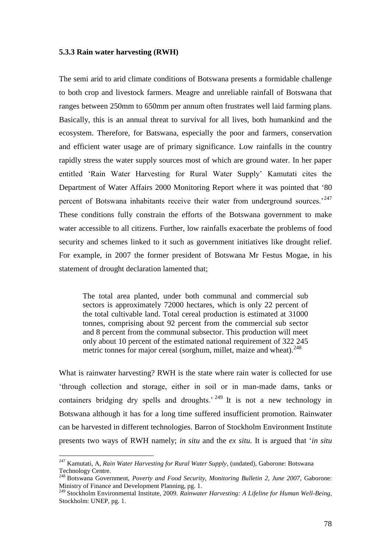#### **5.3.3 Rain water harvesting (RWH)**

The semi arid to arid climate conditions of Botswana presents a formidable challenge to both crop and livestock farmers. Meagre and unreliable rainfall of Botswana that ranges between 250mm to 650mm per annum often frustrates well laid farming plans. Basically, this is an annual threat to survival for all lives, both humankind and the ecosystem. Therefore, for Batswana, especially the poor and farmers, conservation and efficient water usage are of primary significance. Low rainfalls in the country rapidly stress the water supply sources most of which are ground water. In her paper entitled "Rain Water Harvesting for Rural Water Supply" Kamutati cites the Department of Water Affairs 2000 Monitoring Report where it was pointed that "80 percent of Botswana inhabitants receive their water from underground sources.<sup>247</sup> These conditions fully constrain the efforts of the Botswana government to make water accessible to all citizens. Further, low rainfalls exacerbate the problems of food security and schemes linked to it such as government initiatives like drought relief. For example, in 2007 the former president of Botswana Mr Festus Mogae, in his statement of drought declaration lamented that;

The total area planted, under both communal and commercial sub sectors is approximately 72000 hectares, which is only 22 percent of the total cultivable land. Total cereal production is estimated at 31000 tonnes, comprising about 92 percent from the commercial sub sector and 8 percent from the communal subsector. This production will meet only about 10 percent of the estimated national requirement of 322 245 metric tonnes for major cereal (sorghum, millet, maize and wheat). $^{248}$ 

What is rainwater harvesting? RWH is the state where rain water is collected for use "through collection and storage, either in soil or in man-made dams, tanks or containers bridging dry spells and droughts.<sup> $249$ </sup> It is not a new technology in Botswana although it has for a long time suffered insufficient promotion. Rainwater can be harvested in different technologies. Barron of Stockholm Environment Institute presents two ways of RWH namely; *in situ* and the *ex situ.* It is argued that "*in situ* 

<sup>247</sup> Kamutati, A, *Rain Water Harvesting for Rural Water Supply*, (undated), Gaborone: Botswana Technology Centre.

<sup>&</sup>lt;sup>248</sup> Botswana Government, *Poverty and Food Security, Monitoring Bulletin 2, June 2007, Gaborone:* Ministry of Finance and Development Planning, pg. 1.

<sup>249</sup> Stockholm Environmental Institute, 2009. *Rainwater Harvesting: A Lifeline for Human Well-Being,*  Stockholm: UNEP, pg. 1.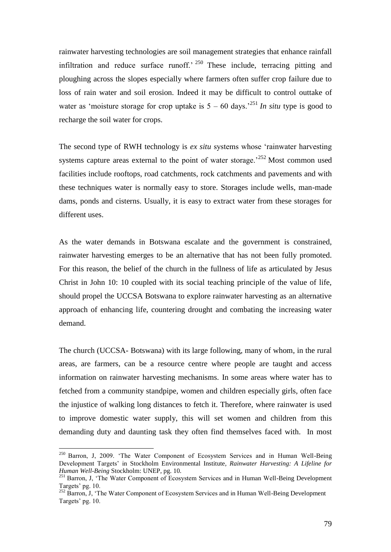rainwater harvesting technologies are soil management strategies that enhance rainfall infiltration and reduce surface runoff.<sup> $250$ </sup> These include, terracing pitting and ploughing across the slopes especially where farmers often suffer crop failure due to loss of rain water and soil erosion. Indeed it may be difficult to control outtake of water as 'moisture storage for crop uptake is  $5 - 60$  days.<sup>251</sup> *In situ* type is good to recharge the soil water for crops.

The second type of RWH technology is *ex situ* systems whose "rainwater harvesting systems capture areas external to the point of water storage.<sup> $252$ </sup> Most common used facilities include rooftops, road catchments, rock catchments and pavements and with these techniques water is normally easy to store. Storages include wells, man-made dams, ponds and cisterns. Usually, it is easy to extract water from these storages for different uses.

As the water demands in Botswana escalate and the government is constrained, rainwater harvesting emerges to be an alternative that has not been fully promoted. For this reason, the belief of the church in the fullness of life as articulated by Jesus Christ in John 10: 10 coupled with its social teaching principle of the value of life, should propel the UCCSA Botswana to explore rainwater harvesting as an alternative approach of enhancing life, countering drought and combating the increasing water demand.

The church (UCCSA- Botswana) with its large following, many of whom, in the rural areas, are farmers, can be a resource centre where people are taught and access information on rainwater harvesting mechanisms. In some areas where water has to fetched from a community standpipe, women and children especially girls, often face the injustice of walking long distances to fetch it. Therefore, where rainwater is used to improve domestic water supply, this will set women and children from this demanding duty and daunting task they often find themselves faced with. In most

<sup>&</sup>lt;sup>250</sup> Barron, J, 2009. 'The Water Component of Ecosystem Services and in Human Well-Being Development Targets" in Stockholm Environmental Institute*, Rainwater Harvesting: A Lifeline for Human Well-Being* Stockholm: UNEP, pg. 10.

<sup>&</sup>lt;sup>251</sup> Barron, J, 'The Water Component of Ecosystem Services and in Human Well-Being Development Targets' pg. 10.

<sup>&</sup>lt;sup>252</sup> Barron, J, 'The Water Component of Ecosystem Services and in Human Well-Being Development Targets' pg. 10.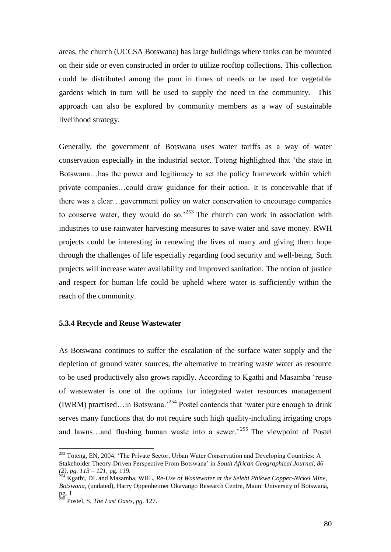areas, the church (UCCSA Botswana) has large buildings where tanks can be mounted on their side or even constructed in order to utilize rooftop collections. This collection could be distributed among the poor in times of needs or be used for vegetable gardens which in turn will be used to supply the need in the community. This approach can also be explored by community members as a way of sustainable livelihood strategy.

Generally, the government of Botswana uses water tariffs as a way of water conservation especially in the industrial sector. Toteng highlighted that "the state in Botswana…has the power and legitimacy to set the policy framework within which private companies…could draw guidance for their action. It is conceivable that if there was a clear…government policy on water conservation to encourage companies to conserve water, they would do so.<sup>253</sup> The church can work in association with industries to use rainwater harvesting measures to save water and save money. RWH projects could be interesting in renewing the lives of many and giving them hope through the challenges of life especially regarding food security and well-being. Such projects will increase water availability and improved sanitation. The notion of justice and respect for human life could be upheld where water is sufficiently within the reach of the community.

#### **5.3.4 Recycle and Reuse Wastewater**

As Botswana continues to suffer the escalation of the surface water supply and the depletion of ground water sources, the alternative to treating waste water as resource to be used productively also grows rapidly. According to Kgathi and Masamba "reuse of wastewater is one of the options for integrated water resources management (IWRM) practised...in Botswana.<sup>254</sup> Postel contends that 'water pure enough to drink serves many functions that do not require such high quality-including irrigating crops and lawns...and flushing human waste into a sewer.<sup>255</sup> The viewpoint of Postel

<sup>&</sup>lt;sup>253</sup> Toteng, EN, 2004. 'The Private Sector, Urban Water Conservation and Developing Countries: A Stakeholder Theory-Driven Perspective From Botswana" in *South African Geographical Journal, 86 (2), pg. 113 – 121,* pg. 119*.*

<sup>254</sup> Kgathi, DL and Masamba, WRL, *Re-Use of Wastewater at the Selebi Phikwe Copper-Nickel Mine, Botswana,* (undated), Harry Oppenheimer Okavango Research Centre, Maun: University of Botswana, pg. 1.

<sup>255</sup> Postel, S, *The Last Oasis, pg.* 127.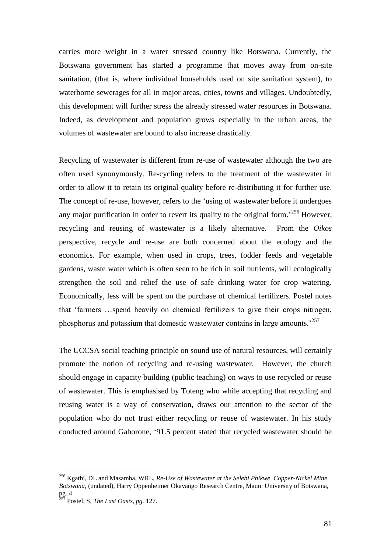carries more weight in a water stressed country like Botswana. Currently, the Botswana government has started a programme that moves away from on-site sanitation, (that is, where individual households used on site sanitation system), to waterborne sewerages for all in major areas, cities, towns and villages. Undoubtedly, this development will further stress the already stressed water resources in Botswana. Indeed, as development and population grows especially in the urban areas, the volumes of wastewater are bound to also increase drastically.

Recycling of wastewater is different from re-use of wastewater although the two are often used synonymously. Re-cycling refers to the treatment of the wastewater in order to allow it to retain its original quality before re-distributing it for further use. The concept of re-use, however, refers to the "using of wastewater before it undergoes any major purification in order to revert its quality to the original form.<sup>256</sup> However, recycling and reusing of wastewater is a likely alternative. From the *Oikos*  perspective, recycle and re-use are both concerned about the ecology and the economics. For example, when used in crops, trees, fodder feeds and vegetable gardens, waste water which is often seen to be rich in soil nutrients, will ecologically strengthen the soil and relief the use of safe drinking water for crop watering. Economically, less will be spent on the purchase of chemical fertilizers. Postel notes that "farmers …spend heavily on chemical fertilizers to give their crops nitrogen, phosphorus and potassium that domestic wastewater contains in large amounts.<sup>257</sup>

The UCCSA social teaching principle on sound use of natural resources, will certainly promote the notion of recycling and re-using wastewater. However, the church should engage in capacity building (public teaching) on ways to use recycled or reuse of wastewater. This is emphasised by Toteng who while accepting that recycling and reusing water is a way of conservation, draws our attention to the sector of the population who do not trust either recycling or reuse of wastewater. In his study conducted around Gaborone, "91.5 percent stated that recycled wastewater should be

<sup>256</sup> Kgathi, DL and Masamba, WRL, *Re-Use of Wastewater at the Selebi Phikwe Copper-Nickel Mine, Botswana,* (undated), Harry Oppenheimer Okavango Research Centre, Maun: University of Botswana, pg. 4.

<sup>257</sup> Postel, S, *The Last Oasis, pg.* 127.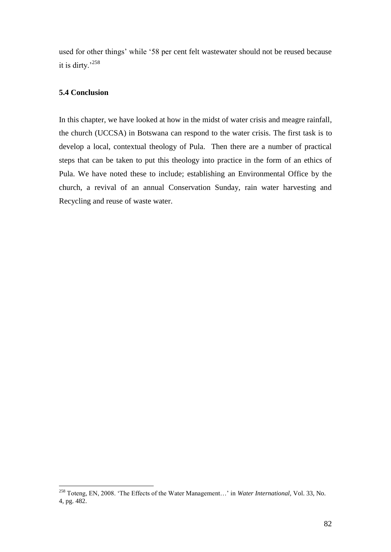used for other things' while '58 per cent felt wastewater should not be reused because it is dirty.'<sup>258</sup>

## **5.4 Conclusion**

 $\overline{a}$ 

In this chapter, we have looked at how in the midst of water crisis and meagre rainfall, the church (UCCSA) in Botswana can respond to the water crisis. The first task is to develop a local, contextual theology of Pula. Then there are a number of practical steps that can be taken to put this theology into practice in the form of an ethics of Pula. We have noted these to include; establishing an Environmental Office by the church, a revival of an annual Conservation Sunday, rain water harvesting and Recycling and reuse of waste water.

<sup>258</sup> Toteng, EN, 2008. "The Effects of the Water Management…" in *Water International,* Vol. 33, No. 4, pg. 482.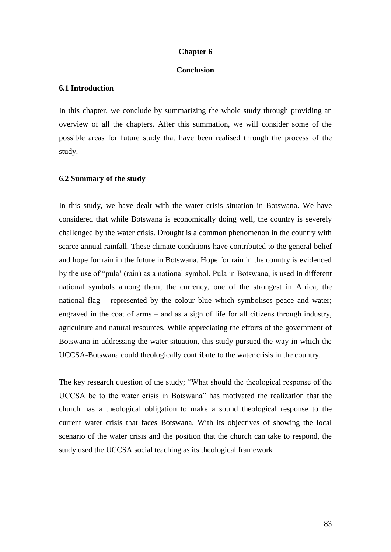#### **Chapter 6**

### **Conclusion**

#### **6.1 Introduction**

In this chapter, we conclude by summarizing the whole study through providing an overview of all the chapters. After this summation, we will consider some of the possible areas for future study that have been realised through the process of the study.

#### **6.2 Summary of the study**

In this study, we have dealt with the water crisis situation in Botswana. We have considered that while Botswana is economically doing well, the country is severely challenged by the water crisis. Drought is a common phenomenon in the country with scarce annual rainfall. These climate conditions have contributed to the general belief and hope for rain in the future in Botswana. Hope for rain in the country is evidenced by the use of "pula" (rain) as a national symbol. Pula in Botswana, is used in different national symbols among them; the currency, one of the strongest in Africa, the national flag – represented by the colour blue which symbolises peace and water; engraved in the coat of arms – and as a sign of life for all citizens through industry, agriculture and natural resources. While appreciating the efforts of the government of Botswana in addressing the water situation, this study pursued the way in which the UCCSA-Botswana could theologically contribute to the water crisis in the country.

The key research question of the study; "What should the theological response of the UCCSA be to the water crisis in Botswana" has motivated the realization that the church has a theological obligation to make a sound theological response to the current water crisis that faces Botswana. With its objectives of showing the local scenario of the water crisis and the position that the church can take to respond, the study used the UCCSA social teaching as its theological framework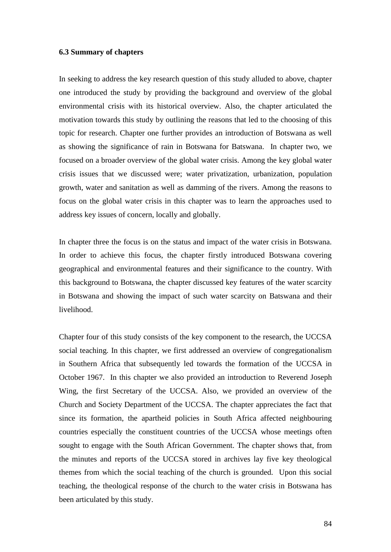#### **6.3 Summary of chapters**

In seeking to address the key research question of this study alluded to above, chapter one introduced the study by providing the background and overview of the global environmental crisis with its historical overview. Also, the chapter articulated the motivation towards this study by outlining the reasons that led to the choosing of this topic for research. Chapter one further provides an introduction of Botswana as well as showing the significance of rain in Botswana for Batswana. In chapter two, we focused on a broader overview of the global water crisis. Among the key global water crisis issues that we discussed were; water privatization, urbanization, population growth, water and sanitation as well as damming of the rivers. Among the reasons to focus on the global water crisis in this chapter was to learn the approaches used to address key issues of concern, locally and globally.

In chapter three the focus is on the status and impact of the water crisis in Botswana. In order to achieve this focus, the chapter firstly introduced Botswana covering geographical and environmental features and their significance to the country. With this background to Botswana, the chapter discussed key features of the water scarcity in Botswana and showing the impact of such water scarcity on Batswana and their livelihood.

Chapter four of this study consists of the key component to the research, the UCCSA social teaching. In this chapter, we first addressed an overview of congregationalism in Southern Africa that subsequently led towards the formation of the UCCSA in October 1967. In this chapter we also provided an introduction to Reverend Joseph Wing, the first Secretary of the UCCSA. Also, we provided an overview of the Church and Society Department of the UCCSA. The chapter appreciates the fact that since its formation, the apartheid policies in South Africa affected neighbouring countries especially the constituent countries of the UCCSA whose meetings often sought to engage with the South African Government. The chapter shows that, from the minutes and reports of the UCCSA stored in archives lay five key theological themes from which the social teaching of the church is grounded. Upon this social teaching, the theological response of the church to the water crisis in Botswana has been articulated by this study.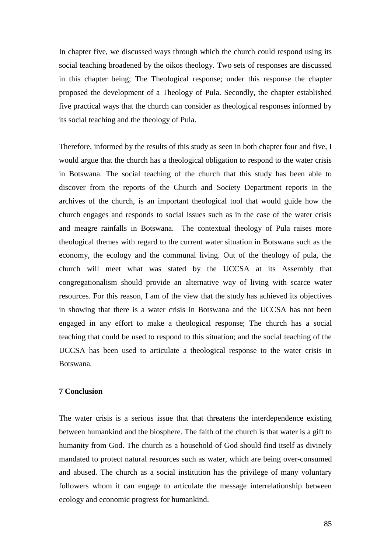In chapter five, we discussed ways through which the church could respond using its social teaching broadened by the oikos theology. Two sets of responses are discussed in this chapter being; The Theological response; under this response the chapter proposed the development of a Theology of Pula. Secondly, the chapter established five practical ways that the church can consider as theological responses informed by its social teaching and the theology of Pula.

Therefore, informed by the results of this study as seen in both chapter four and five, I would argue that the church has a theological obligation to respond to the water crisis in Botswana. The social teaching of the church that this study has been able to discover from the reports of the Church and Society Department reports in the archives of the church, is an important theological tool that would guide how the church engages and responds to social issues such as in the case of the water crisis and meagre rainfalls in Botswana. The contextual theology of Pula raises more theological themes with regard to the current water situation in Botswana such as the economy, the ecology and the communal living. Out of the theology of pula, the church will meet what was stated by the UCCSA at its Assembly that congregationalism should provide an alternative way of living with scarce water resources. For this reason, I am of the view that the study has achieved its objectives in showing that there is a water crisis in Botswana and the UCCSA has not been engaged in any effort to make a theological response; The church has a social teaching that could be used to respond to this situation; and the social teaching of the UCCSA has been used to articulate a theological response to the water crisis in Botswana.

## **7 Conclusion**

The water crisis is a serious issue that that threatens the interdependence existing between humankind and the biosphere. The faith of the church is that water is a gift to humanity from God. The church as a household of God should find itself as divinely mandated to protect natural resources such as water, which are being over-consumed and abused. The church as a social institution has the privilege of many voluntary followers whom it can engage to articulate the message interrelationship between ecology and economic progress for humankind.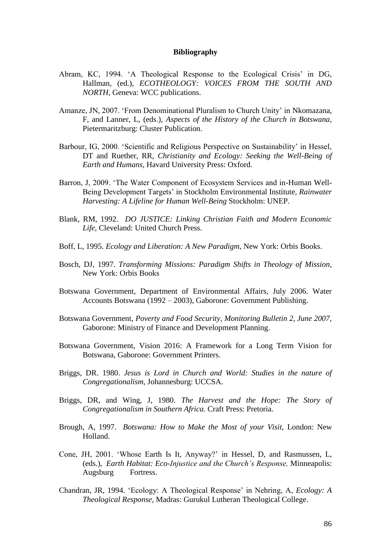#### **Bibliography**

- Abram, KC, 1994. "A Theological Response to the Ecological Crisis" in DG, Hallman, (ed.), *ECOTHEOLOGY: VOICES FROM THE SOUTH AND NORTH,* Geneva: WCC publications.
- Amanze, JN, 2007. 'From Denominational Pluralism to Church Unity' in Nkomazana, F, and Lanner, L, (eds.), *Aspects of the History of the Church in Botswana*, Pietermaritzburg: Cluster Publication.
- Barbour, IG, 2000. 'Scientific and Religious Perspective on Sustainability' in Hessel, DT and Ruether, RR, *Christianity and Ecology: Seeking the Well-Being of Earth and Humans*, Havard University Press: Oxford.
- Barron, J, 2009. "The Water Component of Ecosystem Services and in-Human Well-Being Development Targets" in Stockholm Environmental Institute*, Rainwater Harvesting: A Lifeline for Human Well-Being* Stockholm: UNEP.
- Blank, RM, 1992. *DO JUSTICE: Linking Christian Faith and Modern Economic Life*, Cleveland: United Church Press.
- Boff, L, 1995. *Ecology and Liberation: A New Paradigm,* New York: Orbis Books.
- Bosch, DJ, 1997. *Transforming Missions: Paradigm Shifts in Theology of Mission,*  New York: Orbis Books
- Botswana Government, Department of Environmental Affairs, July 2006. Water Accounts Botswana (1992 – 2003), Gaborone: Government Publishing.
- Botswana Government, *Poverty and Food Security, Monitoring Bulletin 2, June 2007,*  Gaborone: Ministry of Finance and Development Planning.
- Botswana Government, Vision 2016: A Framework for a Long Term Vision for Botswana, Gaborone: Government Printers.
- Briggs, DR. 1980. *Jesus is Lord in Church and World: Studies in the nature of Congregationalism,* Johannesburg: UCCSA.
- Briggs, DR, and Wing, J, 1980. *The Harvest and the Hope: The Story of Congregationalism in Southern Africa.* Craft Press: Pretoria.
- Brough, A, 1997. *Botswana: How to Make the Most of your Visit,* London: New Holland.
- Cone, JH, 2001. "Whose Earth Is It, Anyway?" in Hessel, D, and Rasmussen, L, (eds.), *Earth Habitat: Eco-Injustice and the Church's Response,* Minneapolis: Augsburg Fortress.
- Chandran, JR, 1994. "Ecology: A Theological Response" in Nehring, A, *Ecology: A Theological Response,* Madras: Gurukul Lutheran Theological College.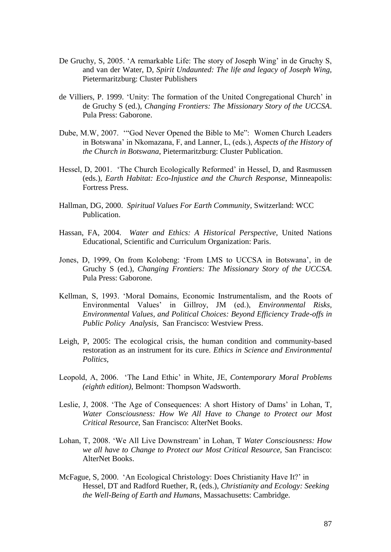- De Gruchy, S, 2005. 'A remarkable Life: The story of Joseph Wing' in de Gruchy S, and van der Water, D, *Spirit Undaunted: The life and legacy of Joseph Wing,*  Pietermaritzburg: Cluster Publishers
- de Villiers, P. 1999. "Unity: The formation of the United Congregational Church" in de Gruchy S (ed.), *Changing Frontiers: The Missionary Story of the UCCSA*. Pula Press: Gaborone.
- Dube, M.W, 2007. ""God Never Opened the Bible to Me": Women Church Leaders in Botswana" in Nkomazana, F, and Lanner, L, (eds.), *Aspects of the History of the Church in Botswana*, Pietermaritzburg: Cluster Publication.
- Hessel, D, 2001. 'The Church Ecologically Reformed' in Hessel, D, and Rasmussen (eds.), *Earth Habitat: Eco-Injustice and the Church Response*, Minneapolis: Fortress Press.
- Hallman, DG, 2000. *Spiritual Values For Earth Community,* Switzerland: WCC Publication.
- Hassan, FA, 2004. *Water and Ethics: A Historical Perspective,* United Nations Educational, Scientific and Curriculum Organization: Paris.
- Jones, D, 1999, On from Kolobeng: "From LMS to UCCSA in Botswana", in de Gruchy S (ed.), *Changing Frontiers: The Missionary Story of the UCCSA*. Pula Press: Gaborone.
- Kellman, S, 1993. "Moral Domains, Economic Instrumentalism, and the Roots of Environmental Values" in Gillroy, JM (ed.), *Environmental Risks, Environmental Values, and Political Choices: Beyond Efficiency Trade-offs in Public Policy Analysis,* San Francisco: Westview Press.
- Leigh, P, 2005: The ecological crisis, the human condition and community-based restoration as an instrument for its cure. *Ethics in Science and Environmental Politics,*
- Leopold, A, 2006. "The Land Ethic" in White, JE, *Contemporary Moral Problems (eighth edition),* Belmont: Thompson Wadsworth.
- Leslie, J, 2008. 'The Age of Consequences: A short History of Dams' in Lohan, T, *Water Consciousness: How We All Have to Change to Protect our Most Critical Resource,* San Francisco: AlterNet Books.
- Lohan, T, 2008. "We All Live Downstream" in Lohan, T *Water Consciousness: How we all have to Change to Protect our Most Critical Resource,* San Francisco: AlterNet Books.
- McFague, S, 2000. 'An Ecological Christology: Does Christianity Have It?' in Hessel, DT and Radford Ruether, R, (eds.), *Christianity and Ecology: Seeking the Well-Being of Earth and Humans,* Massachusetts: Cambridge.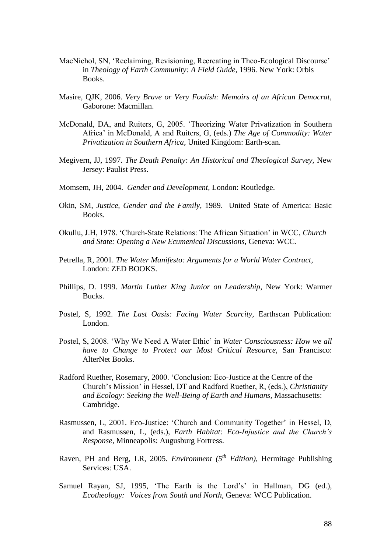- MacNichol, SN, "Reclaiming, Revisioning, Recreating in Theo-Ecological Discourse" in *Theology of Earth Community: A Field Guide,* 1996. New York: Orbis Books.
- Masire, QJK, 2006. *Very Brave or Very Foolish: Memoirs of an African Democrat,* Gaborone: Macmillan.
- McDonald, DA, and Ruiters, G, 2005. "Theorizing Water Privatization in Southern Africa" in McDonald, A and Ruiters, G, (eds.) *The Age of Commodity: Water Privatization in Southern Africa*, United Kingdom: Earth-scan.
- Megivern, JJ, 1997. *The Death Penalty: An Historical and Theological Survey,* New Jersey: Paulist Press.
- Momsem, JH, 2004. *Gender and Development,* London: Routledge.
- Okin, SM, *Justice, Gender and the Family,* 1989. United State of America: Basic Books.
- Okullu, J.H, 1978. "Church-State Relations: The African Situation" in WCC, *Church and State: Opening a New Ecumenical Discussions,* Geneva: WCC.
- Petrella, R, 2001. *The Water Manifesto: Arguments for a World Water Contract,*  London: ZED BOOKS.
- Phillips, D. 1999. *Martin Luther King Junior on Leadership*, New York: Warmer Bucks.
- Postel, S, 1992. *The Last Oasis: Facing Water Scarcity,* Earthscan Publication: London.
- Postel, S, 2008. "Why We Need A Water Ethic" in *Water Consciousness: How we all have to Change to Protect our Most Critical Resource,* San Francisco: AlterNet Books.
- Radford Ruether, Rosemary, 2000. "Conclusion: Eco-Justice at the Centre of the Church"s Mission" in Hessel, DT and Radford Ruether, R, (eds.), *Christianity and Ecology: Seeking the Well-Being of Earth and Humans,* Massachusetts: Cambridge.
- Rasmussen, L, 2001. Eco-Justice: 'Church and Community Together' in Hessel, D, and Rasmussen, L, (eds.), *Earth Habitat: Eco-Injustice and the Church's Response,* Minneapolis: Augusburg Fortress.
- Raven, PH and Berg, LR, 2005. *Environment (5th Edition),* Hermitage Publishing Services: USA.
- Samuel Rayan, SJ, 1995, 'The Earth is the Lord's' in Hallman, DG (ed.), *Ecotheology: Voices from South and North*, Geneva: WCC Publication.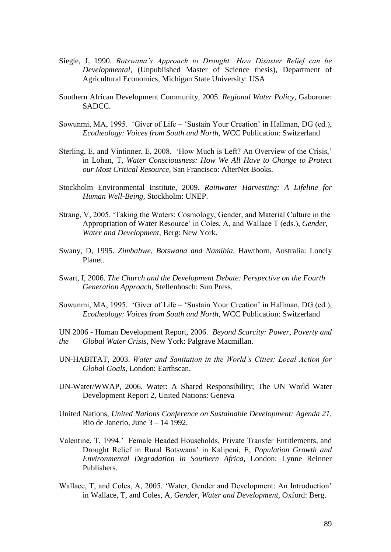- Siegle, J, 1990. *Botswana's Approach to Drought: How Disaster Relief can be Developmental,* (Unpublished Master of Science thesis), Department of Agricultural Economics, Michigan State University: USA
- Southern African Development Community, 2005. *Regional Water Policy,* Gaborone: SADCC.
- Sowunmi, MA, 1995. "Giver of Life "Sustain Your Creation" in Hallman, DG (ed.), *Ecotheology: Voices from South and North,* WCC Publication: Switzerland
- Sterling, E, and Vintinner, E, 2008. 'How Much is Left? An Overview of the Crisis,' in Lohan, T*, Water Consciousness: How We All Have to Change to Protect our Most Critical Resource,* San Francisco: AlterNet Books.
- Stockholm Environmental Institute, 2009. *Rainwater Harvesting: A Lifeline for Human Well-Being,* Stockholm: UNEP.
- Strang, V, 2005. "Taking the Waters: Cosmology, Gender, and Material Culture in the Appropriation of Water Resource" in Coles, A, and Wallace T (eds.), *Gender, Water and Development*, Berg: New York.
- Swany, D, 1995. *Zimbabwe, Botswana and Namibia,* Hawthorn, Australia: Lonely Planet.
- Swart, I, 2006. *The Church and the Development Debate: Perspective on the Fourth Generation Approach,* Stellenbosch: Sun Press.
- Sowunmi, MA, 1995. "Giver of Life "Sustain Your Creation" in Hallman, DG (ed.), *Ecotheology: Voices from South and North,* WCC Publication: Switzerland

UN 2006 - Human Development Report, 2006. *Beyond Scarcity: Power, Poverty and the Global Water Crisis,* New York: Palgrave Macmillan.

- UN-HABITAT, 2003. *Water and Sanitation in the World's Cities: Local Action for Global Goals,* London: Earthscan.
- UN-Water/WWAP, 2006. Water: A Shared Responsibility; The UN World Water Development Report 2, United Nations: Geneva
- United Nations, *United Nations Conference on Sustainable Development: Agenda 21,*  Rio de Janerio, June 3 – 14 1992.
- Valentine, T, 1994." Female Headed Households, Private Transfer Entitlements, and Drought Relief in Rural Botswana" in Kalipeni, E, *Population Growth and Environmental Degradation in Southern Africa,* London: Lynne Reinner Publishers.
- Wallace, T, and Coles, A, 2005. "Water, Gender and Development: An Introduction" in Wallace, T, and Coles, A, *Gender, Water and Development,* Oxford: Berg.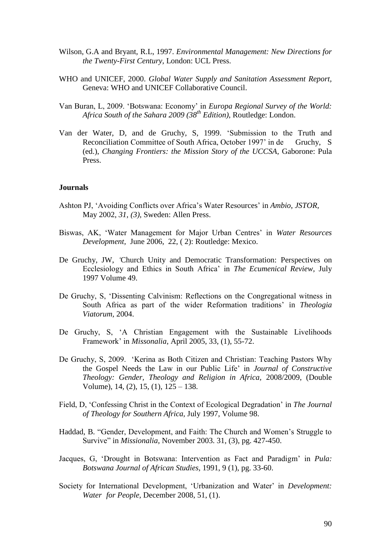- Wilson, G.A and Bryant, R.L, 1997. *Environmental Management: New Directions for the Twenty-First Century,* London: UCL Press.
- WHO and UNICEF, 2000. *Global Water Supply and Sanitation Assessment Report,*  Geneva: WHO and UNICEF Collaborative Council.
- Van Buran, L, 2009. "Botswana: Economy" in *Europa Regional Survey of the World: Africa South of the Sahara 2009 (38th Edition)*, Routledge: London.
- Van der Water, D, and de Gruchy, S, 1999. "Submission to the Truth and Reconciliation Committee of South Africa, October 1997' in de Gruchy, S (ed.), *Changing Frontiers: the Mission Story of the UCCSA,* Gaborone: Pula Press.

#### **Journals**

- Ashton PJ, "Avoiding Conflicts over Africa"s Water Resources" in *Ambio*, *JSTOR,*  May 2002, *31, (3),* Sweden: Allen Press.
- Biswas, AK, "Water Management for Major Urban Centres" in *Water Resources Development,* June 2006, 22, ( 2): Routledge: Mexico.
- De Gruchy, JW, *'*Church Unity and Democratic Transformation: Perspectives on Ecclesiology and Ethics in South Africa" in *The Ecumenical Review,* July 1997 Volume 49.
- De Gruchy, S, "Dissenting Calvinism: Reflections on the Congregational witness in South Africa as part of the wider Reformation traditions" in *Theologia Viatorum,* 2004.
- De Gruchy, S, "A Christian Engagement with the Sustainable Livelihoods Framework" in *Missonalia,* April 2005, 33, (1), 55-72.
- De Gruchy, S, 2009. "Kerina as Both Citizen and Christian: Teaching Pastors Why the Gospel Needs the Law in our Public Life" in *Journal of Constructive Theology: Gender, Theology and Religion in Africa,* 2008/2009, (Double Volume), 14, (2), 15, (1), 125 – 138.
- Field, D, "Confessing Christ in the Context of Ecological Degradation" in *The Journal of Theology for Southern Africa,* July 1997, Volume 98.
- Haddad, B. "Gender, Development, and Faith: The Church and Women"s Struggle to Survive" in *Missionalia*, November 2003. 31, (3), pg. 427-450.
- Jacques, G, "Drought in Botswana: Intervention as Fact and Paradigm" in *Pula: Botswana Journal of African Studies,* 1991, 9 (1), pg. 33-60.
- Society for International Development, 'Urbanization and Water' in *Development: Water for People,* December 2008, 51, (1).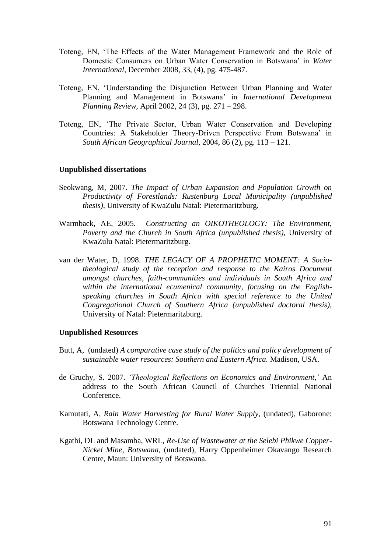- Toteng, EN, "The Effects of the Water Management Framework and the Role of Domestic Consumers on Urban Water Conservation in Botswana" in *Water International,* December 2008, 33, (4), pg. 475-487.
- Toteng, EN, "Understanding the Disjunction Between Urban Planning and Water Planning and Management in Botswana" in *International Development Planning Review,* April 2002, 24 (3), pg. 271 – 298.
- Toteng, EN, "The Private Sector, Urban Water Conservation and Developing Countries: A Stakeholder Theory-Driven Perspective From Botswana" in *South African Geographical Journal,* 2004, 86 (2), pg. 113 – 121.

#### **Unpublished dissertations**

- Seokwang, M, 2007. *The Impact of Urban Expansion and Population Growth on Productivity of Forestlands: Rustenburg Local Municipality (unpublished thesis)*, University of KwaZulu Natal: Pietermaritzburg.
- Warmback, AE, 2005. *Constructing an OIKOTHEOLOGY: The Environment, Poverty and the Church in South Africa (unpublished thesis),* University of KwaZulu Natal: Pietermaritzburg.
- van der Water, D, 1998. *THE LEGACY OF A PROPHETIC MOMENT: A Sociotheological study of the reception and response to the Kairos Document amongst churches, faith-communities and individuals in South Africa and within the international ecumenical community, focusing on the Englishspeaking churches in South Africa with special reference to the United Congregational Church of Southern Africa (unpublished doctoral thesis),*  University of Natal: Pietermaritzburg.

#### **Unpublished Resources**

- Butt, A, (undated) *A comparative case study of the politics and policy development of sustainable water resources: Southern and Eastern Africa.* Madison, USA.
- de Gruchy, S. 2007. *'Theological Reflections on Economics and Environment,'* An address to the South African Council of Churches Triennial National Conference.
- Kamutati, A, *Rain Water Harvesting for Rural Water Supply*, (undated), Gaborone: Botswana Technology Centre.
- Kgathi, DL and Masamba, WRL, *Re-Use of Wastewater at the Selebi Phikwe Copper-Nickel Mine, Botswana,* (undated), Harry Oppenheimer Okavango Research Centre, Maun: University of Botswana.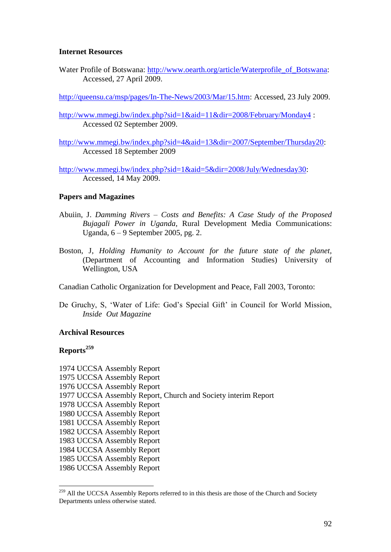## **Internet Resources**

Water Profile of Botswana: http://www.oearth.org/article/Waterprofile of Botswana: Accessed, 27 April 2009.

[http://queensu.ca/msp/pages/In-The-News/2003/Mar/15.htm:](http://queensu.ca/msp/pages/In-The-News/2003/Mar/15.htm) Accessed, 23 July 2009.

<http://www.mmegi.bw/index.php?sid=1&aid=11&dir=2008/February/Monday4> : Accessed 02 September 2009.

[http://www.mmegi.bw/index.php?sid=4&aid=13&dir=2007/September/Thursday20:](http://www.mmegi.bw/index.php?sid=4&aid=13&dir=2007/September/Thursday20) Accessed 18 September 2009

[http://www.mmegi.bw/index.php?sid=1&aid=5&dir=2008/July/Wednesday30:](http://www.mmegi.bw/index.php?sid=1&aid=5&dir=2008/July/Wednesday30) Accessed, 14 May 2009.

#### **Papers and Magazines**

- Abuiin, J. *Damming Rivers – Costs and Benefits: A Case Study of the Proposed Bujagali Power in Uganda,* Rural Development Media Communications: Uganda, 6 – 9 September 2005, pg. 2.
- Boston, J, *Holding Humanity to Account for the future state of the planet,* (Department of Accounting and Information Studies) University of Wellington, USA

Canadian Catholic Organization for Development and Peace, Fall 2003, Toronto:

De Gruchy, S, 'Water of Life: God's Special Gift' in Council for World Mission, *Inside Out Magazine*

## **Archival Resources**

## **Reports<sup>259</sup>**

 $\overline{a}$ 

1974 UCCSA Assembly Report 1975 UCCSA Assembly Report 1976 UCCSA Assembly Report 1977 UCCSA Assembly Report, Church and Society interim Report 1978 UCCSA Assembly Report 1980 UCCSA Assembly Report 1981 UCCSA Assembly Report 1982 UCCSA Assembly Report 1983 UCCSA Assembly Report 1984 UCCSA Assembly Report 1985 UCCSA Assembly Report 1986 UCCSA Assembly Report

<sup>&</sup>lt;sup>259</sup> All the UCCSA Assembly Reports referred to in this thesis are those of the Church and Society Departments unless otherwise stated.